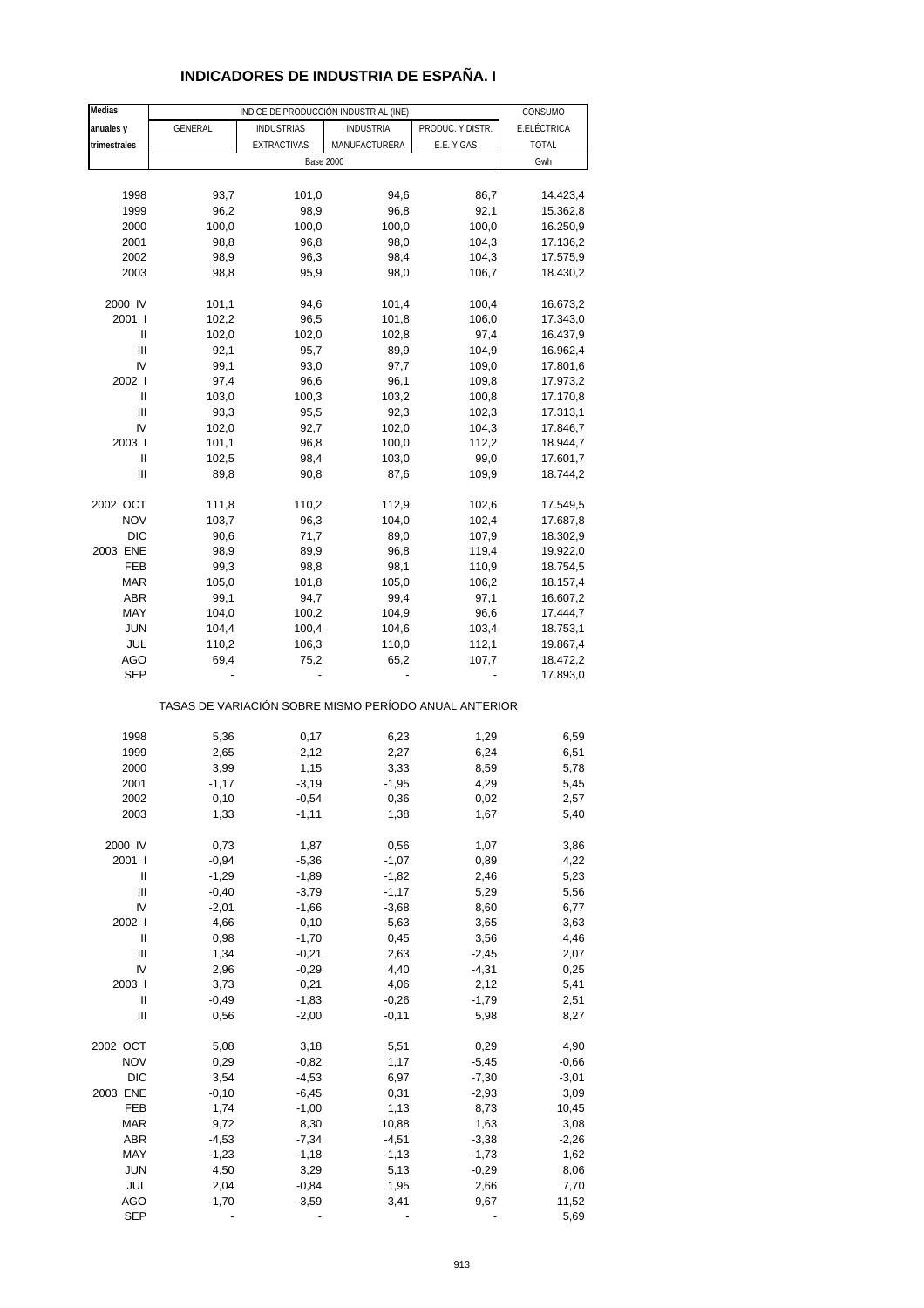# **INDICADORES DE INDUSTRIA DE ESPAÑA. I**

| <b>Medias</b>              |         | INDICE DE PRODUCCIÓN INDUSTRIAL (INE)                 |                  |                  | CONSUMO      |
|----------------------------|---------|-------------------------------------------------------|------------------|------------------|--------------|
| anuales y                  | GENERAL | <b>INDUSTRIAS</b>                                     | <b>INDUSTRIA</b> | PRODUC. Y DISTR. | E.ELÉCTRICA  |
| trimestrales               |         | <b>EXTRACTIVAS</b>                                    | MANUFACTURERA    | E.E. Y GAS       | <b>TOTAL</b> |
|                            |         | <b>Base 2000</b>                                      |                  |                  | Gwh          |
|                            |         |                                                       |                  |                  |              |
|                            |         |                                                       |                  |                  |              |
| 1998                       | 93,7    | 101,0                                                 | 94,6             | 86,7             | 14.423,4     |
| 1999                       | 96,2    | 98,9                                                  | 96,8             | 92,1             | 15.362,8     |
| 2000                       | 100,0   | 100,0                                                 | 100,0            | 100,0            | 16.250,9     |
| 2001                       | 98,8    | 96,8                                                  | 98,0             | 104,3            | 17.136,2     |
| 2002                       | 98,9    | 96,3                                                  | 98,4             | 104,3            | 17.575,9     |
| 2003                       | 98,8    | 95,9                                                  | 98,0             | 106,7            | 18.430,2     |
|                            |         |                                                       |                  |                  |              |
| 2000 IV                    | 101,1   | 94,6                                                  | 101,4            | 100,4            | 16.673,2     |
| 2001                       | 102,2   | 96,5                                                  | 101,8            | 106,0            | 17.343,0     |
| Ш                          | 102,0   | 102,0                                                 | 102,8            | 97,4             | 16.437,9     |
| Ш                          | 92,1    | 95,7                                                  | 89,9             | 104,9            | 16.962,4     |
| IV                         | 99,1    | 93,0                                                  | 97,7             | 109,0            | 17.801,6     |
| 2002 l                     | 97,4    |                                                       | 96,1             | 109,8            |              |
|                            | 103,0   | 96,6                                                  |                  |                  | 17.973,2     |
| Ш                          |         | 100,3                                                 | 103,2            | 100,8            | 17.170,8     |
| Ш                          | 93,3    | 95,5                                                  | 92,3             | 102,3            | 17.313,1     |
| IV                         | 102,0   | 92,7                                                  | 102,0            | 104,3            | 17.846,7     |
| 2003                       | 101,1   | 96,8                                                  | 100,0            | 112,2            | 18.944,7     |
| Ш                          | 102,5   | 98,4                                                  | 103,0            | 99,0             | 17.601,7     |
| Ш                          | 89,8    | 90,8                                                  | 87,6             | 109,9            | 18.744,2     |
|                            |         |                                                       |                  |                  |              |
| 2002 OCT                   | 111,8   | 110,2                                                 | 112,9            | 102,6            | 17.549,5     |
| <b>NOV</b>                 | 103,7   | 96,3                                                  | 104,0            | 102,4            | 17.687,8     |
| <b>DIC</b>                 | 90,6    | 71,7                                                  | 89,0             | 107,9            | 18.302,9     |
| 2003 ENE                   | 98,9    | 89,9                                                  | 96,8             | 119,4            | 19.922,0     |
| FEB                        | 99,3    | 98,8                                                  | 98,1             | 110,9            | 18.754,5     |
|                            |         |                                                       |                  |                  |              |
| <b>MAR</b>                 | 105,0   | 101,8                                                 | 105,0            | 106,2            | 18.157,4     |
| <b>ABR</b>                 | 99,1    | 94,7                                                  | 99,4             | 97,1             | 16.607,2     |
| MAY                        | 104,0   | 100,2                                                 | 104,9            | 96,6             | 17.444,7     |
| <b>JUN</b>                 | 104,4   | 100,4                                                 | 104,6            | 103,4            | 18.753,1     |
| JUL                        | 110,2   | 106,3                                                 | 110,0            | 112,1            | 19.867,4     |
| AGO                        | 69,4    | 75,2                                                  | 65,2             | 107,7            | 18.472,2     |
| <b>SEP</b>                 |         |                                                       |                  |                  | 17.893,0     |
|                            |         | TASAS DE VARIACIÓN SOBRE MISMO PERÍODO ANUAL ANTERIOR |                  |                  |              |
|                            |         |                                                       |                  |                  |              |
| 1998                       | 5,36    | 0,17                                                  | 6,23             | 1,29             | 6,59         |
| 1999                       | 2,65    | $-2,12$                                               | 2,27             | 6,24             | 6,51         |
| 2000                       | 3,99    | 1,15                                                  | 3,33             | 8,59             | 5,78         |
| 2001                       | $-1,17$ | $-3,19$                                               | $-1,95$          | 4,29             | 5,45         |
| 2002                       | 0,10    | $-0,54$                                               | 0,36             | 0,02             | 2,57         |
| 2003                       | 1,33    | $-1,11$                                               | 1,38             | 1,67             | 5,40         |
|                            |         |                                                       |                  |                  |              |
| 2000 IV                    | 0,73    | 1,87                                                  | 0,56             | 1,07             | 3,86         |
| 2001 l                     | $-0,94$ | $-5,36$                                               | $-1,07$          | 0,89             | 4,22         |
| Ш                          | $-1,29$ | $-1,89$                                               |                  |                  |              |
|                            |         |                                                       | $-1,82$          | 2,46             | 5,23         |
| Ш                          | $-0,40$ | $-3,79$                                               | $-1,17$          | 5,29             | 5,56         |
| IV                         | $-2,01$ | $-1,66$                                               | $-3,68$          | 8,60             | 6,77         |
| 2002 l                     | $-4,66$ | 0,10                                                  | $-5,63$          | 3,65             | 3,63         |
| $\ensuremath{\mathsf{II}}$ | 0,98    | $-1,70$                                               | 0,45             | 3,56             | 4,46         |
| $\mathbf{III}$             | 1,34    | $-0,21$                                               | 2,63             | $-2,45$          | 2,07         |
| IV                         | 2,96    | $-0,29$                                               | 4,40             | $-4,31$          | 0,25         |
| 2003                       | 3,73    | 0,21                                                  | 4,06             | 2,12             | 5,41         |
| $\sf II$                   | $-0,49$ | $-1,83$                                               | $-0,26$          | $-1,79$          | 2,51         |
| Ш                          | 0,56    | $-2,00$                                               | $-0,11$          | 5,98             | 8,27         |
|                            |         |                                                       |                  |                  |              |
| 2002 OCT                   | 5,08    | 3,18                                                  | 5,51             | 0,29             | 4,90         |
| <b>NOV</b>                 | 0,29    | $-0,82$                                               | 1,17             | $-5,45$          | $-0,66$      |
| <b>DIC</b>                 | 3,54    |                                                       | 6,97             |                  | $-3,01$      |
|                            |         | $-4,53$                                               |                  | $-7,30$          |              |
| 2003 ENE                   | $-0,10$ | $-6,45$                                               | 0,31             | $-2,93$          | 3,09         |
| FEB                        | 1,74    | $-1,00$                                               | 1,13             | 8,73             | 10,45        |
| <b>MAR</b>                 | 9,72    | 8,30                                                  | 10,88            | 1,63             | 3,08         |
| <b>ABR</b>                 | $-4,53$ | $-7,34$                                               | $-4,51$          | $-3,38$          | $-2,26$      |
| MAY                        | $-1,23$ | $-1,18$                                               | $-1, 13$         | $-1,73$          | 1,62         |
| <b>JUN</b>                 | 4,50    | 3,29                                                  | 5,13             | $-0,29$          | 8,06         |
| JUL                        | 2,04    | $-0,84$                                               | 1,95             | 2,66             | 7,70         |
| <b>AGO</b>                 | $-1,70$ | $-3,59$                                               | $-3,41$          | 9,67             | 11,52        |
| <b>SEP</b>                 |         |                                                       |                  |                  | 5,69         |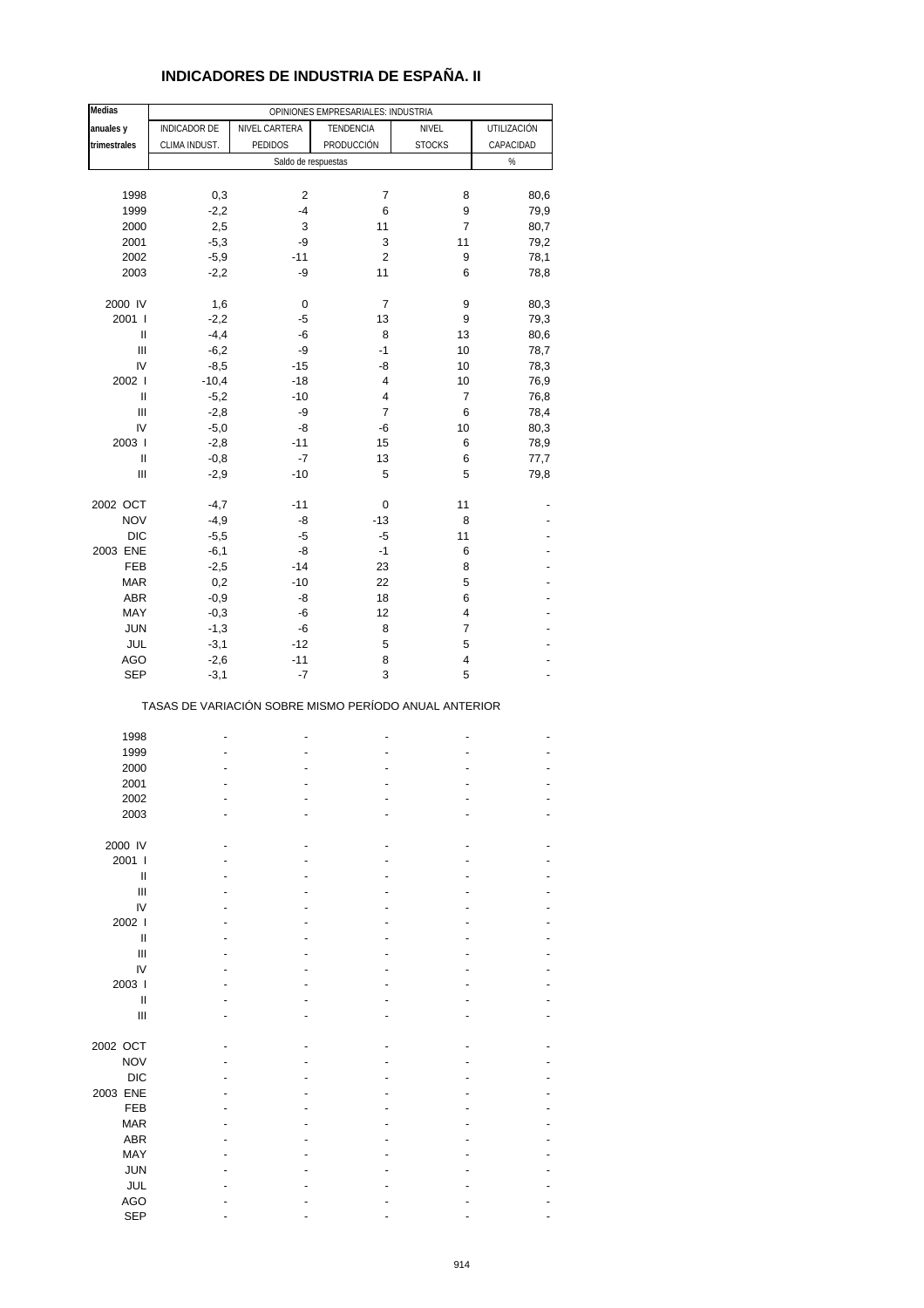## **INDICADORES DE INDUSTRIA DE ESPAÑA. II**

| <b>Medias</b>                      |               |                     | OPINIONES EMPRESARIALES: INDUSTRIA                    |                |             |
|------------------------------------|---------------|---------------------|-------------------------------------------------------|----------------|-------------|
| anuales y                          | INDICADOR DE  | NIVEL CARTERA       | TENDENCIA                                             | NIVEL          | UTILIZACIÓN |
|                                    |               | <b>PEDIDOS</b>      |                                                       |                |             |
| trimestrales                       | CLIMA INDUST. |                     | PRODUCCIÓN                                            | <b>STOCKS</b>  | CAPACIDAD   |
|                                    |               | Saldo de respuestas |                                                       |                | $\%$        |
|                                    |               |                     |                                                       |                |             |
| 1998                               | 0,3           | 2                   | $\overline{\mathcal{I}}$                              | 8              | 80,6        |
| 1999                               | $-2,2$        | $-4$                | 6                                                     | 9              | 79,9        |
| 2000                               | 2,5           | 3                   | 11                                                    | $\overline{7}$ | 80,7        |
| 2001                               | $-5,3$        | -9                  | 3                                                     | 11             | 79,2        |
| 2002                               | $-5,9$        | $-11$               | 2                                                     | 9              | 78,1        |
|                                    |               | -9                  | 11                                                    |                |             |
| 2003                               | $-2,2$        |                     |                                                       | 6              | 78,8        |
|                                    |               |                     |                                                       |                |             |
| 2000 IV                            | 1,6           | 0                   | 7                                                     | 9              | 80,3        |
| 2001 l                             | $-2,2$        | -5                  | 13                                                    | 9              | 79,3        |
| Ш                                  | $-4,4$        | -6                  | 8                                                     | 13             | 80,6        |
| $\ensuremath{\mathsf{III}}\xspace$ | $-6,2$        | -9                  | $-1$                                                  | 10             | 78,7        |
| IV                                 | $-8,5$        | $-15$               | -8                                                    | 10             | 78,3        |
| 2002                               | $-10,4$       | $-18$               | 4                                                     | 10             | 76,9        |
| $\sf II$                           | $-5,2$        | $-10$               | 4                                                     | $\overline{7}$ | 76,8        |
| $\begin{array}{c} \Pi \end{array}$ | $-2,8$        | -9                  | 7                                                     | 6              | 78,4        |
|                                    |               |                     |                                                       |                |             |
| IV                                 | $-5,0$        | -8                  | -6                                                    | 10             | 80,3        |
| 2003                               | $-2,8$        | $-11$               | 15                                                    | 6              | 78,9        |
| $\sf II$                           | $-0,8$        | $-7$                | 13                                                    | 6              | 77,7        |
| $\begin{array}{c} \Pi \end{array}$ | $-2,9$        | $-10$               | 5                                                     | 5              | 79,8        |
|                                    |               |                     |                                                       |                |             |
| 2002 OCT                           | $-4,7$        | $-11$               | 0                                                     | 11             |             |
| <b>NOV</b>                         | $-4,9$        | -8                  | $-13$                                                 | 8              |             |
| <b>DIC</b>                         | $-5,5$        | $-5$                | $-5$                                                  | 11             |             |
|                                    |               |                     |                                                       |                |             |
| 2003 ENE                           | $-6,1$        | -8                  | $-1$                                                  | 6              |             |
| FEB                                | $-2,5$        | $-14$               | 23                                                    | 8              |             |
| <b>MAR</b>                         | 0,2           | $-10$               | 22                                                    | 5              |             |
| ABR                                | $-0,9$        | -8                  | 18                                                    | 6              |             |
| MAY                                | $-0,3$        | -6                  | 12                                                    | 4              |             |
| <b>JUN</b>                         | $-1,3$        | -6                  | 8                                                     | 7              |             |
| JUL                                | $-3,1$        | $-12$               | 5                                                     | 5              |             |
|                                    |               |                     |                                                       | 4              |             |
| <b>AGO</b>                         | $-2,6$        | $-11$               | 8                                                     |                |             |
| <b>SEP</b>                         | $-3,1$        | $-7$                | 3                                                     | 5              |             |
|                                    |               |                     | TASAS DE VARIACIÓN SOBRE MISMO PERÍODO ANUAL ANTERIOR |                |             |
|                                    |               |                     |                                                       |                |             |
| 1998                               |               |                     |                                                       |                |             |
| 1999                               |               |                     |                                                       |                |             |
| 2000                               |               |                     |                                                       |                |             |
| 2001                               |               |                     |                                                       |                |             |
|                                    |               |                     |                                                       |                |             |
| 2002                               |               |                     |                                                       |                |             |
| 2003                               |               |                     |                                                       |                |             |
|                                    |               |                     |                                                       |                |             |
| 2000 IV                            |               |                     |                                                       |                |             |
| 2001 l                             |               |                     |                                                       |                |             |
| Ш                                  |               |                     |                                                       |                |             |
| Ш                                  |               |                     |                                                       |                |             |
| IV                                 |               |                     |                                                       |                |             |
| 2002 l                             |               |                     |                                                       |                |             |
| $\mathsf{I}$                       |               |                     |                                                       |                |             |
|                                    |               |                     |                                                       |                |             |
| Ш                                  |               |                     |                                                       |                |             |
| IV                                 |               |                     |                                                       |                |             |
| 2003                               |               |                     |                                                       |                |             |
| Ш                                  |               |                     |                                                       |                |             |
| Ш                                  |               |                     |                                                       |                |             |
|                                    |               |                     |                                                       |                |             |
| 2002 OCT                           |               |                     |                                                       |                |             |
| <b>NOV</b>                         |               |                     |                                                       |                |             |
| <b>DIC</b>                         |               |                     |                                                       |                |             |
|                                    |               |                     |                                                       |                |             |
| 2003 ENE                           |               |                     |                                                       |                |             |
| <b>FEB</b>                         |               |                     |                                                       |                |             |
| <b>MAR</b>                         |               |                     |                                                       |                |             |
| ABR                                |               |                     |                                                       |                |             |
| MAY                                |               |                     |                                                       |                |             |
| <b>JUN</b>                         |               |                     |                                                       |                |             |
| JUL                                |               |                     |                                                       |                |             |
|                                    |               |                     |                                                       |                |             |
| <b>AGO</b>                         |               |                     |                                                       |                |             |
| <b>SEP</b>                         |               |                     |                                                       |                |             |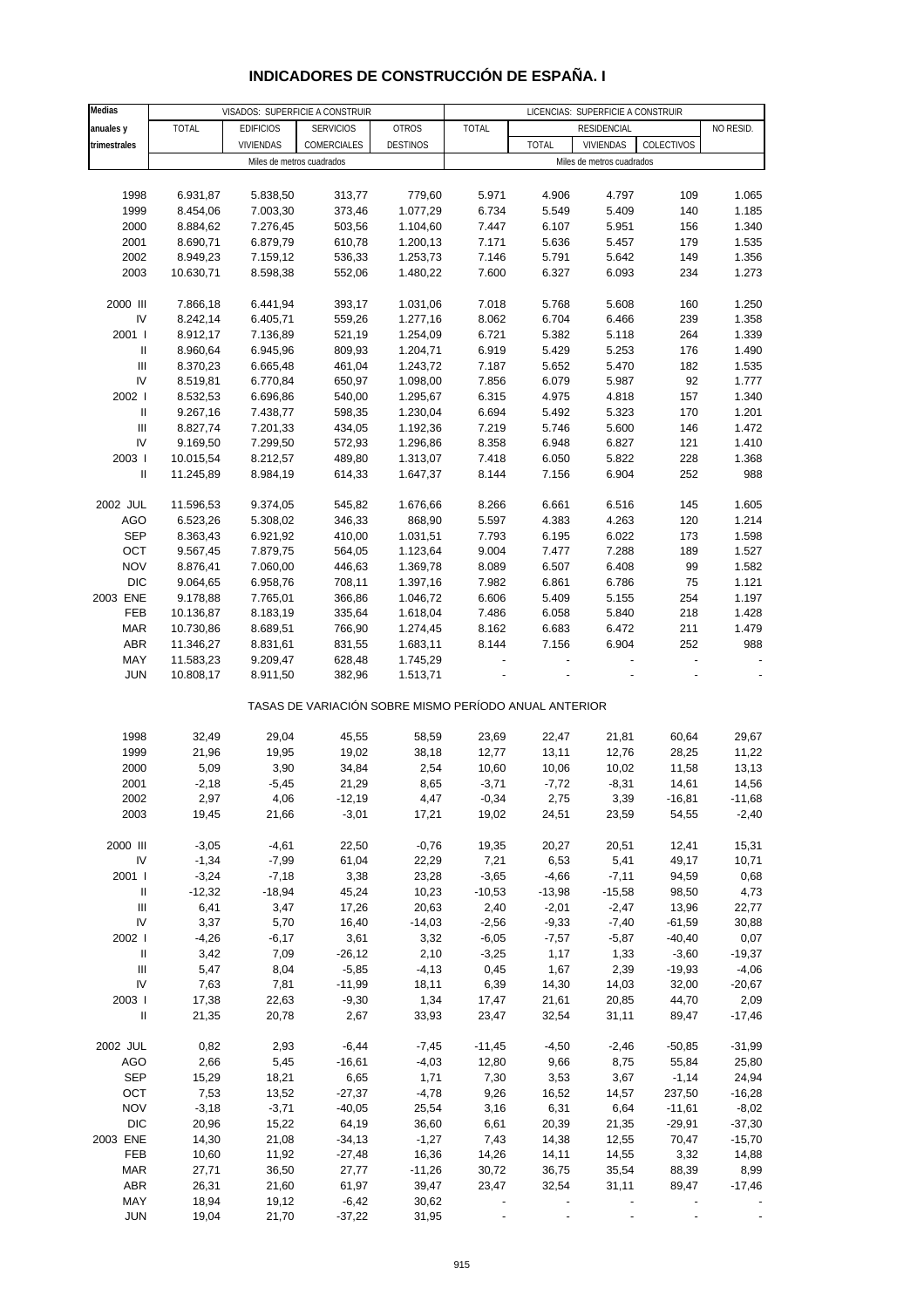#### **Medias anuales y** | TOTAL | EDIFICIOS | SERVICIOS | OTROS | TOTAL | RESIDENCIAL | NO RESID. **trimestrales** VIVIENDAS COMERCIALES DESTINOS TOTAL VIVIENDAS COLECTIVOS 1998 6.931,87 5.838,50 313,77 779,60 5.971 4.906 4.797 109 1.065 1999 8.454,06 7.003,30 373,46 1.077,29 6.734 5.549 5.409 140 1.185 2000 8.884,62 7.276,45 503,56 1.104,60 7.447 6.107 5.951 156 1.340 2001 8.690,71 6.879,79 610,78 1.200,13 7.171 5.636 5.457 179 1.535 2002 8.949,23 7.159,12 536,33 1.253,73 7.146 5.791 5.642 149 1.356 2003 10.630,71 8.598,38 552,06 1.480,22 7.600 6.327 6.093 234 1.273 2000 III 7.866,18 6.441,94 393,17 1.031,06 7.018 5.768 5.608 160 1.250 IV 8.242,14 6.405,71 559,26 1.277,16 8.062 6.704 6.466 239 1.358 2001 I 8.912,17 7.136,89 521,19 1.254,09 6.721 5.382 5.118 264 1.339 II 8.960,64 6.945,96 809,93 1.204,71 6.919 5.429 5.253 176 1.490 III 8.370,23 6.665,48 461,04 1.243,72 7.187 5.652 5.470 182 1.535 IV 8.519,81 6.770,84 650,97 1.098,00 7.856 6.079 5.987 92 1.777 2002 I 8.532,53 6.696,86 540,00 1.295,67 6.315 4.975 4.818 157 1.340 II 9.267,16 7.438,77 598,35 1.230,04 6.694 5.492 5.323 170 1.201 III 8.827,74 7.201,33 434,05 1.192,36 7.219 5.746 5.600 146 1.472 IV 9.169,50 7.299,50 572,93 1.296,86 8.358 6.948 6.827 121 1.410 2003 I 10.015,54 8.212,57 489,80 1.313,07 7.418 6.050 5.822 228 1.368 II 11.245,89 8.984,19 614,33 1.647,37 8.144 7.156 6.904 252 988 2002 JUL 11.596,53 9.374,05 545,82 1.676,66 8.266 6.661 6.516 145 1.605 AGO 6.523,26 5.308,02 346,33 868,90 5.597 4.383 4.263 120 1.214 SEP 8.363,43 6.921,92 410,00 1.031,51 7.793 6.195 6.022 173 1.598 OCT 9.567,45 7.879,75 564,05 1.123,64 9.004 7.477 7.288 189 1.527 NOV 8.876,41 7.060,00 446,63 1.369,78 8.089 6.507 6.408 99 1.582 DIC 9.064,65 6.958,76 708,11 1.397,16 7.982 6.861 6.786 75 1.121 2003 ENE 9.178,88 7.765,01 366,86 1.046,72 6.606 5.409 5.155 254 1.197 FEB 10.136,87 8.183,19 335,64 1.618,04 7.486 6.058 5.840 218 1.428 MAR 10.730,86 8.689,51 766,90 1.274,45 8.162 6.683 6.472 211 1.479 ABR 11.346,27 8.831,61 831,55 1.683,11 8.144 7.156 6.904 252 988 MAY 11.583,23 9.209,47 628,48 1.745,29 - - - - - JUN 10.808,17 8.911,50 382,96 1.513,71 - - - - - TASAS DE VARIACIÓN SOBRE MISMO PERÍODO ANUAL ANTERIOR 1998 32,49 29,04 45,55 58,59 23,69 22,47 21,81 60,64 29,67 1999 21,96 19,95 19,02 38,18 12,77 13,11 12,76 28,25 11,22 2000 5,09 3,90 34,84 2,54 10,60 10,06 10,02 11,58 13,13 2001 -2,18 -5,45 21,29 8,65 -3,71 -7,72 -8,31 14,61 14,56 2002 2,97 4,06 -12,19 4,47 -0,34 2,75 3,39 -16,81 -11,68 2003 19,45 21,66 -3,01 17,21 19,02 24,51 23,59 54,55 -2,40 2000 III -3,05 -4,61 22,50 -0,76 19,35 20,27 20,51 12,41 15,31 IV -1,34 -7,99 61,04 22,29 7,21 6,53 5,41 49,17 10,71 2001 I -3,24 -7,18 3,38 23,28 -3,65 -4,66 -7,11 94,59 0,68 II -12,32 -18,94 45,24 10,23 -10,53 -13,98 -15,58 98,50 4,73 III 6,41 3,47 17,26 20,63 2,40 -2,01 -2,47 13,96 22,77 IV 3,37 5,70 16,40 -14,03 -2,56 -9,33 -7,40 -61,59 30,88 2002 I -4,26 -6,17 3,61 3,32 -6,05 -7,57 -5,87 -40,40 0,07 II 3,42 7,09 -26,12 2,10 -3,25 1,17 1,33 -3,60 -19,37 III 5,47 8,04 -5,85 -4,13 0,45 1,67 2,39 -19,93 -4,06 IV 7,63 7,81 -11,99 18,11 6,39 14,30 14,03 32,00 -20,67 2003 I 17,38 22,63 -9,30 1,34 17,47 21,61 20,85 44,70 2,09 II 21,35 20,78 2,67 33,93 23,47 32,54 31,11 89,47 -17,46 2002 JUL 0,82 2,93 -6,44 -7,45 -11,45 -4,50 -2,46 -50,85 -31,99 AGO 2,66 5,45 -16,61 -4,03 12,80 9,66 8,75 55,84 25,80 SEP 15,29 18,21 6,65 1,71 7,30 3,53 3,67 -1,14 24,94 OCT 7,53 13,52 -27,37 -4,78 9,26 16,52 14,57 237,50 -16,28 NOV -3,18 -3,71 -40,05 25,54 3,16 6,31 6,64 -11,61 -8,02 DIC 20,96 15,22 64,19 36,60 6,61 20,39 21,35 -29,91 -37,30 2003 ENE 14,30 21,08 -34,13 -1,27 7,43 14,38 12,55 70,47 -15,70 FEB 10,60 11,92 -27,48 16,36 14,26 14,11 14,55 3,32 14,88 MAR 27,71 36,50 27,77 -11,26 30,72 36,75 35,54 88,39 8,99 ABR 26,31 21,60 61,97 39,47 23,47 32,54 31,11 89,47 -17,46 MAY 18,94 19,12 -6,42 30,62 - - - - - VISADOS: SUPERFICIE A CONSTRUIR LICENCIAS: SUPERFICIE A CONSTRUIR **RESIDENCIAL** Miles de metros cuadrados **Miles de metros cuadrados** Miles de metros cuadrados

#### **INDICADORES DE CONSTRUCCIÓN DE ESPAÑA. I**

JUN 19,04 21,70 -37,22 31,95 - - - - -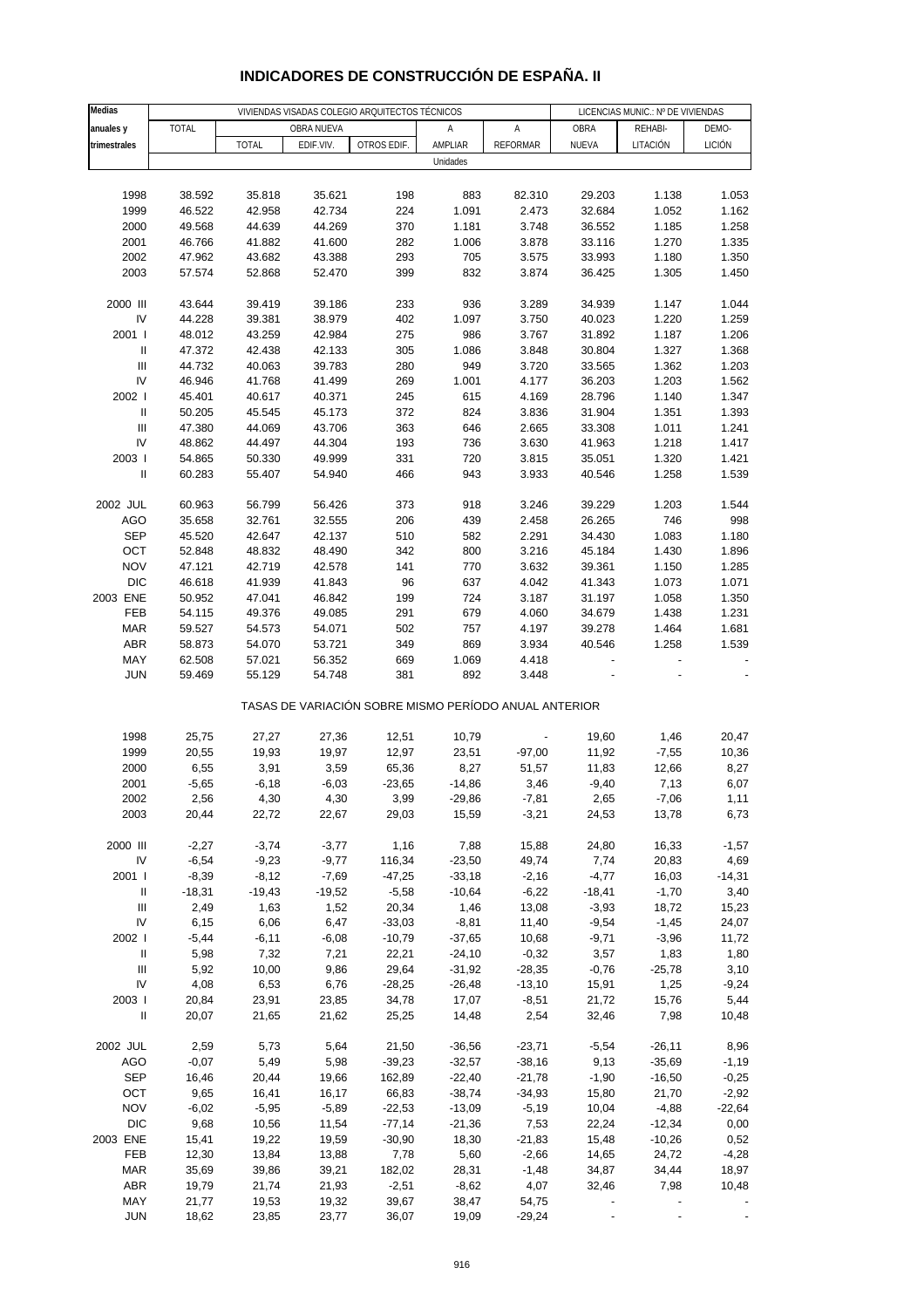| Medias                     | VIVIENDAS VISADAS COLEGIO ARQUITECTOS TÉCNICOS |              |            |                                                       |          |                 | LICENCIAS MUNIC.: Nº DE VIVIENDAS |          |               |
|----------------------------|------------------------------------------------|--------------|------------|-------------------------------------------------------|----------|-----------------|-----------------------------------|----------|---------------|
|                            |                                                |              |            |                                                       |          |                 |                                   |          |               |
| anuales y                  | TOTAL                                          |              | OBRA NUEVA |                                                       | Α        | А               | OBRA                              | REHABI-  | DEMO-         |
| trimestrales               |                                                | <b>TOTAL</b> | EDIF.VIV.  | OTROS EDIF.                                           | AMPLIAR  | <b>REFORMAR</b> | NUEVA                             | LITACIÓN | <b>LICIÓN</b> |
|                            |                                                |              |            |                                                       | Unidades |                 |                                   |          |               |
|                            |                                                |              |            |                                                       |          |                 |                                   |          |               |
| 1998                       | 38.592                                         | 35.818       | 35.621     | 198                                                   | 883      | 82.310          | 29.203                            | 1.138    | 1.053         |
| 1999                       | 46.522                                         | 42.958       | 42.734     | 224                                                   | 1.091    | 2.473           | 32.684                            | 1.052    | 1.162         |
| 2000                       | 49.568                                         | 44.639       | 44.269     | 370                                                   | 1.181    | 3.748           | 36.552                            | 1.185    | 1.258         |
| 2001                       | 46.766                                         | 41.882       | 41.600     | 282                                                   | 1.006    | 3.878           | 33.116                            | 1.270    | 1.335         |
| 2002                       | 47.962                                         | 43.682       | 43.388     | 293                                                   | 705      | 3.575           | 33.993                            | 1.180    | 1.350         |
| 2003                       | 57.574                                         | 52.868       | 52.470     | 399                                                   | 832      | 3.874           | 36.425                            | 1.305    | 1.450         |
|                            |                                                |              |            |                                                       |          |                 |                                   |          |               |
| 2000 III                   | 43.644                                         | 39.419       | 39.186     | 233                                                   | 936      | 3.289           | 34.939                            | 1.147    | 1.044         |
| IV                         | 44.228                                         | 39.381       | 38.979     | 402                                                   | 1.097    | 3.750           | 40.023                            | 1.220    | 1.259         |
| 2001 l                     | 48.012                                         | 43.259       | 42.984     | 275                                                   | 986      | 3.767           | 31.892                            | 1.187    | 1.206         |
| $\sf II$                   | 47.372                                         | 42.438       | 42.133     | 305                                                   | 1.086    | 3.848           | 30.804                            | 1.327    | 1.368         |
| Ш                          | 44.732                                         | 40.063       | 39.783     | 280                                                   | 949      | 3.720           | 33.565                            | 1.362    | 1.203         |
| IV                         | 46.946                                         | 41.768       | 41.499     | 269                                                   | 1.001    | 4.177           | 36.203                            | 1.203    | 1.562         |
| 2002 l                     | 45.401                                         | 40.617       | 40.371     | 245                                                   | 615      | 4.169           | 28.796                            | 1.140    | 1.347         |
| $\ensuremath{\mathsf{II}}$ | 50.205                                         | 45.545       | 45.173     | 372                                                   | 824      | 3.836           | 31.904                            | 1.351    | 1.393         |
| Ш                          | 47.380                                         | 44.069       | 43.706     | 363                                                   | 646      | 2.665           | 33.308                            | 1.011    | 1.241         |
| IV                         | 48.862                                         | 44.497       | 44.304     | 193                                                   | 736      | 3.630           | 41.963                            | 1.218    | 1.417         |
| 2003                       | 54.865                                         | 50.330       | 49.999     | 331                                                   | 720      | 3.815           | 35.051                            | 1.320    | 1.421         |
| $\sf II$                   | 60.283                                         | 55.407       | 54.940     | 466                                                   | 943      | 3.933           | 40.546                            | 1.258    | 1.539         |
|                            |                                                |              |            |                                                       |          |                 |                                   |          |               |
| 2002 JUL                   | 60.963                                         | 56.799       | 56.426     | 373                                                   | 918      | 3.246           | 39.229                            | 1.203    | 1.544         |
| <b>AGO</b>                 | 35.658                                         | 32.761       | 32.555     | 206                                                   | 439      | 2.458           | 26.265                            | 746      | 998           |
|                            |                                                |              |            |                                                       |          |                 |                                   |          |               |
| <b>SEP</b>                 | 45.520                                         | 42.647       | 42.137     | 510                                                   | 582      | 2.291           | 34.430                            | 1.083    | 1.180         |
| OCT                        | 52.848                                         | 48.832       | 48.490     | 342                                                   | 800      | 3.216           | 45.184                            | 1.430    | 1.896         |
| <b>NOV</b>                 | 47.121                                         | 42.719       | 42.578     | 141                                                   | 770      | 3.632           | 39.361                            | 1.150    | 1.285         |
| <b>DIC</b>                 | 46.618                                         | 41.939       | 41.843     | 96                                                    | 637      | 4.042           | 41.343                            | 1.073    | 1.071         |
| 2003 ENE                   | 50.952                                         | 47.041       | 46.842     | 199                                                   | 724      | 3.187           | 31.197                            | 1.058    | 1.350         |
| FEB                        | 54.115                                         | 49.376       | 49.085     | 291                                                   | 679      | 4.060           | 34.679                            | 1.438    | 1.231         |
| <b>MAR</b>                 | 59.527                                         | 54.573       | 54.071     | 502                                                   | 757      | 4.197           | 39.278                            | 1.464    | 1.681         |
| <b>ABR</b>                 | 58.873                                         | 54.070       | 53.721     | 349                                                   | 869      | 3.934           | 40.546                            | 1.258    | 1.539         |
| MAY                        | 62.508                                         | 57.021       | 56.352     | 669                                                   | 1.069    | 4.418           |                                   |          |               |
| JUN                        | 59.469                                         | 55.129       | 54.748     | 381                                                   | 892      | 3.448           |                                   |          |               |
|                            |                                                |              |            | TASAS DE VARIACIÓN SOBRE MISMO PERÍODO ANUAL ANTERIOR |          |                 |                                   |          |               |
|                            |                                                |              |            |                                                       |          |                 |                                   |          |               |
| 1998                       | 25,75                                          | 27,27        | 27,36      | 12,51                                                 | 10,79    |                 | 19,60                             | 1,46     | 20,47         |
| 1999                       | 20,55                                          | 19,93        | 19,97      | 12,97                                                 | 23,51    | $-97,00$        | 11,92                             | $-7,55$  | 10,36         |
| 2000                       | 6,55                                           | 3,91         | 3,59       | 65,36                                                 | 8,27     | 51,57           | 11,83                             | 12,66    | 8,27          |
| 2001                       | $-5,65$                                        | $-6,18$      | $-6,03$    | $-23,65$                                              | $-14,86$ | 3,46            | $-9,40$                           | 7,13     | 6,07          |
| 2002                       | 2,56                                           | 4,30         | 4,30       | 3,99                                                  | $-29,86$ | $-7,81$         | 2,65                              | $-7,06$  | 1,11          |
| 2003                       | 20,44                                          | 22,72        | 22,67      | 29,03                                                 | 15,59    | $-3,21$         | 24,53                             | 13,78    | 6,73          |
|                            |                                                |              |            |                                                       |          |                 |                                   |          |               |
| 2000 III                   | $-2,27$                                        | $-3,74$      | $-3,77$    | 1,16                                                  | 7,88     | 15,88           | 24,80                             | 16,33    | $-1,57$       |
| IV                         | $-6,54$                                        | $-9,23$      | $-9,77$    | 116,34                                                | $-23,50$ | 49,74           | 7,74                              | 20,83    | 4,69          |
| 2001 l                     | $-8,39$                                        | $-8,12$      | $-7,69$    | $-47,25$                                              | $-33,18$ | $-2,16$         | $-4,77$                           | 16,03    | $-14,31$      |
| Ш                          | $-18,31$                                       | $-19,43$     | $-19,52$   | $-5,58$                                               | $-10,64$ | $-6,22$         | $-18,41$                          | $-1,70$  | 3,40          |
| Ш                          | 2,49                                           | 1,63         | 1,52       | 20,34                                                 | 1,46     | 13,08           | $-3,93$                           | 18,72    | 15,23         |
| IV                         | 6,15                                           | 6,06         | 6,47       | $-33,03$                                              | $-8,81$  | 11,40           | $-9,54$                           | $-1,45$  | 24,07         |
| 2002                       | $-5,44$                                        | $-6, 11$     | $-6,08$    | $-10,79$                                              | $-37,65$ | 10,68           | $-9,71$                           | $-3,96$  | 11,72         |
| $\, \parallel$             | 5,98                                           | 7,32         | 7,21       | 22,21                                                 | $-24,10$ | $-0,32$         | 3,57                              | 1,83     | 1,80          |
| Ш                          | 5,92                                           | 10,00        | 9,86       | 29,64                                                 | $-31,92$ | $-28,35$        | $-0,76$                           | $-25,78$ | 3,10          |
| IV                         | 4,08                                           | 6,53         | 6,76       | $-28,25$                                              | $-26,48$ | $-13,10$        | 15,91                             | 1,25     | $-9,24$       |
| 2003                       | 20,84                                          | 23,91        | 23,85      | 34,78                                                 | 17,07    | $-8,51$         | 21,72                             | 15,76    | 5,44          |
| $\, \parallel$             | 20,07                                          | 21,65        | 21,62      | 25,25                                                 | 14,48    | 2,54            | 32,46                             | 7,98     | 10,48         |
|                            |                                                |              |            |                                                       |          |                 |                                   |          |               |
| 2002 JUL                   | 2,59                                           | 5,73         | 5,64       | 21,50                                                 | $-36,56$ | $-23,71$        | $-5,54$                           | $-26,11$ | 8,96          |
| <b>AGO</b>                 | $-0,07$                                        | 5,49         | 5,98       | $-39,23$                                              | $-32,57$ | $-38,16$        | 9,13                              | $-35,69$ | $-1,19$       |
| <b>SEP</b>                 | 16,46                                          | 20,44        | 19,66      | 162,89                                                | $-22,40$ | $-21,78$        | $-1,90$                           | $-16,50$ | $-0,25$       |
| OCT                        | 9,65                                           | 16,41        | 16,17      | 66,83                                                 | $-38,74$ | $-34,93$        | 15,80                             | 21,70    | $-2,92$       |
| <b>NOV</b>                 | $-6,02$                                        | $-5,95$      | $-5,89$    | $-22,53$                                              | $-13,09$ | $-5,19$         | 10,04                             | $-4,88$  | $-22,64$      |
| <b>DIC</b>                 | 9,68                                           | 10,56        | 11,54      | $-77,14$                                              | $-21,36$ | 7,53            | 22,24                             | $-12,34$ | 0,00          |
| 2003 ENE                   | 15,41                                          | 19,22        | 19,59      | $-30,90$                                              | 18,30    | $-21,83$        | 15,48                             |          | 0,52          |
|                            |                                                |              |            |                                                       |          |                 |                                   | $-10,26$ |               |
| FEB                        | 12,30                                          | 13,84        | 13,88      | 7,78                                                  | 5,60     | $-2,66$         | 14,65                             | 24,72    | $-4,28$       |
| MAR                        | 35,69                                          | 39,86        | 39,21      | 182,02                                                | 28,31    | $-1,48$         | 34,87                             | 34,44    | 18,97         |
| <b>ABR</b>                 | 19,79                                          | 21,74        | 21,93      | $-2,51$                                               | $-8,62$  | 4,07            | 32,46                             | 7,98     | 10,48         |
| MAY                        | 21,77                                          | 19,53        | 19,32      | 39,67                                                 | 38,47    | 54,75           |                                   |          |               |
| JUN                        | 18,62                                          | 23,85        | 23,77      | 36,07                                                 | 19,09    | $-29,24$        |                                   |          |               |

## **INDICADORES DE CONSTRUCCIÓN DE ESPAÑA. II**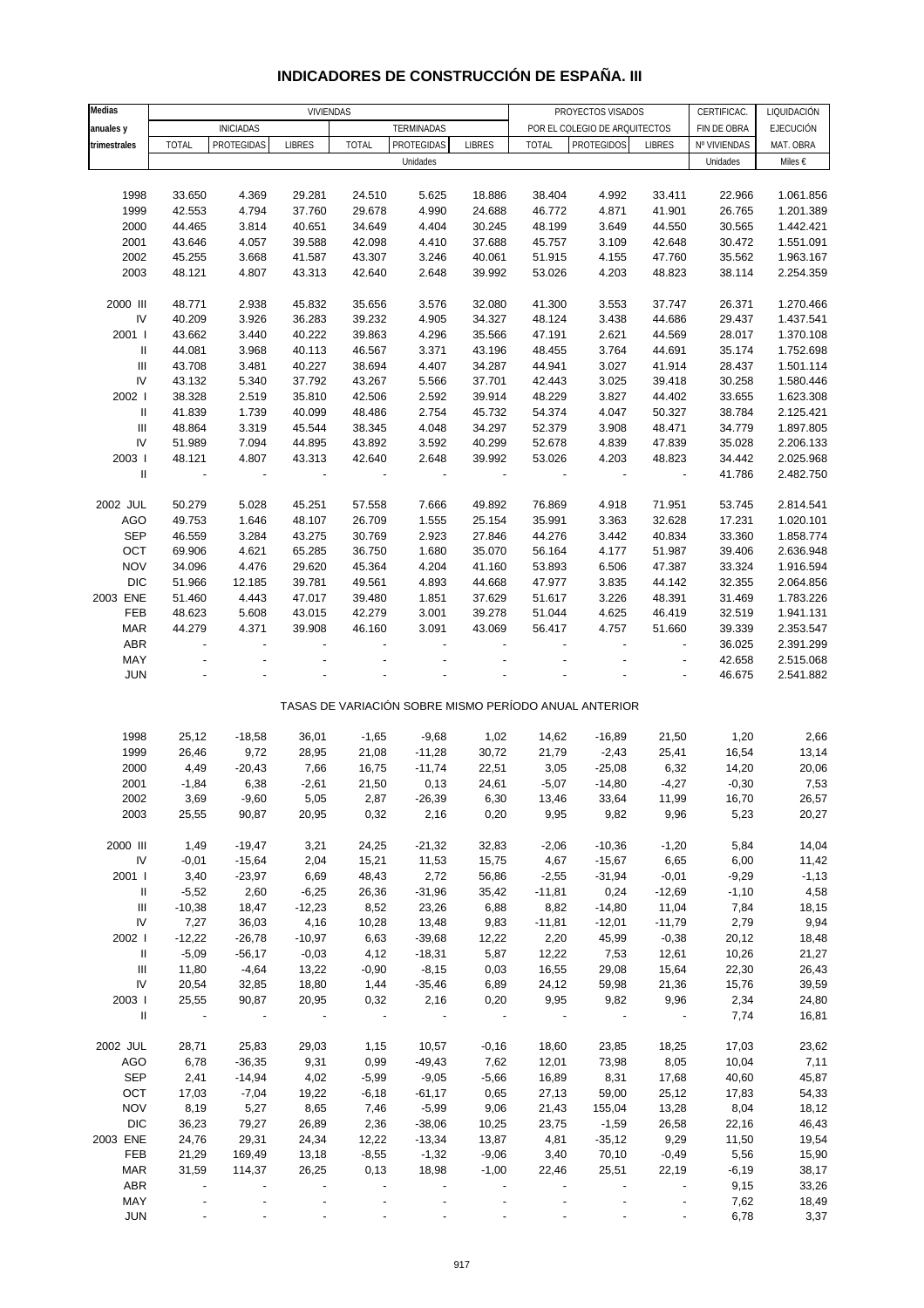#### **Medias** CERTIFICAC. LIQUIDACIÓN **anuales y fin**iciadas for the terminadas terminadas the por el colegio de arquitectos finde obra fejecución t**rimestrales |** TOTAL |PROTEGIDAS| LIBRES | TOTAL |PROTEGIDAS| LIBRES | TOTAL |PROTEGIDOS| LIBRES |Nº VIVIENDAS| MAT. OBRA Unidades Miles  $\epsilon$ 1998 33.650 4.369 29.281 24.510 5.625 18.886 38.404 4.992 33.411 22.966 1.061.856 1999 42.553 4.794 37.760 29.678 4.990 24.688 46.772 4.871 41.901 26.765 1.201.389 2000 44.465 3.814 40.651 34.649 4.404 30.245 48.199 3.649 44.550 30.565 1.442.421 2001 43.646 4.057 39.588 42.098 4.410 37.688 45.757 3.109 42.648 30.472 1.551.091 2002 45.255 3.668 41.587 43.307 3.246 40.061 51.915 4.155 47.760 35.562 1.963.167 2003 48.121 4.807 43.313 42.640 2.648 39.992 53.026 4.203 48.823 38.114 2.254.359 2000 III 48.771 2.938 45.832 35.656 3.576 32.080 41.300 3.553 37.747 26.371 1.270.466 IV 40.209 3.926 36.283 39.232 4.905 34.327 48.124 3.438 44.686 29.437 1.437.541 2001 I 43.662 3.440 40.222 39.863 4.296 35.566 47.191 2.621 44.569 28.017 1.370.108 II 44.081 3.968 40.113 46.567 3.371 43.196 48.455 3.764 44.691 35.174 1.752.698 III 43.708 3.481 40.227 38.694 4.407 34.287 44.941 3.027 41.914 28.437 1.501.114 IV 43.132 5.340 37.792 43.267 5.566 37.701 42.443 3.025 39.418 30.258 1.580.446 2002 I 38.328 2.519 35.810 42.506 2.592 39.914 48.229 3.827 44.402 33.655 1.623.308 II 41.839 1.739 40.099 48.486 2.754 45.732 54.374 4.047 50.327 38.784 2.125.421 III 48.864 3.319 45.544 38.345 4.048 34.297 52.379 3.908 48.471 34.779 1.897.805 IV 51.989 7.094 44.895 43.892 3.592 40.299 52.678 4.839 47.839 35.028 2.206.133 2003 I 48.121 4.807 43.313 42.640 2.648 39.992 53.026 4.203 48.823 34.442 2.025.968 II - - - - - - - - - 41.786 2.482.750 2002 JUL 50.279 5.028 45.251 57.558 7.666 49.892 76.869 4.918 71.951 53.745 2.814.541 AGO 49.753 1.646 48.107 26.709 1.555 25.154 35.991 3.363 32.628 17.231 1.020.101 SEP 46.559 3.284 43.275 30.769 2.923 27.846 44.276 3.442 40.834 33.360 1.858.774 OCT 69.906 4.621 65.285 36.750 1.680 35.070 56.164 4.177 51.987 39.406 2.636.948 NOV 34.096 4.476 29.620 45.364 4.204 41.160 53.893 6.506 47.387 33.324 1.916.594 DIC 51.966 12.185 39.781 49.561 4.893 44.668 47.977 3.835 44.142 32.355 2.064.856 2003 ENE 51.460 4.443 47.017 39.480 1.851 37.629 51.617 3.226 48.391 31.469 1.783.226 FEB 48.623 5.608 43.015 42.279 3.001 39.278 51.044 4.625 46.419 32.519 1.941.131 MAR 44.279 4.371 39.908 46.160 3.091 43.069 56.417 4.757 51.660 39.339 2.353.547 ABR - - - - - - - - - 36.025 2.391.299 MAY - - - - - - - - - 42.658 2.515.068 JUN - - - - - - - - - 46.675 2.541.882 TASAS DE VARIACIÓN SOBRE MISMO PERÍODO ANUAL ANTERIOR 1998 25,12 -18,58 36,01 -1,65 -9,68 1,02 14,62 -16,89 21,50 1,20 2,66 1999 26,46 9,72 28,95 21,08 -11,28 30,72 21,79 -2,43 25,41 16,54 13,14 2000 4,49 -20,43 7,66 16,75 -11,74 22,51 3,05 -25,08 6,32 14,20 20,06 2001 -1,84 6,38 -2,61 21,50 0,13 24,61 -5,07 -14,80 -4,27 -0,30 7,53 2002 3,69 -9,60 5,05 2,87 -26,39 6,30 13,46 33,64 11,99 16,70 26,57 2003 25,55 90,87 20,95 0,32 2,16 0,20 9,95 9,82 9,96 5,23 20,27 2000 III 1,49 -19,47 3,21 24,25 -21,32 32,83 -2,06 -10,36 -1,20 5,84 14,04 IV -0,01 -15,64 2,04 15,21 11,53 15,75 4,67 -15,67 6,65 6,00 11,42 2001 I 3,40 -23,97 6,69 48,43 2,72 56,86 -2,55 -31,94 -0,01 -9,29 -1,13 II -5,52 2,60 -6,25 26,36 -31,96 35,42 -11,81 0,24 -12,69 -1,10 4,58 III -10,38 18,47 -12,23 8,52 23,26 6,88 8,82 -14,80 11,04 7,84 18,15 IV 7,27 36,03 4,16 10,28 13,48 9,83 -11,81 -12,01 -11,79 2,79 9,94 2002 I -12,22 -26,78 -10,97 6,63 -39,68 12,22 2,20 45,99 -0,38 20,12 18,48 II -5,09 -56,17 -0,03 4,12 -18,31 5,87 12,22 7,53 12,61 10,26 21,27 III 11,80 -4,64 13,22 -0,90 -8,15 0,03 16,55 29,08 15,64 22,30 26,43 IV 20,54 32,85 18,80 1,44 -35,46 6,89 24,12 59,98 21,36 15,76 39,59 2003 I 25,55 90,87 20,95 0,32 2,16 0,20 9,95 9,82 9,96 2,34 24,80 II - - - - - - - - - 7,74 16,81 2002 JUL 28,71 25,83 29,03 1,15 10,57 -0,16 18,60 23,85 18,25 17,03 23,62 AGO 6,78 -36,35 9,31 0,99 -49,43 7,62 12,01 73,98 8,05 10,04 7,11 SEP 2,41 -14,94 4,02 -5,99 -9,05 -5,66 16,89 8,31 17,68 40,60 45,87 OCT 17,03 -7,04 19,22 -6,18 -61,17 0,65 27,13 59,00 25,12 17,83 54,33 NOV 8,19 5,27 8,65 7,46 -5,99 9,06 21,43 155,04 13,28 8,04 18,12 DIC 36,23 79,27 26,89 2,36 -38,06 10,25 23,75 -1,59 26,58 22,16 46,43 2003 ENE 24,76 29,31 24,34 12,22 -13,34 13,87 4,81 -35,12 9,29 11,50 19,54 FEB 21,29 169,49 13,18 -8,55 -1,32 -9,06 3,40 70,10 -0,49 5,56 15,90 MAR 31,59 114,37 26,25 0,13 18,98 -1,00 22,46 25,51 22,19 -6,19 38,17 ABR - - - - - - - - - - - - - - - - 9,15 33,26 VIVIENDAS PROYECTOS VISADOS Unidades

#### **INDICADORES DE CONSTRUCCIÓN DE ESPAÑA. III**

 MAY - - - - - - - - - 7,62 18,49 JUN - - - - - - - - - 6,78 3,37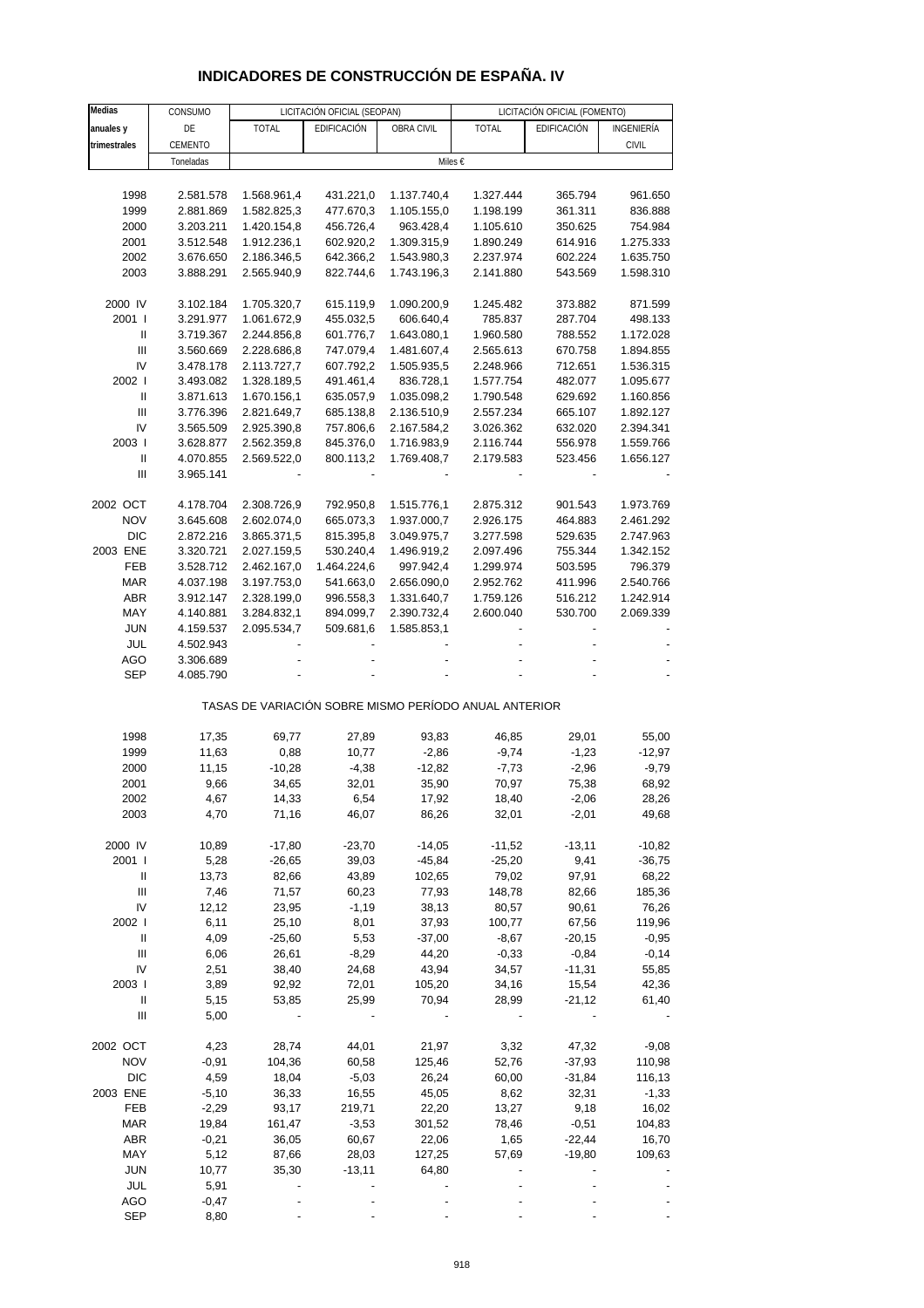# **INDICADORES DE CONSTRUCCIÓN DE ESPAÑA. IV**

| Medias                             | CONSUMO   |                                                       | LICITACIÓN OFICIAL (SEOPAN) |             | LICITACIÓN OFICIAL (FOMENTO) |             |              |  |
|------------------------------------|-----------|-------------------------------------------------------|-----------------------------|-------------|------------------------------|-------------|--------------|--|
| anuales y                          | DE        | <b>TOTAL</b>                                          | EDIFICACIÓN                 | OBRA CIVIL  | <b>TOTAL</b>                 | EDIFICACIÓN | INGENIERÍA   |  |
| trimestrales                       | CEMENTO   |                                                       |                             |             |                              |             | <b>CIVIL</b> |  |
|                                    | Toneladas |                                                       |                             | Miles €     |                              |             |              |  |
|                                    |           |                                                       |                             |             |                              |             |              |  |
| 1998                               | 2.581.578 | 1.568.961,4                                           | 431.221,0                   | 1.137.740,4 | 1.327.444                    | 365.794     | 961.650      |  |
| 1999                               | 2.881.869 | 1.582.825,3                                           | 477.670,3                   | 1.105.155,0 | 1.198.199                    | 361.311     | 836.888      |  |
| 2000                               | 3.203.211 | 1.420.154,8                                           | 456.726,4                   | 963.428,4   | 1.105.610                    | 350.625     | 754.984      |  |
| 2001                               | 3.512.548 | 1.912.236,1                                           | 602.920,2                   | 1.309.315,9 | 1.890.249                    | 614.916     | 1.275.333    |  |
| 2002                               | 3.676.650 | 2.186.346,5                                           | 642.366,2                   | 1.543.980,3 | 2.237.974                    | 602.224     | 1.635.750    |  |
| 2003                               | 3.888.291 | 2.565.940,9                                           | 822.744,6                   | 1.743.196,3 | 2.141.880                    | 543.569     | 1.598.310    |  |
|                                    |           |                                                       |                             |             |                              |             |              |  |
| 2000 IV                            | 3.102.184 | 1.705.320,7                                           | 615.119,9                   | 1.090.200,9 | 1.245.482                    | 373.882     | 871.599      |  |
| 2001 l                             | 3.291.977 | 1.061.672,9                                           | 455.032,5                   | 606.640,4   | 785.837                      | 287.704     | 498.133      |  |
| Ш                                  | 3.719.367 | 2.244.856,8                                           | 601.776,7                   | 1.643.080,1 | 1.960.580                    | 788.552     | 1.172.028    |  |
| $\mathbf{III}$                     | 3.560.669 | 2.228.686,8                                           | 747.079,4                   | 1.481.607,4 | 2.565.613                    | 670.758     | 1.894.855    |  |
| IV                                 | 3.478.178 | 2.113.727,7                                           | 607.792,2                   | 1.505.935,5 | 2.248.966                    | 712.651     | 1.536.315    |  |
| 2002 l                             | 3.493.082 | 1.328.189,5                                           | 491.461,4                   | 836.728,1   | 1.577.754                    | 482.077     | 1.095.677    |  |
| Ш                                  | 3.871.613 | 1.670.156,1                                           | 635.057,9                   | 1.035.098,2 | 1.790.548                    | 629.692     | 1.160.856    |  |
| $\ensuremath{\mathsf{III}}\xspace$ | 3.776.396 | 2.821.649,7                                           | 685.138,8                   | 2.136.510,9 | 2.557.234                    | 665.107     | 1.892.127    |  |
| IV                                 | 3.565.509 | 2.925.390,8                                           | 757.806,6                   | 2.167.584,2 | 3.026.362                    | 632.020     | 2.394.341    |  |
| 2003                               | 3.628.877 | 2.562.359,8                                           | 845.376,0                   | 1.716.983,9 | 2.116.744                    | 556.978     | 1.559.766    |  |
| $\sf II$                           | 4.070.855 | 2.569.522,0                                           | 800.113,2                   | 1.769.408,7 | 2.179.583                    | 523.456     | 1.656.127    |  |
| $\ensuremath{\mathsf{III}}\xspace$ | 3.965.141 |                                                       |                             |             |                              |             |              |  |
|                                    |           |                                                       |                             |             |                              |             |              |  |
| 2002 OCT                           | 4.178.704 | 2.308.726,9                                           | 792.950,8                   | 1.515.776,1 | 2.875.312                    | 901.543     | 1.973.769    |  |
| <b>NOV</b>                         | 3.645.608 | 2.602.074,0                                           | 665.073,3                   | 1.937.000,7 | 2.926.175                    | 464.883     | 2.461.292    |  |
| <b>DIC</b>                         | 2.872.216 | 3.865.371,5                                           | 815.395,8                   | 3.049.975,7 | 3.277.598                    | 529.635     | 2.747.963    |  |
| 2003 ENE                           | 3.320.721 | 2.027.159,5                                           | 530.240,4                   | 1.496.919,2 | 2.097.496                    | 755.344     | 1.342.152    |  |
| FEB                                | 3.528.712 | 2.462.167,0                                           | 1.464.224,6                 | 997.942,4   | 1.299.974                    | 503.595     | 796.379      |  |
| <b>MAR</b>                         | 4.037.198 | 3.197.753,0                                           | 541.663,0                   | 2.656.090,0 | 2.952.762                    | 411.996     | 2.540.766    |  |
| ABR                                | 3.912.147 | 2.328.199,0                                           | 996.558,3                   | 1.331.640,7 | 1.759.126                    | 516.212     | 1.242.914    |  |
| MAY                                | 4.140.881 | 3.284.832,1                                           | 894.099,7                   | 2.390.732,4 | 2.600.040                    | 530.700     | 2.069.339    |  |
| <b>JUN</b>                         | 4.159.537 | 2.095.534,7                                           | 509.681,6                   | 1.585.853,1 |                              |             |              |  |
| JUL                                | 4.502.943 |                                                       |                             |             |                              |             |              |  |
| AGO                                | 3.306.689 |                                                       |                             |             |                              |             |              |  |
| <b>SEP</b>                         | 4.085.790 |                                                       |                             |             |                              |             |              |  |
|                                    |           | TASAS DE VARIACIÓN SOBRE MISMO PERÍODO ANUAL ANTERIOR |                             |             |                              |             |              |  |
| 1998                               | 17,35     | 69,77                                                 | 27,89                       | 93,83       | 46,85                        | 29,01       | 55,00        |  |
| 1999                               | 11,63     | 0,88                                                  | 10,77                       | $-2,86$     | $-9,74$                      | $-1,23$     | $-12,97$     |  |
| 2000                               | 11,15     | $-10,28$                                              | $-4,38$                     | $-12,82$    | $-7,73$                      | $-2,96$     | $-9,79$      |  |
| 2001                               | 9,66      | 34,65                                                 | 32,01                       | 35,90       | 70,97                        | 75,38       | 68,92        |  |
| 2002                               | 4,67      | 14,33                                                 | 6,54                        | 17,92       | 18,40                        | $-2,06$     | 28,26        |  |
| 2003                               | 4,70      | 71,16                                                 | 46,07                       | 86,26       | 32,01                        | $-2,01$     | 49,68        |  |
|                                    |           |                                                       |                             |             |                              |             |              |  |
| 2000 IV                            | 10,89     | $-17,80$                                              | $-23,70$                    | $-14,05$    | $-11,52$                     | $-13,11$    | $-10,82$     |  |
| 2001 l                             | 5,28      | $-26,65$                                              | 39,03                       | $-45,84$    | $-25,20$                     | 9,41        | $-36,75$     |  |
| Ш                                  | 13,73     | 82,66                                                 | 43,89                       | 102,65      | 79,02                        | 97,91       | 68,22        |  |
| $\ensuremath{\mathsf{III}}\xspace$ | 7,46      | 71,57                                                 | 60,23                       | 77,93       | 148,78                       | 82,66       | 185,36       |  |
| IV                                 | 12,12     | 23,95                                                 | $-1,19$                     | 38,13       | 80,57                        | 90,61       | 76,26        |  |
| 2002                               | 6,11      | 25,10                                                 | 8,01                        | 37,93       | 100,77                       | 67,56       | 119,96       |  |
| Ш                                  | 4,09      | $-25,60$                                              | 5,53                        | $-37,00$    | $-8,67$                      | $-20,15$    | $-0,95$      |  |
| $\ensuremath{\mathsf{III}}\xspace$ | 6,06      | 26,61                                                 | $-8,29$                     | 44,20       | $-0,33$                      | $-0,84$     | $-0,14$      |  |
| IV                                 | 2,51      | 38,40                                                 | 24,68                       | 43,94       | 34,57                        | $-11,31$    | 55,85        |  |
| 2003                               | 3,89      | 92,92                                                 | 72,01                       | 105,20      | 34,16                        | 15,54       | 42,36        |  |
| Ш                                  | 5,15      | 53,85                                                 | 25,99                       | 70,94       | 28,99                        | $-21,12$    | 61,40        |  |
| Ш                                  | 5,00      |                                                       |                             |             |                              |             |              |  |
|                                    |           |                                                       |                             |             |                              |             |              |  |
| 2002 OCT                           | 4,23      | 28,74                                                 | 44,01                       | 21,97       | 3,32                         | 47,32       | $-9,08$      |  |
| <b>NOV</b>                         | $-0,91$   | 104,36                                                | 60,58                       | 125,46      | 52,76                        | $-37,93$    | 110,98       |  |
| <b>DIC</b>                         | 4,59      | 18,04                                                 | $-5,03$                     | 26,24       | 60,00                        | $-31,84$    | 116,13       |  |
| 2003 ENE                           | $-5,10$   | 36,33                                                 | 16,55                       | 45,05       | 8,62                         | 32,31       | $-1,33$      |  |
| FEB                                | $-2,29$   | 93,17                                                 | 219,71                      | 22,20       | 13,27                        | 9,18        | 16,02        |  |
| <b>MAR</b>                         | 19,84     | 161,47                                                | $-3,53$                     | 301,52      | 78,46                        | $-0,51$     | 104,83       |  |
| ABR                                | $-0,21$   | 36,05                                                 | 60,67                       | 22,06       | 1,65                         | $-22,44$    | 16,70        |  |
| MAY                                | 5,12      | 87,66                                                 | 28,03                       | 127,25      | 57,69                        | $-19,80$    | 109,63       |  |
| <b>JUN</b>                         | 10,77     | 35,30                                                 | $-13,11$                    | 64,80       |                              |             |              |  |
| JUL                                | 5,91      |                                                       |                             |             |                              |             |              |  |
| AGO                                | $-0,47$   |                                                       |                             |             |                              |             |              |  |
| <b>SEP</b>                         | 8,80      |                                                       |                             |             |                              |             |              |  |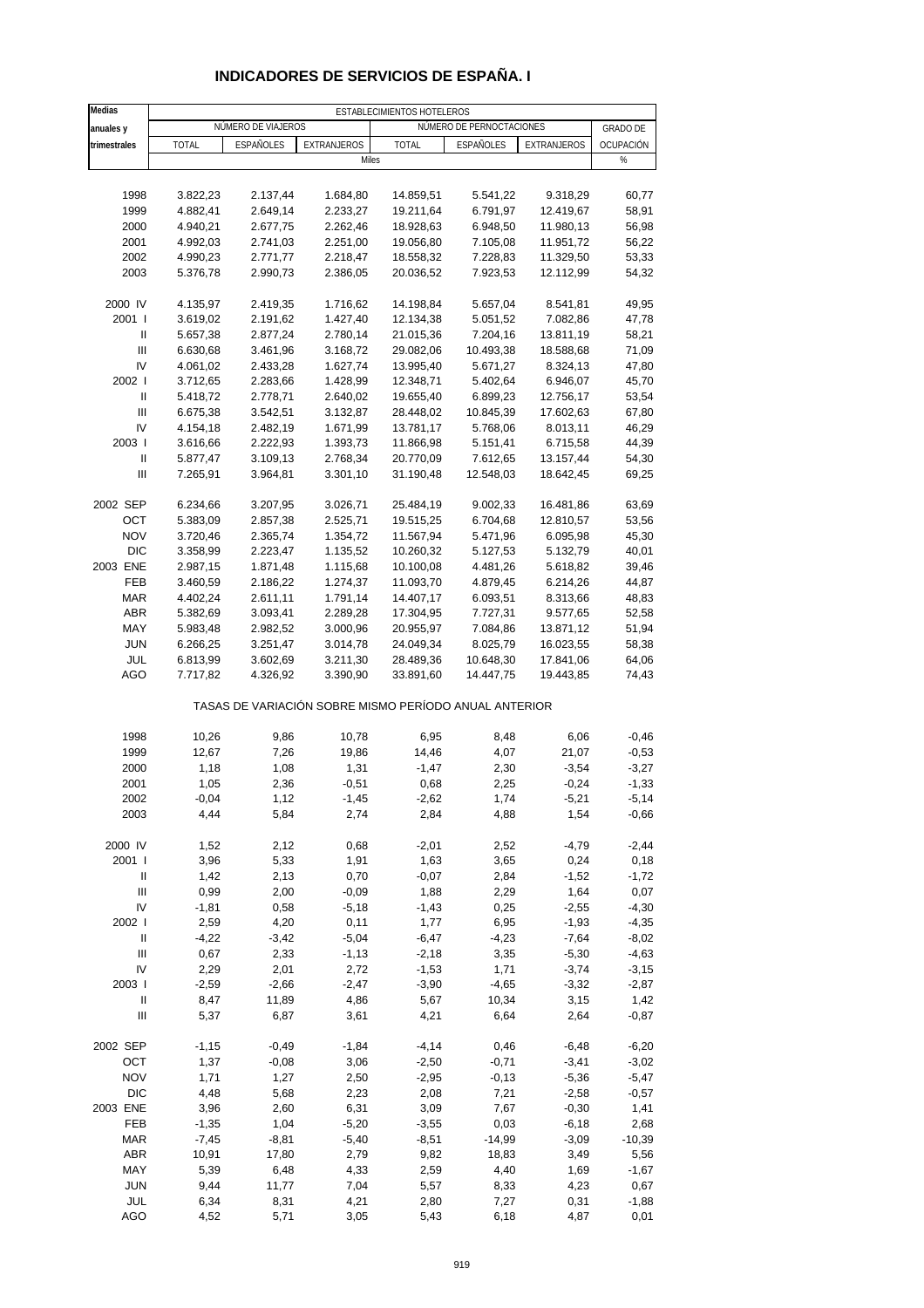| Medias                                  |                      |                      |                                                       | ESTABLECIMIENTOS HOTELEROS |                          |                        |                 |
|-----------------------------------------|----------------------|----------------------|-------------------------------------------------------|----------------------------|--------------------------|------------------------|-----------------|
| anuales y                               |                      | NÚMERO DE VIAJEROS   |                                                       |                            | NÚMERO DE PERNOCTACIONES |                        | <b>GRADO DE</b> |
| trimestrales                            | <b>TOTAL</b>         | ESPAÑOLES            | EXTRANJEROS                                           | <b>TOTAL</b>               | ESPAÑOLES                | EXTRANJEROS            | OCUPACIÓN       |
|                                         |                      |                      | Miles                                                 |                            |                          |                        | %               |
|                                         |                      |                      |                                                       |                            |                          |                        |                 |
| 1998                                    | 3.822,23             | 2.137,44             | 1.684,80                                              | 14.859,51                  | 5.541,22                 | 9.318,29               | 60,77           |
| 1999                                    | 4.882,41             | 2.649,14             | 2.233,27                                              | 19.211,64                  | 6.791,97                 | 12.419,67              | 58,91           |
| 2000                                    | 4.940,21             | 2.677,75             | 2.262,46                                              | 18.928,63                  | 6.948,50                 | 11.980,13              | 56,98           |
| 2001                                    | 4.992,03             | 2.741,03<br>2.771,77 | 2.251,00                                              | 19.056,80<br>18.558,32     | 7.105,08                 | 11.951,72              | 56,22           |
| 2002<br>2003                            | 4.990,23<br>5.376,78 | 2.990,73             | 2.218,47<br>2.386,05                                  | 20.036,52                  | 7.228,83<br>7.923,53     | 11.329,50<br>12.112,99 | 53,33<br>54,32  |
|                                         |                      |                      |                                                       |                            |                          |                        |                 |
| 2000 IV                                 | 4.135,97             | 2.419,35             | 1.716,62                                              | 14.198,84                  | 5.657,04                 | 8.541,81               | 49,95           |
| 2001 l                                  | 3.619,02             | 2.191,62             | 1.427,40                                              | 12.134,38                  | 5.051,52                 | 7.082,86               | 47,78           |
| Ш                                       | 5.657,38             | 2.877,24             | 2.780,14                                              | 21.015,36                  | 7.204,16                 | 13.811,19              | 58,21           |
| $\ensuremath{\mathsf{III}}\xspace$      | 6.630,68             | 3.461,96             | 3.168,72                                              | 29.082,06                  | 10.493,38                | 18.588,68              | 71,09           |
| IV                                      | 4.061,02             | 2.433,28             | 1.627,74                                              | 13.995,40                  | 5.671,27                 | 8.324,13               | 47,80           |
| 2002                                    | 3.712,65             | 2.283,66             | 1.428,99                                              | 12.348,71                  | 5.402,64                 | 6.946,07               | 45,70           |
| $\mathbf{I}$                            | 5.418,72             | 2.778,71             | 2.640,02                                              | 19.655,40                  | 6.899,23                 | 12.756,17              | 53,54           |
| $\mathbf{III}$                          | 6.675,38             | 3.542,51             | 3.132,87                                              | 28.448,02                  | 10.845,39                | 17.602,63              | 67,80           |
| IV                                      | 4.154,18             | 2.482,19             | 1.671,99                                              | 13.781,17                  | 5.768,06                 | 8.013,11               | 46,29           |
| 2003  <br>Ш                             | 3.616,66<br>5.877,47 | 2.222,93<br>3.109,13 | 1.393,73<br>2.768,34                                  | 11.866,98<br>20.770,09     | 5.151,41<br>7.612,65     | 6.715,58<br>13.157,44  | 44,39<br>54,30  |
| III                                     | 7.265,91             | 3.964,81             | 3.301,10                                              | 31.190,48                  | 12.548,03                | 18.642,45              | 69,25           |
|                                         |                      |                      |                                                       |                            |                          |                        |                 |
| 2002 SEP                                | 6.234,66             | 3.207,95             | 3.026,71                                              | 25.484,19                  | 9.002,33                 | 16.481,86              | 63,69           |
| OCT                                     | 5.383,09             | 2.857,38             | 2.525,71                                              | 19.515,25                  | 6.704,68                 | 12.810,57              | 53,56           |
| <b>NOV</b>                              | 3.720,46             | 2.365,74             | 1.354,72                                              | 11.567,94                  | 5.471,96                 | 6.095,98               | 45,30           |
| <b>DIC</b>                              | 3.358,99             | 2.223,47             | 1.135,52                                              | 10.260,32                  | 5.127,53                 | 5.132,79               | 40,01           |
| 2003 ENE                                | 2.987,15             | 1.871,48             | 1.115,68                                              | 10.100,08                  | 4.481,26                 | 5.618,82               | 39,46           |
| FEB                                     | 3.460,59             | 2.186,22             | 1.274,37                                              | 11.093,70                  | 4.879,45                 | 6.214,26               | 44,87           |
| <b>MAR</b>                              | 4.402,24             | 2.611,11             | 1.791,14                                              | 14.407,17                  | 6.093,51                 | 8.313,66               | 48,83           |
| <b>ABR</b>                              | 5.382,69             | 3.093,41             | 2.289,28                                              | 17.304,95                  | 7.727,31                 | 9.577,65               | 52,58           |
| MAY                                     | 5.983,48             | 2.982,52             | 3.000,96                                              | 20.955,97                  | 7.084,86                 | 13.871,12              | 51,94           |
| <b>JUN</b>                              | 6.266,25             | 3.251,47             | 3.014,78                                              | 24.049,34                  | 8.025,79                 | 16.023,55              | 58,38           |
| JUL                                     | 6.813,99             | 3.602,69             | 3.211,30                                              | 28.489,36                  | 10.648,30                | 17.841,06              | 64,06           |
| AGO                                     | 7.717,82             | 4.326,92             | 3.390,90                                              | 33.891,60                  | 14.447,75                | 19.443,85              | 74,43           |
|                                         |                      |                      | TASAS DE VARIACIÓN SOBRE MISMO PERÍODO ANUAL ANTERIOR |                            |                          |                        |                 |
| 1998                                    | 10,26                | 9,86                 | 10,78                                                 | 6,95                       | 8,48                     | 6,06                   | $-0,46$         |
| 1999                                    | 12,67                | 7,26                 | 19,86                                                 | 14,46                      | 4,07                     | 21,07                  | $-0,53$         |
| 2000                                    | 1,18                 | 1,08                 | 1,31                                                  | $-1,47$                    | 2,30                     | $-3,54$                | $-3,27$         |
| 2001                                    | 1,05                 | 2,36                 | $-0,51$                                               | 0,68                       | 2,25                     | $-0,24$                | $-1,33$         |
| 2002                                    | $-0.04$              | 1,12                 | -1,45                                                 | $-2,62$                    | 1,74                     | -5,21                  | $-5,14$         |
| 2003                                    | 4,44                 | 5,84                 | 2,74                                                  | 2,84                       | 4,88                     | 1,54                   | $-0,66$         |
|                                         |                      |                      |                                                       |                            |                          |                        |                 |
| 2000 IV                                 | 1,52                 | 2,12                 | 0,68                                                  | $-2,01$                    | 2,52                     | $-4,79$                | $-2,44$         |
| 2001 l                                  | 3,96                 | 5,33                 | 1,91                                                  | 1,63                       | 3,65                     | 0,24                   | 0,18            |
| Ш<br>$\ensuremath{\mathsf{III}}\xspace$ | 1,42<br>0,99         | 2,13<br>2,00         | 0,70<br>$-0,09$                                       | $-0,07$<br>1,88            | 2,84<br>2,29             | $-1,52$<br>1,64        | $-1,72$<br>0,07 |
| IV                                      | $-1,81$              | 0,58                 | $-5,18$                                               | $-1,43$                    | 0,25                     | $-2,55$                | $-4,30$         |
| 2002                                    | 2,59                 | 4,20                 | 0,11                                                  | 1,77                       | 6,95                     | $-1,93$                | $-4,35$         |
| Ш                                       | $-4,22$              | $-3,42$              | $-5,04$                                               | $-6,47$                    | $-4,23$                  | $-7,64$                | $-8,02$         |
| $\mathbf{III}$                          | 0,67                 | 2,33                 | $-1, 13$                                              | $-2,18$                    | 3,35                     | $-5,30$                | $-4,63$         |
| IV                                      | 2,29                 | 2,01                 | 2,72                                                  | $-1,53$                    | 1,71                     | $-3,74$                | $-3,15$         |
| 2003                                    | $-2,59$              | $-2,66$              | $-2,47$                                               | $-3,90$                    | $-4,65$                  | $-3,32$                | $-2,87$         |
| Ш                                       | 8,47                 | 11,89                | 4,86                                                  | 5,67                       | 10,34                    | 3,15                   | 1,42            |
| $\ensuremath{\mathsf{III}}\xspace$      | 5,37                 | 6,87                 | 3,61                                                  | 4,21                       | 6,64                     | 2,64                   | $-0,87$         |
| 2002 SEP                                | $-1, 15$             | $-0,49$              | $-1,84$                                               | $-4, 14$                   | 0,46                     | $-6,48$                | $-6,20$         |
| OCT                                     | 1,37                 | $-0,08$              | 3,06                                                  | $-2,50$                    | $-0,71$                  | $-3,41$                | $-3,02$         |
| <b>NOV</b>                              | 1,71                 | 1,27                 | 2,50                                                  | $-2,95$                    | $-0,13$                  | $-5,36$                | $-5,47$         |
| <b>DIC</b>                              | 4,48                 | 5,68                 | 2,23                                                  | 2,08                       | 7,21                     | $-2,58$                | $-0,57$         |
| 2003 ENE                                | 3,96                 | 2,60                 | 6,31                                                  | 3,09                       | 7,67                     | $-0,30$                | 1,41            |
| FEB                                     | $-1,35$              | 1,04                 | $-5,20$                                               | $-3,55$                    | 0,03                     | $-6,18$                | 2,68            |
| <b>MAR</b>                              | $-7,45$              | $-8,81$              | $-5,40$                                               | $-8,51$                    | $-14,99$                 | $-3,09$                | $-10,39$        |
| ABR                                     | 10,91                | 17,80                | 2,79                                                  | 9,82                       | 18,83                    | 3,49                   | 5,56            |
| MAY                                     | 5,39                 | 6,48                 | 4,33                                                  | 2,59                       | 4,40                     | 1,69                   | $-1,67$         |
| <b>JUN</b>                              | 9,44                 | 11,77                | 7,04                                                  | 5,57                       | 8,33                     | 4,23                   | 0,67            |
| JUL<br>AGO                              | 6,34<br>4,52         | 8,31<br>5,71         | 4,21<br>3,05                                          | 2,80<br>5,43               | 7,27<br>6,18             | 0,31<br>4,87           | $-1,88$<br>0,01 |
|                                         |                      |                      |                                                       |                            |                          |                        |                 |

## **INDICADORES DE SERVICIOS DE ESPAÑA. I**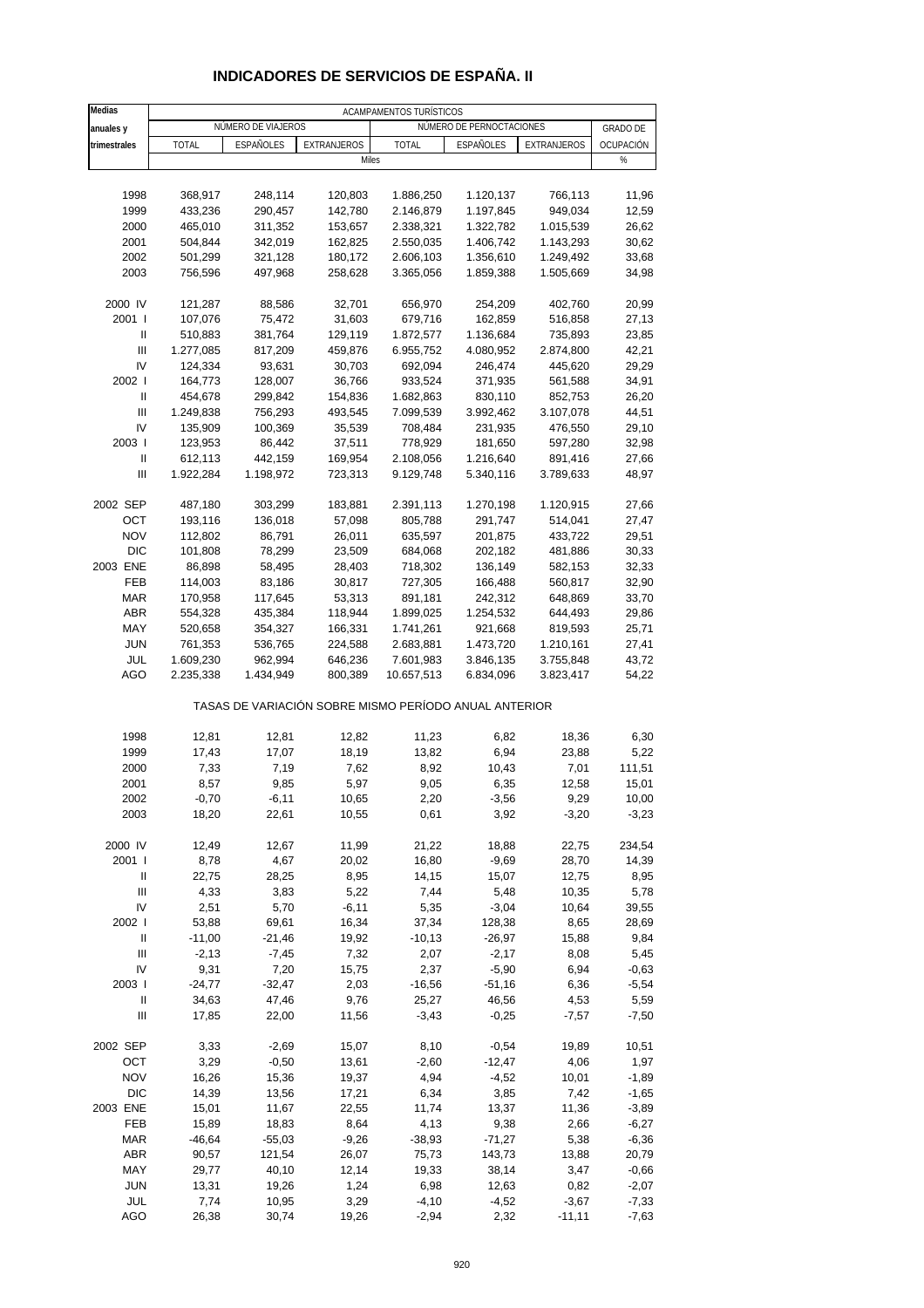| Medias       | ACAMPAMENTOS TURÍSTICOS |                    |                                                       |              |                          |             |                 |  |  |  |
|--------------|-------------------------|--------------------|-------------------------------------------------------|--------------|--------------------------|-------------|-----------------|--|--|--|
| anuales y    |                         | NÚMERO DE VIAJEROS |                                                       |              | NÚMERO DE PERNOCTACIONES |             | <b>GRADO DE</b> |  |  |  |
| trimestrales | <b>TOTAL</b>            | <b>ESPAÑOLES</b>   | <b>EXTRANJEROS</b>                                    | <b>TOTAL</b> | <b>ESPAÑOLES</b>         | EXTRANJEROS | OCUPACIÓN       |  |  |  |
|              |                         |                    | Miles                                                 |              |                          |             | $\%$            |  |  |  |
|              |                         |                    |                                                       |              |                          |             |                 |  |  |  |
|              |                         |                    |                                                       |              |                          |             |                 |  |  |  |
| 1998         | 368,917                 | 248,114            | 120,803                                               | 1.886,250    | 1.120,137                | 766,113     | 11,96           |  |  |  |
| 1999         | 433,236                 | 290,457            | 142,780                                               | 2.146,879    | 1.197,845                | 949,034     | 12,59           |  |  |  |
| 2000         | 465,010                 | 311,352            | 153,657                                               | 2.338,321    | 1.322,782                | 1.015,539   | 26,62           |  |  |  |
| 2001         | 504,844                 | 342,019            | 162,825                                               | 2.550,035    | 1.406,742                | 1.143,293   | 30,62           |  |  |  |
| 2002         | 501,299                 | 321,128            | 180,172                                               | 2.606,103    | 1.356,610                | 1.249,492   | 33,68           |  |  |  |
| 2003         | 756,596                 | 497,968            | 258,628                                               | 3.365,056    | 1.859,388                | 1.505,669   | 34,98           |  |  |  |
|              |                         |                    |                                                       |              |                          |             |                 |  |  |  |
| 2000 IV      | 121,287                 | 88,586             | 32,701                                                | 656,970      | 254,209                  | 402,760     | 20,99           |  |  |  |
| 2001 l       | 107,076                 | 75,472             | 31,603                                                | 679,716      | 162,859                  | 516,858     | 27,13           |  |  |  |
| Ш            | 510,883                 | 381,764            | 129,119                                               | 1.872,577    | 1.136,684                | 735,893     | 23,85           |  |  |  |
| Ш            | 1.277,085               | 817,209            | 459,876                                               | 6.955,752    | 4.080,952                | 2.874,800   | 42,21           |  |  |  |
| IV           | 124,334                 | 93,631             | 30,703                                                | 692,094      | 246,474                  | 445,620     | 29,29           |  |  |  |
| 2002 l       | 164,773                 | 128,007            | 36,766                                                | 933,524      | 371,935                  | 561,588     | 34,91           |  |  |  |
|              |                         |                    |                                                       |              |                          |             |                 |  |  |  |
| Ш            | 454,678                 | 299,842            | 154,836                                               | 1.682,863    | 830,110                  | 852,753     | 26,20           |  |  |  |
| Ш            | 1.249,838               | 756,293            | 493,545                                               | 7.099,539    | 3.992,462                | 3.107,078   | 44,51           |  |  |  |
| IV           | 135,909                 | 100,369            | 35,539                                                | 708,484      | 231,935                  | 476,550     | 29,10           |  |  |  |
| 2003         | 123,953                 | 86,442             | 37,511                                                | 778,929      | 181,650                  | 597,280     | 32,98           |  |  |  |
| Ш            | 612,113                 | 442,159            | 169,954                                               | 2.108,056    | 1.216,640                | 891,416     | 27,66           |  |  |  |
| Ш            | 1.922,284               | 1.198,972          | 723,313                                               | 9.129,748    | 5.340,116                | 3.789,633   | 48,97           |  |  |  |
|              |                         |                    |                                                       |              |                          |             |                 |  |  |  |
| 2002 SEP     | 487,180                 | 303,299            | 183,881                                               | 2.391,113    | 1.270,198                | 1.120,915   | 27,66           |  |  |  |
| ОСТ          | 193,116                 | 136,018            | 57,098                                                | 805,788      | 291,747                  | 514,041     | 27,47           |  |  |  |
| <b>NOV</b>   | 112,802                 | 86,791             | 26,011                                                | 635,597      | 201,875                  | 433,722     | 29,51           |  |  |  |
| <b>DIC</b>   | 101,808                 | 78,299             | 23,509                                                | 684,068      | 202,182                  | 481,886     | 30,33           |  |  |  |
| 2003 ENE     | 86,898                  | 58,495             | 28,403                                                | 718,302      | 136,149                  | 582,153     | 32,33           |  |  |  |
|              |                         |                    |                                                       |              |                          |             |                 |  |  |  |
| FEB          | 114,003                 | 83,186             | 30,817                                                | 727,305      | 166,488                  | 560,817     | 32,90           |  |  |  |
| <b>MAR</b>   | 170,958                 | 117,645            | 53,313                                                | 891,181      | 242,312                  | 648,869     | 33,70           |  |  |  |
| <b>ABR</b>   | 554,328                 | 435,384            | 118,944                                               | 1.899,025    | 1.254,532                | 644,493     | 29,86           |  |  |  |
| MAY          | 520,658                 | 354,327            | 166,331                                               | 1.741,261    | 921,668                  | 819,593     | 25,71           |  |  |  |
| <b>JUN</b>   | 761,353                 | 536,765            | 224,588                                               | 2.683,881    | 1.473,720                | 1.210,161   | 27,41           |  |  |  |
| JUL          | 1.609,230               | 962,994            | 646,236                                               | 7.601,983    | 3.846,135                | 3.755,848   | 43,72           |  |  |  |
| AGO          | 2.235,338               | 1.434,949          | 800,389                                               | 10.657,513   | 6.834,096                | 3.823,417   | 54,22           |  |  |  |
|              |                         |                    | TASAS DE VARIACIÓN SOBRE MISMO PERÍODO ANUAL ANTERIOR |              |                          |             |                 |  |  |  |
| 1998         | 12,81                   |                    |                                                       | 11,23        |                          | 18,36       | 6,30            |  |  |  |
|              |                         | 12,81              | 12,82                                                 |              | 6,82                     |             |                 |  |  |  |
| 1999         | 17,43                   | 17,07              | 18,19                                                 | 13,82        | 6,94                     | 23,88       | 5,22            |  |  |  |
| 2000         | 7,33                    | 7,19               | 7,62                                                  | 8,92         | 10,43                    | 7,01        | 111,51          |  |  |  |
| 2001         | 8,57                    | 9,85               | 5,97                                                  | 9,05         | 6,35                     | 12,58       | 15,01           |  |  |  |
| 2002         | $-0,70$                 | -6,11              | 10,65                                                 | 2,20         | -3,56                    | 9,29        | 10,00           |  |  |  |
| 2003         | 18,20                   | 22,61              | 10,55                                                 | 0,61         | 3,92                     | $-3,20$     | $-3,23$         |  |  |  |
|              |                         |                    |                                                       |              |                          |             |                 |  |  |  |
| 2000 IV      | 12,49                   | 12,67              | 11,99                                                 | 21,22        | 18,88                    | 22,75       | 234,54          |  |  |  |
| 2001 l       | 8,78                    | 4,67               | 20,02                                                 | 16,80        | $-9,69$                  | 28,70       | 14,39           |  |  |  |
| Ш            | 22,75                   | 28,25              | 8,95                                                  | 14,15        | 15,07                    | 12,75       | 8,95            |  |  |  |
| Ш            | 4,33                    | 3,83               | 5,22                                                  | 7,44         | 5,48                     | 10,35       | 5,78            |  |  |  |
| IV           | 2,51                    | 5,70               | $-6,11$                                               | 5,35         | $-3,04$                  | 10,64       | 39,55           |  |  |  |
| 2002 l       | 53,88                   | 69,61              | 16,34                                                 | 37,34        | 128,38                   | 8,65        | 28,69           |  |  |  |
| Ш            | $-11,00$                | $-21,46$           | 19,92                                                 | $-10,13$     | $-26,97$                 | 15,88       | 9,84            |  |  |  |
| Ш            | $-2,13$                 | $-7,45$            | 7,32                                                  | 2,07         | $-2,17$                  | 8,08        | 5,45            |  |  |  |
| IV           | 9,31                    | 7,20               | 15,75                                                 | 2,37         | $-5,90$                  | 6,94        | $-0,63$         |  |  |  |
| 2003         |                         |                    |                                                       |              |                          |             |                 |  |  |  |
|              | $-24,77$                | $-32,47$           | 2,03                                                  | $-16,56$     | $-51,16$                 | 6,36        | $-5,54$         |  |  |  |
| Ш            | 34,63                   | 47,46              | 9,76                                                  | 25,27        | 46,56                    | 4,53        | 5,59            |  |  |  |
| Ш            | 17,85                   | 22,00              | 11,56                                                 | $-3,43$      | $-0,25$                  | $-7,57$     | $-7,50$         |  |  |  |
| 2002 SEP     | 3,33                    | $-2,69$            | 15,07                                                 | 8,10         | $-0,54$                  | 19,89       | 10,51           |  |  |  |
| OCT          | 3,29                    | $-0,50$            | 13,61                                                 | $-2,60$      | $-12,47$                 | 4,06        | 1,97            |  |  |  |
| <b>NOV</b>   | 16,26                   | 15,36              | 19,37                                                 | 4,94         | $-4,52$                  | 10,01       | $-1,89$         |  |  |  |
| <b>DIC</b>   | 14,39                   | 13,56              | 17,21                                                 | 6,34         | 3,85                     | 7,42        | $-1,65$         |  |  |  |
| 2003 ENE     | 15,01                   | 11,67              | 22,55                                                 | 11,74        | 13,37                    | 11,36       | $-3,89$         |  |  |  |
| FEB          | 15,89                   | 18,83              | 8,64                                                  | 4,13         | 9,38                     | 2,66        | $-6,27$         |  |  |  |
| <b>MAR</b>   | $-46,64$                | $-55,03$           | $-9,26$                                               | $-38,93$     | $-71,27$                 | 5,38        | $-6,36$         |  |  |  |
|              |                         |                    |                                                       |              |                          |             |                 |  |  |  |
| <b>ABR</b>   | 90,57                   | 121,54             | 26,07                                                 | 75,73        | 143,73                   | 13,88       | 20,79           |  |  |  |
| MAY          | 29,77                   | 40,10              | 12,14                                                 | 19,33        | 38,14                    | 3,47        | $-0,66$         |  |  |  |
| <b>JUN</b>   | 13,31                   | 19,26              | 1,24                                                  | 6,98         | 12,63                    | 0,82        | $-2,07$         |  |  |  |
| JUL          | 7,74                    | 10,95              | 3,29                                                  | $-4,10$      | $-4,52$                  | $-3,67$     | $-7,33$         |  |  |  |
| AGO          | 26,38                   | 30,74              | 19,26                                                 | $-2,94$      | 2,32                     | $-11,11$    | $-7,63$         |  |  |  |

#### **INDICADORES DE SERVICIOS DE ESPAÑA. II**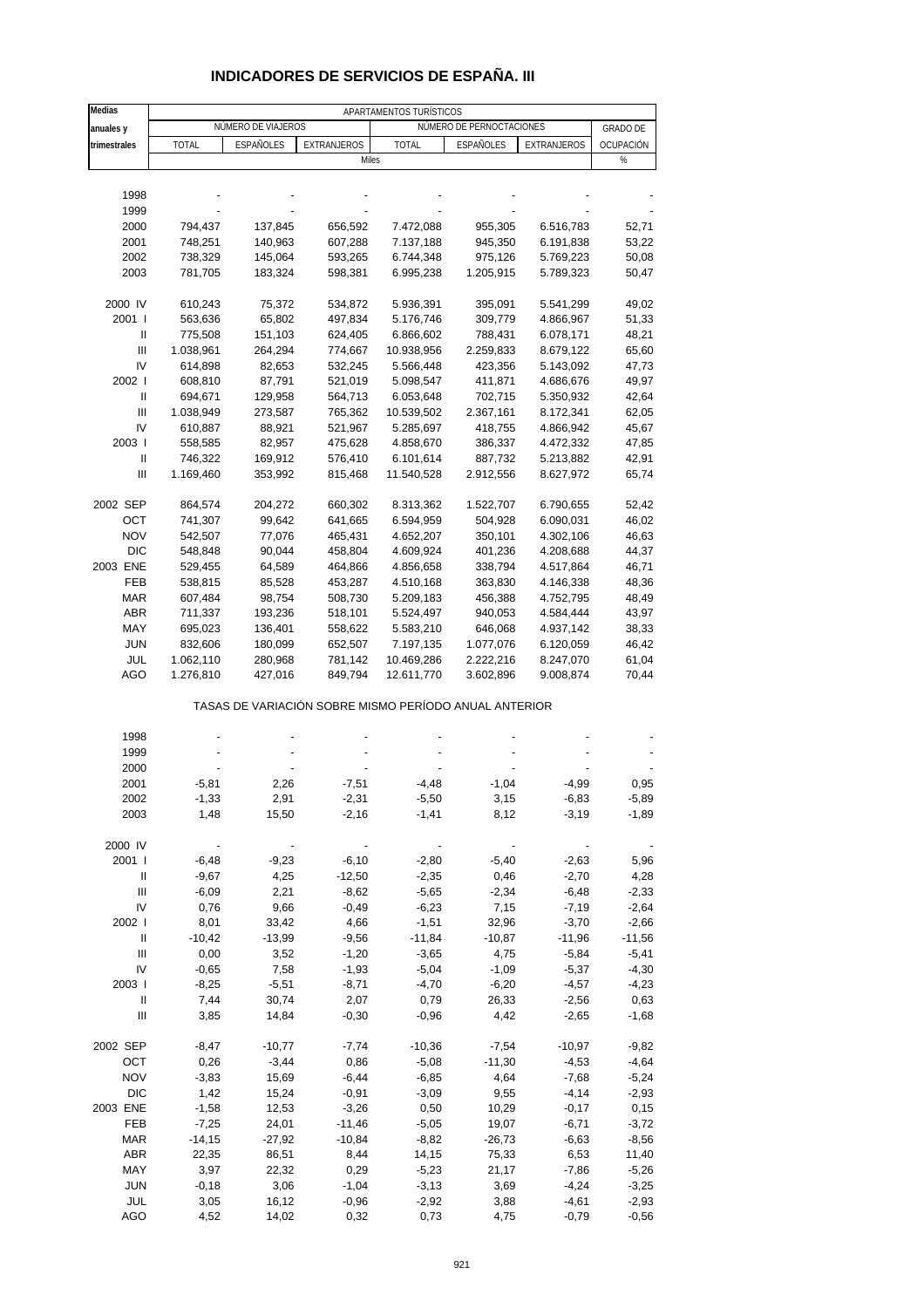# **INDICADORES DE SERVICIOS DE ESPAÑA. III**

| NÚMERO DE PERNOCTACIONES<br>NÚMERO DE VIAJEROS<br><b>GRADO DE</b><br>anuales y<br>trimestrales<br><b>TOTAL</b><br>ESPAÑOLES<br><b>EXTRANJEROS</b><br><b>TOTAL</b><br><b>ESPAÑOLES</b><br>EXTRANJEROS<br>OCUPACIÓN<br>Miles<br>%<br>1998<br>1999<br>2000<br>794,437<br>137,845<br>656,592<br>7.472,088<br>955,305<br>6.516,783<br>52,71<br>2001<br>748,251<br>140,963<br>607,288<br>7.137,188<br>6.191,838<br>53,22<br>945,350<br>2002<br>738,329<br>145,064<br>593,265<br>6.744,348<br>5.769,223<br>975,126<br>50,08<br>2003<br>781,705<br>183,324<br>6.995,238<br>1.205,915<br>5.789,323<br>598,381<br>50,47<br>2000 IV<br>5.936,391<br>5.541,299<br>49,02<br>610,243<br>75,372<br>534,872<br>395,091<br>2001 l<br>65,802<br>497,834<br>4.866,967<br>563,636<br>5.176,746<br>309,779<br>51,33<br>Ш<br>775,508<br>151,103<br>788,431<br>6.078,171<br>48,21<br>624,405<br>6.866,602<br>$\ensuremath{\mathsf{III}}\xspace$<br>1.038,961<br>264,294<br>774,667<br>10.938,956<br>2.259,833<br>8.679,122<br>65,60<br>IV<br>532,245<br>5.143,092<br>47,73<br>614,898<br>82,653<br>5.566,448<br>423,356<br>2002 l<br>608,810<br>87,791<br>521,019<br>5.098,547<br>411,871<br>4.686,676<br>49,97<br>Ш<br>694,671<br>129,958<br>564,713<br>6.053,648<br>702,715<br>5.350,932<br>42,64<br>III<br>8.172,341<br>1.038,949<br>273,587<br>765,362<br>10.539,502<br>2.367,161<br>62,05<br>IV<br>610,887<br>88,921<br>521,967<br>5.285,697<br>418,755<br>4.866,942<br>45,67<br>2003  <br>558,585<br>82,957<br>475,628<br>4.858,670<br>386,337<br>4.472,332<br>47,85<br>Ш<br>746,322<br>169,912<br>576,410<br>6.101,614<br>887,732<br>5.213,882<br>42,91<br>Ш<br>1.169,460<br>353,992<br>11.540,528<br>2.912,556<br>8.627,972<br>65,74<br>815,468<br>2002 SEP<br>660,302<br>1.522,707<br>52,42<br>864,574<br>204,272<br>8.313,362<br>6.790,655<br>OCT<br>741,307<br>99,642<br>641,665<br>6.594,959<br>504,928<br>6.090,031<br>46,02<br><b>NOV</b><br>542,507<br>77,076<br>465,431<br>4.652,207<br>350,101<br>4.302,106<br>46,63<br><b>DIC</b><br>548,848<br>90,044<br>458,804<br>4.609,924<br>401,236<br>4.208,688<br>44,37<br>2003 ENE<br>338,794<br>4.517,864<br>46,71<br>529,455<br>64,589<br>464,866<br>4.856,658<br><b>FEB</b><br>4.146,338<br>538,815<br>85,528<br>453,287<br>4.510,168<br>363,830<br>48,36<br><b>MAR</b><br>508,730<br>4.752,795<br>48,49<br>607,484<br>98,754<br>5.209,183<br>456,388<br><b>ABR</b><br>711,337<br>193,236<br>518,101<br>4.584,444<br>5.524,497<br>940,053<br>43,97<br>MAY<br>695,023<br>136,401<br>558,622<br>646,068<br>4.937,142<br>5.583,210<br>38,33<br><b>JUN</b><br>832,606<br>180,099<br>652,507<br>7.197,135<br>1.077,076<br>6.120,059<br>46,42<br>JUL<br>1.062,110<br>280,968<br>781,142<br>10.469,286<br>2.222,216<br>8.247,070<br>61,04<br>AGO<br>1.276,810<br>427,016<br>849,794<br>12.611,770<br>3.602,896<br>9.008,874<br>70,44<br>TASAS DE VARIACIÓN SOBRE MISMO PERÍODO ANUAL ANTERIOR<br>1998<br>1999<br>2000<br>2001<br>2,26<br>0,95<br>$-5,81$<br>$-7,51$<br>-4,48<br>$-1,04$<br>-4,99<br>2002<br>$-1,33$<br>2,91<br>$-2,31$<br>$-5,50$<br>3,15<br>$-6,83$<br>$-5,89$<br>2003<br>1,48<br>15,50<br>$-2,16$<br>$-1,89$<br>$-1,41$<br>8,12<br>$-3,19$<br>2000 IV<br>$-6,10$<br>2001 l<br>$-6,48$<br>$-9,23$<br>$-2,80$<br>$-5,40$<br>$-2,63$<br>5,96<br>$-2,70$<br>Ш<br>$-9,67$<br>4,25<br>$-12,50$<br>$-2,35$<br>0,46<br>4,28<br>Ш<br>$-6,09$<br>2,21<br>$-8,62$<br>$-5,65$<br>$-2,34$<br>$-6,48$<br>$-2,33$<br>IV<br>9,66<br>0,76<br>$-0,49$<br>$-6,23$<br>7,15<br>$-7,19$<br>$-2,64$<br>2002  <br>8,01<br>4,66<br>$-1,51$<br>32,96<br>$-3,70$<br>$-2,66$<br>33,42<br>Ш<br>$-10,42$<br>$-9,56$<br>$-11,96$<br>$-11,56$<br>$-13,99$<br>$-11,84$<br>-10,87<br>$\mathbf{III}$<br>0,00<br>$-1,20$<br>$-5,84$<br>3,52<br>$-3,65$<br>4,75<br>$-5,41$<br>IV<br>$-0,65$<br>7,58<br>$-1,93$<br>$-5,04$<br>$-1,09$<br>$-5,37$<br>$-4,30$<br>2003  <br>$-8,25$<br>$-5,51$<br>$-8,71$<br>$-4,70$<br>$-6,20$<br>$-4,57$<br>$-4,23$<br>Ш<br>7,44<br>30,74<br>2,07<br>0,79<br>26,33<br>$-2,56$<br>0,63<br>Ш<br>14,84<br>$-0,30$<br>$-0,96$<br>4,42<br>$-2,65$<br>$-1,68$<br>3,85<br>2002 SEP<br>$-8,47$<br>$-10,36$<br>$-7,54$<br>$-10,97$<br>$-9,82$<br>$-10,77$<br>$-7,74$<br>0,26<br>$-4,64$<br>OCT<br>$-3,44$<br>0,86<br>$-5,08$<br>$-11,30$<br>$-4,53$<br><b>NOV</b><br>$-3,83$<br>$-6,44$<br>$-7,68$<br>$-5,24$<br>15,69<br>$-6,85$<br>4,64<br><b>DIC</b><br>1,42<br>15,24<br>$-0,91$<br>$-3,09$<br>9,55<br>$-4,14$<br>$-2,93$<br>2003 ENE<br>$-1,58$<br>12,53<br>$-3,26$<br>0,50<br>10,29<br>$-0,17$<br>0,15<br>FEB<br>$-7,25$<br>24,01<br>$-11,46$<br>$-5,05$<br>19,07<br>$-6,71$<br>$-3,72$<br><b>MAR</b><br>$-14,15$<br>$-27,92$<br>$-10,84$<br>$-8,82$<br>$-26,73$<br>$-6,63$<br>$-8,56$<br><b>ABR</b><br>22,35<br>86,51<br>8,44<br>14,15<br>75,33<br>6,53<br>11,40<br>MAY<br>3,97<br>0,29<br>$-7,86$<br>22,32<br>$-5,23$<br>21,17<br>$-5,26$<br><b>JUN</b><br>$-0,18$<br>3,06<br>$-1,04$<br>$-3,13$<br>$-4,24$<br>3,69<br>$-3,25$<br>JUL<br>3,05<br>16,12<br>$-0,96$<br>$-2,92$<br>$-4,61$<br>$-2,93$<br>3,88<br>AGO<br>4,52<br>14,02<br>0,32<br>$-0,79$<br>$-0,56$<br>0,73<br>4,75 | <b>Medias</b> |  | APARTAMENTOS TURÍSTICOS |  |  |
|---------------------------------------------------------------------------------------------------------------------------------------------------------------------------------------------------------------------------------------------------------------------------------------------------------------------------------------------------------------------------------------------------------------------------------------------------------------------------------------------------------------------------------------------------------------------------------------------------------------------------------------------------------------------------------------------------------------------------------------------------------------------------------------------------------------------------------------------------------------------------------------------------------------------------------------------------------------------------------------------------------------------------------------------------------------------------------------------------------------------------------------------------------------------------------------------------------------------------------------------------------------------------------------------------------------------------------------------------------------------------------------------------------------------------------------------------------------------------------------------------------------------------------------------------------------------------------------------------------------------------------------------------------------------------------------------------------------------------------------------------------------------------------------------------------------------------------------------------------------------------------------------------------------------------------------------------------------------------------------------------------------------------------------------------------------------------------------------------------------------------------------------------------------------------------------------------------------------------------------------------------------------------------------------------------------------------------------------------------------------------------------------------------------------------------------------------------------------------------------------------------------------------------------------------------------------------------------------------------------------------------------------------------------------------------------------------------------------------------------------------------------------------------------------------------------------------------------------------------------------------------------------------------------------------------------------------------------------------------------------------------------------------------------------------------------------------------------------------------------------------------------------------------------------------------------------------------------------------------------------------------------------------------------------------------------------------------------------------------------------------------------------------------------------------------------------------------------------------------------------------------------------------------------------------------------------------------------------------------------------------------------------------------------------------------------------------------------------------------------------------------------------------------------------------------------------------------------------------------------------------------------------------------------------------------------------------------------------------------------------------------------------------------------------------------------------------------------------------------------------------------------------------------------------------------------------------------------------------------------------------------------------------------------------------------------------------------------------------------------------------------------------------------------------------------------------------------------------------------------------------------------------------------------------------------------------------------------------------------------------------------------------------------------------------------------------------------------------------------------------------------------------------------------------------------------------------------------------------------------------------------------------------------------------------------------------------------------------------------------------------------------------------------------------------------------------------------------------------------------------------|---------------|--|-------------------------|--|--|
|                                                                                                                                                                                                                                                                                                                                                                                                                                                                                                                                                                                                                                                                                                                                                                                                                                                                                                                                                                                                                                                                                                                                                                                                                                                                                                                                                                                                                                                                                                                                                                                                                                                                                                                                                                                                                                                                                                                                                                                                                                                                                                                                                                                                                                                                                                                                                                                                                                                                                                                                                                                                                                                                                                                                                                                                                                                                                                                                                                                                                                                                                                                                                                                                                                                                                                                                                                                                                                                                                                                                                                                                                                                                                                                                                                                                                                                                                                                                                                                                                                                                                                                                                                                                                                                                                                                                                                                                                                                                                                                                                                                                                                                                                                                                                                                                                                                                                                                                                                                                                                                                                                                           |               |  |                         |  |  |
|                                                                                                                                                                                                                                                                                                                                                                                                                                                                                                                                                                                                                                                                                                                                                                                                                                                                                                                                                                                                                                                                                                                                                                                                                                                                                                                                                                                                                                                                                                                                                                                                                                                                                                                                                                                                                                                                                                                                                                                                                                                                                                                                                                                                                                                                                                                                                                                                                                                                                                                                                                                                                                                                                                                                                                                                                                                                                                                                                                                                                                                                                                                                                                                                                                                                                                                                                                                                                                                                                                                                                                                                                                                                                                                                                                                                                                                                                                                                                                                                                                                                                                                                                                                                                                                                                                                                                                                                                                                                                                                                                                                                                                                                                                                                                                                                                                                                                                                                                                                                                                                                                                                           |               |  |                         |  |  |
|                                                                                                                                                                                                                                                                                                                                                                                                                                                                                                                                                                                                                                                                                                                                                                                                                                                                                                                                                                                                                                                                                                                                                                                                                                                                                                                                                                                                                                                                                                                                                                                                                                                                                                                                                                                                                                                                                                                                                                                                                                                                                                                                                                                                                                                                                                                                                                                                                                                                                                                                                                                                                                                                                                                                                                                                                                                                                                                                                                                                                                                                                                                                                                                                                                                                                                                                                                                                                                                                                                                                                                                                                                                                                                                                                                                                                                                                                                                                                                                                                                                                                                                                                                                                                                                                                                                                                                                                                                                                                                                                                                                                                                                                                                                                                                                                                                                                                                                                                                                                                                                                                                                           |               |  |                         |  |  |
|                                                                                                                                                                                                                                                                                                                                                                                                                                                                                                                                                                                                                                                                                                                                                                                                                                                                                                                                                                                                                                                                                                                                                                                                                                                                                                                                                                                                                                                                                                                                                                                                                                                                                                                                                                                                                                                                                                                                                                                                                                                                                                                                                                                                                                                                                                                                                                                                                                                                                                                                                                                                                                                                                                                                                                                                                                                                                                                                                                                                                                                                                                                                                                                                                                                                                                                                                                                                                                                                                                                                                                                                                                                                                                                                                                                                                                                                                                                                                                                                                                                                                                                                                                                                                                                                                                                                                                                                                                                                                                                                                                                                                                                                                                                                                                                                                                                                                                                                                                                                                                                                                                                           |               |  |                         |  |  |
|                                                                                                                                                                                                                                                                                                                                                                                                                                                                                                                                                                                                                                                                                                                                                                                                                                                                                                                                                                                                                                                                                                                                                                                                                                                                                                                                                                                                                                                                                                                                                                                                                                                                                                                                                                                                                                                                                                                                                                                                                                                                                                                                                                                                                                                                                                                                                                                                                                                                                                                                                                                                                                                                                                                                                                                                                                                                                                                                                                                                                                                                                                                                                                                                                                                                                                                                                                                                                                                                                                                                                                                                                                                                                                                                                                                                                                                                                                                                                                                                                                                                                                                                                                                                                                                                                                                                                                                                                                                                                                                                                                                                                                                                                                                                                                                                                                                                                                                                                                                                                                                                                                                           |               |  |                         |  |  |
|                                                                                                                                                                                                                                                                                                                                                                                                                                                                                                                                                                                                                                                                                                                                                                                                                                                                                                                                                                                                                                                                                                                                                                                                                                                                                                                                                                                                                                                                                                                                                                                                                                                                                                                                                                                                                                                                                                                                                                                                                                                                                                                                                                                                                                                                                                                                                                                                                                                                                                                                                                                                                                                                                                                                                                                                                                                                                                                                                                                                                                                                                                                                                                                                                                                                                                                                                                                                                                                                                                                                                                                                                                                                                                                                                                                                                                                                                                                                                                                                                                                                                                                                                                                                                                                                                                                                                                                                                                                                                                                                                                                                                                                                                                                                                                                                                                                                                                                                                                                                                                                                                                                           |               |  |                         |  |  |
|                                                                                                                                                                                                                                                                                                                                                                                                                                                                                                                                                                                                                                                                                                                                                                                                                                                                                                                                                                                                                                                                                                                                                                                                                                                                                                                                                                                                                                                                                                                                                                                                                                                                                                                                                                                                                                                                                                                                                                                                                                                                                                                                                                                                                                                                                                                                                                                                                                                                                                                                                                                                                                                                                                                                                                                                                                                                                                                                                                                                                                                                                                                                                                                                                                                                                                                                                                                                                                                                                                                                                                                                                                                                                                                                                                                                                                                                                                                                                                                                                                                                                                                                                                                                                                                                                                                                                                                                                                                                                                                                                                                                                                                                                                                                                                                                                                                                                                                                                                                                                                                                                                                           |               |  |                         |  |  |
|                                                                                                                                                                                                                                                                                                                                                                                                                                                                                                                                                                                                                                                                                                                                                                                                                                                                                                                                                                                                                                                                                                                                                                                                                                                                                                                                                                                                                                                                                                                                                                                                                                                                                                                                                                                                                                                                                                                                                                                                                                                                                                                                                                                                                                                                                                                                                                                                                                                                                                                                                                                                                                                                                                                                                                                                                                                                                                                                                                                                                                                                                                                                                                                                                                                                                                                                                                                                                                                                                                                                                                                                                                                                                                                                                                                                                                                                                                                                                                                                                                                                                                                                                                                                                                                                                                                                                                                                                                                                                                                                                                                                                                                                                                                                                                                                                                                                                                                                                                                                                                                                                                                           |               |  |                         |  |  |
|                                                                                                                                                                                                                                                                                                                                                                                                                                                                                                                                                                                                                                                                                                                                                                                                                                                                                                                                                                                                                                                                                                                                                                                                                                                                                                                                                                                                                                                                                                                                                                                                                                                                                                                                                                                                                                                                                                                                                                                                                                                                                                                                                                                                                                                                                                                                                                                                                                                                                                                                                                                                                                                                                                                                                                                                                                                                                                                                                                                                                                                                                                                                                                                                                                                                                                                                                                                                                                                                                                                                                                                                                                                                                                                                                                                                                                                                                                                                                                                                                                                                                                                                                                                                                                                                                                                                                                                                                                                                                                                                                                                                                                                                                                                                                                                                                                                                                                                                                                                                                                                                                                                           |               |  |                         |  |  |
|                                                                                                                                                                                                                                                                                                                                                                                                                                                                                                                                                                                                                                                                                                                                                                                                                                                                                                                                                                                                                                                                                                                                                                                                                                                                                                                                                                                                                                                                                                                                                                                                                                                                                                                                                                                                                                                                                                                                                                                                                                                                                                                                                                                                                                                                                                                                                                                                                                                                                                                                                                                                                                                                                                                                                                                                                                                                                                                                                                                                                                                                                                                                                                                                                                                                                                                                                                                                                                                                                                                                                                                                                                                                                                                                                                                                                                                                                                                                                                                                                                                                                                                                                                                                                                                                                                                                                                                                                                                                                                                                                                                                                                                                                                                                                                                                                                                                                                                                                                                                                                                                                                                           |               |  |                         |  |  |
|                                                                                                                                                                                                                                                                                                                                                                                                                                                                                                                                                                                                                                                                                                                                                                                                                                                                                                                                                                                                                                                                                                                                                                                                                                                                                                                                                                                                                                                                                                                                                                                                                                                                                                                                                                                                                                                                                                                                                                                                                                                                                                                                                                                                                                                                                                                                                                                                                                                                                                                                                                                                                                                                                                                                                                                                                                                                                                                                                                                                                                                                                                                                                                                                                                                                                                                                                                                                                                                                                                                                                                                                                                                                                                                                                                                                                                                                                                                                                                                                                                                                                                                                                                                                                                                                                                                                                                                                                                                                                                                                                                                                                                                                                                                                                                                                                                                                                                                                                                                                                                                                                                                           |               |  |                         |  |  |
|                                                                                                                                                                                                                                                                                                                                                                                                                                                                                                                                                                                                                                                                                                                                                                                                                                                                                                                                                                                                                                                                                                                                                                                                                                                                                                                                                                                                                                                                                                                                                                                                                                                                                                                                                                                                                                                                                                                                                                                                                                                                                                                                                                                                                                                                                                                                                                                                                                                                                                                                                                                                                                                                                                                                                                                                                                                                                                                                                                                                                                                                                                                                                                                                                                                                                                                                                                                                                                                                                                                                                                                                                                                                                                                                                                                                                                                                                                                                                                                                                                                                                                                                                                                                                                                                                                                                                                                                                                                                                                                                                                                                                                                                                                                                                                                                                                                                                                                                                                                                                                                                                                                           |               |  |                         |  |  |
|                                                                                                                                                                                                                                                                                                                                                                                                                                                                                                                                                                                                                                                                                                                                                                                                                                                                                                                                                                                                                                                                                                                                                                                                                                                                                                                                                                                                                                                                                                                                                                                                                                                                                                                                                                                                                                                                                                                                                                                                                                                                                                                                                                                                                                                                                                                                                                                                                                                                                                                                                                                                                                                                                                                                                                                                                                                                                                                                                                                                                                                                                                                                                                                                                                                                                                                                                                                                                                                                                                                                                                                                                                                                                                                                                                                                                                                                                                                                                                                                                                                                                                                                                                                                                                                                                                                                                                                                                                                                                                                                                                                                                                                                                                                                                                                                                                                                                                                                                                                                                                                                                                                           |               |  |                         |  |  |
|                                                                                                                                                                                                                                                                                                                                                                                                                                                                                                                                                                                                                                                                                                                                                                                                                                                                                                                                                                                                                                                                                                                                                                                                                                                                                                                                                                                                                                                                                                                                                                                                                                                                                                                                                                                                                                                                                                                                                                                                                                                                                                                                                                                                                                                                                                                                                                                                                                                                                                                                                                                                                                                                                                                                                                                                                                                                                                                                                                                                                                                                                                                                                                                                                                                                                                                                                                                                                                                                                                                                                                                                                                                                                                                                                                                                                                                                                                                                                                                                                                                                                                                                                                                                                                                                                                                                                                                                                                                                                                                                                                                                                                                                                                                                                                                                                                                                                                                                                                                                                                                                                                                           |               |  |                         |  |  |
|                                                                                                                                                                                                                                                                                                                                                                                                                                                                                                                                                                                                                                                                                                                                                                                                                                                                                                                                                                                                                                                                                                                                                                                                                                                                                                                                                                                                                                                                                                                                                                                                                                                                                                                                                                                                                                                                                                                                                                                                                                                                                                                                                                                                                                                                                                                                                                                                                                                                                                                                                                                                                                                                                                                                                                                                                                                                                                                                                                                                                                                                                                                                                                                                                                                                                                                                                                                                                                                                                                                                                                                                                                                                                                                                                                                                                                                                                                                                                                                                                                                                                                                                                                                                                                                                                                                                                                                                                                                                                                                                                                                                                                                                                                                                                                                                                                                                                                                                                                                                                                                                                                                           |               |  |                         |  |  |
|                                                                                                                                                                                                                                                                                                                                                                                                                                                                                                                                                                                                                                                                                                                                                                                                                                                                                                                                                                                                                                                                                                                                                                                                                                                                                                                                                                                                                                                                                                                                                                                                                                                                                                                                                                                                                                                                                                                                                                                                                                                                                                                                                                                                                                                                                                                                                                                                                                                                                                                                                                                                                                                                                                                                                                                                                                                                                                                                                                                                                                                                                                                                                                                                                                                                                                                                                                                                                                                                                                                                                                                                                                                                                                                                                                                                                                                                                                                                                                                                                                                                                                                                                                                                                                                                                                                                                                                                                                                                                                                                                                                                                                                                                                                                                                                                                                                                                                                                                                                                                                                                                                                           |               |  |                         |  |  |
|                                                                                                                                                                                                                                                                                                                                                                                                                                                                                                                                                                                                                                                                                                                                                                                                                                                                                                                                                                                                                                                                                                                                                                                                                                                                                                                                                                                                                                                                                                                                                                                                                                                                                                                                                                                                                                                                                                                                                                                                                                                                                                                                                                                                                                                                                                                                                                                                                                                                                                                                                                                                                                                                                                                                                                                                                                                                                                                                                                                                                                                                                                                                                                                                                                                                                                                                                                                                                                                                                                                                                                                                                                                                                                                                                                                                                                                                                                                                                                                                                                                                                                                                                                                                                                                                                                                                                                                                                                                                                                                                                                                                                                                                                                                                                                                                                                                                                                                                                                                                                                                                                                                           |               |  |                         |  |  |
|                                                                                                                                                                                                                                                                                                                                                                                                                                                                                                                                                                                                                                                                                                                                                                                                                                                                                                                                                                                                                                                                                                                                                                                                                                                                                                                                                                                                                                                                                                                                                                                                                                                                                                                                                                                                                                                                                                                                                                                                                                                                                                                                                                                                                                                                                                                                                                                                                                                                                                                                                                                                                                                                                                                                                                                                                                                                                                                                                                                                                                                                                                                                                                                                                                                                                                                                                                                                                                                                                                                                                                                                                                                                                                                                                                                                                                                                                                                                                                                                                                                                                                                                                                                                                                                                                                                                                                                                                                                                                                                                                                                                                                                                                                                                                                                                                                                                                                                                                                                                                                                                                                                           |               |  |                         |  |  |
|                                                                                                                                                                                                                                                                                                                                                                                                                                                                                                                                                                                                                                                                                                                                                                                                                                                                                                                                                                                                                                                                                                                                                                                                                                                                                                                                                                                                                                                                                                                                                                                                                                                                                                                                                                                                                                                                                                                                                                                                                                                                                                                                                                                                                                                                                                                                                                                                                                                                                                                                                                                                                                                                                                                                                                                                                                                                                                                                                                                                                                                                                                                                                                                                                                                                                                                                                                                                                                                                                                                                                                                                                                                                                                                                                                                                                                                                                                                                                                                                                                                                                                                                                                                                                                                                                                                                                                                                                                                                                                                                                                                                                                                                                                                                                                                                                                                                                                                                                                                                                                                                                                                           |               |  |                         |  |  |
|                                                                                                                                                                                                                                                                                                                                                                                                                                                                                                                                                                                                                                                                                                                                                                                                                                                                                                                                                                                                                                                                                                                                                                                                                                                                                                                                                                                                                                                                                                                                                                                                                                                                                                                                                                                                                                                                                                                                                                                                                                                                                                                                                                                                                                                                                                                                                                                                                                                                                                                                                                                                                                                                                                                                                                                                                                                                                                                                                                                                                                                                                                                                                                                                                                                                                                                                                                                                                                                                                                                                                                                                                                                                                                                                                                                                                                                                                                                                                                                                                                                                                                                                                                                                                                                                                                                                                                                                                                                                                                                                                                                                                                                                                                                                                                                                                                                                                                                                                                                                                                                                                                                           |               |  |                         |  |  |
|                                                                                                                                                                                                                                                                                                                                                                                                                                                                                                                                                                                                                                                                                                                                                                                                                                                                                                                                                                                                                                                                                                                                                                                                                                                                                                                                                                                                                                                                                                                                                                                                                                                                                                                                                                                                                                                                                                                                                                                                                                                                                                                                                                                                                                                                                                                                                                                                                                                                                                                                                                                                                                                                                                                                                                                                                                                                                                                                                                                                                                                                                                                                                                                                                                                                                                                                                                                                                                                                                                                                                                                                                                                                                                                                                                                                                                                                                                                                                                                                                                                                                                                                                                                                                                                                                                                                                                                                                                                                                                                                                                                                                                                                                                                                                                                                                                                                                                                                                                                                                                                                                                                           |               |  |                         |  |  |
|                                                                                                                                                                                                                                                                                                                                                                                                                                                                                                                                                                                                                                                                                                                                                                                                                                                                                                                                                                                                                                                                                                                                                                                                                                                                                                                                                                                                                                                                                                                                                                                                                                                                                                                                                                                                                                                                                                                                                                                                                                                                                                                                                                                                                                                                                                                                                                                                                                                                                                                                                                                                                                                                                                                                                                                                                                                                                                                                                                                                                                                                                                                                                                                                                                                                                                                                                                                                                                                                                                                                                                                                                                                                                                                                                                                                                                                                                                                                                                                                                                                                                                                                                                                                                                                                                                                                                                                                                                                                                                                                                                                                                                                                                                                                                                                                                                                                                                                                                                                                                                                                                                                           |               |  |                         |  |  |
|                                                                                                                                                                                                                                                                                                                                                                                                                                                                                                                                                                                                                                                                                                                                                                                                                                                                                                                                                                                                                                                                                                                                                                                                                                                                                                                                                                                                                                                                                                                                                                                                                                                                                                                                                                                                                                                                                                                                                                                                                                                                                                                                                                                                                                                                                                                                                                                                                                                                                                                                                                                                                                                                                                                                                                                                                                                                                                                                                                                                                                                                                                                                                                                                                                                                                                                                                                                                                                                                                                                                                                                                                                                                                                                                                                                                                                                                                                                                                                                                                                                                                                                                                                                                                                                                                                                                                                                                                                                                                                                                                                                                                                                                                                                                                                                                                                                                                                                                                                                                                                                                                                                           |               |  |                         |  |  |
|                                                                                                                                                                                                                                                                                                                                                                                                                                                                                                                                                                                                                                                                                                                                                                                                                                                                                                                                                                                                                                                                                                                                                                                                                                                                                                                                                                                                                                                                                                                                                                                                                                                                                                                                                                                                                                                                                                                                                                                                                                                                                                                                                                                                                                                                                                                                                                                                                                                                                                                                                                                                                                                                                                                                                                                                                                                                                                                                                                                                                                                                                                                                                                                                                                                                                                                                                                                                                                                                                                                                                                                                                                                                                                                                                                                                                                                                                                                                                                                                                                                                                                                                                                                                                                                                                                                                                                                                                                                                                                                                                                                                                                                                                                                                                                                                                                                                                                                                                                                                                                                                                                                           |               |  |                         |  |  |
|                                                                                                                                                                                                                                                                                                                                                                                                                                                                                                                                                                                                                                                                                                                                                                                                                                                                                                                                                                                                                                                                                                                                                                                                                                                                                                                                                                                                                                                                                                                                                                                                                                                                                                                                                                                                                                                                                                                                                                                                                                                                                                                                                                                                                                                                                                                                                                                                                                                                                                                                                                                                                                                                                                                                                                                                                                                                                                                                                                                                                                                                                                                                                                                                                                                                                                                                                                                                                                                                                                                                                                                                                                                                                                                                                                                                                                                                                                                                                                                                                                                                                                                                                                                                                                                                                                                                                                                                                                                                                                                                                                                                                                                                                                                                                                                                                                                                                                                                                                                                                                                                                                                           |               |  |                         |  |  |
|                                                                                                                                                                                                                                                                                                                                                                                                                                                                                                                                                                                                                                                                                                                                                                                                                                                                                                                                                                                                                                                                                                                                                                                                                                                                                                                                                                                                                                                                                                                                                                                                                                                                                                                                                                                                                                                                                                                                                                                                                                                                                                                                                                                                                                                                                                                                                                                                                                                                                                                                                                                                                                                                                                                                                                                                                                                                                                                                                                                                                                                                                                                                                                                                                                                                                                                                                                                                                                                                                                                                                                                                                                                                                                                                                                                                                                                                                                                                                                                                                                                                                                                                                                                                                                                                                                                                                                                                                                                                                                                                                                                                                                                                                                                                                                                                                                                                                                                                                                                                                                                                                                                           |               |  |                         |  |  |
|                                                                                                                                                                                                                                                                                                                                                                                                                                                                                                                                                                                                                                                                                                                                                                                                                                                                                                                                                                                                                                                                                                                                                                                                                                                                                                                                                                                                                                                                                                                                                                                                                                                                                                                                                                                                                                                                                                                                                                                                                                                                                                                                                                                                                                                                                                                                                                                                                                                                                                                                                                                                                                                                                                                                                                                                                                                                                                                                                                                                                                                                                                                                                                                                                                                                                                                                                                                                                                                                                                                                                                                                                                                                                                                                                                                                                                                                                                                                                                                                                                                                                                                                                                                                                                                                                                                                                                                                                                                                                                                                                                                                                                                                                                                                                                                                                                                                                                                                                                                                                                                                                                                           |               |  |                         |  |  |
|                                                                                                                                                                                                                                                                                                                                                                                                                                                                                                                                                                                                                                                                                                                                                                                                                                                                                                                                                                                                                                                                                                                                                                                                                                                                                                                                                                                                                                                                                                                                                                                                                                                                                                                                                                                                                                                                                                                                                                                                                                                                                                                                                                                                                                                                                                                                                                                                                                                                                                                                                                                                                                                                                                                                                                                                                                                                                                                                                                                                                                                                                                                                                                                                                                                                                                                                                                                                                                                                                                                                                                                                                                                                                                                                                                                                                                                                                                                                                                                                                                                                                                                                                                                                                                                                                                                                                                                                                                                                                                                                                                                                                                                                                                                                                                                                                                                                                                                                                                                                                                                                                                                           |               |  |                         |  |  |
|                                                                                                                                                                                                                                                                                                                                                                                                                                                                                                                                                                                                                                                                                                                                                                                                                                                                                                                                                                                                                                                                                                                                                                                                                                                                                                                                                                                                                                                                                                                                                                                                                                                                                                                                                                                                                                                                                                                                                                                                                                                                                                                                                                                                                                                                                                                                                                                                                                                                                                                                                                                                                                                                                                                                                                                                                                                                                                                                                                                                                                                                                                                                                                                                                                                                                                                                                                                                                                                                                                                                                                                                                                                                                                                                                                                                                                                                                                                                                                                                                                                                                                                                                                                                                                                                                                                                                                                                                                                                                                                                                                                                                                                                                                                                                                                                                                                                                                                                                                                                                                                                                                                           |               |  |                         |  |  |
|                                                                                                                                                                                                                                                                                                                                                                                                                                                                                                                                                                                                                                                                                                                                                                                                                                                                                                                                                                                                                                                                                                                                                                                                                                                                                                                                                                                                                                                                                                                                                                                                                                                                                                                                                                                                                                                                                                                                                                                                                                                                                                                                                                                                                                                                                                                                                                                                                                                                                                                                                                                                                                                                                                                                                                                                                                                                                                                                                                                                                                                                                                                                                                                                                                                                                                                                                                                                                                                                                                                                                                                                                                                                                                                                                                                                                                                                                                                                                                                                                                                                                                                                                                                                                                                                                                                                                                                                                                                                                                                                                                                                                                                                                                                                                                                                                                                                                                                                                                                                                                                                                                                           |               |  |                         |  |  |
|                                                                                                                                                                                                                                                                                                                                                                                                                                                                                                                                                                                                                                                                                                                                                                                                                                                                                                                                                                                                                                                                                                                                                                                                                                                                                                                                                                                                                                                                                                                                                                                                                                                                                                                                                                                                                                                                                                                                                                                                                                                                                                                                                                                                                                                                                                                                                                                                                                                                                                                                                                                                                                                                                                                                                                                                                                                                                                                                                                                                                                                                                                                                                                                                                                                                                                                                                                                                                                                                                                                                                                                                                                                                                                                                                                                                                                                                                                                                                                                                                                                                                                                                                                                                                                                                                                                                                                                                                                                                                                                                                                                                                                                                                                                                                                                                                                                                                                                                                                                                                                                                                                                           |               |  |                         |  |  |
|                                                                                                                                                                                                                                                                                                                                                                                                                                                                                                                                                                                                                                                                                                                                                                                                                                                                                                                                                                                                                                                                                                                                                                                                                                                                                                                                                                                                                                                                                                                                                                                                                                                                                                                                                                                                                                                                                                                                                                                                                                                                                                                                                                                                                                                                                                                                                                                                                                                                                                                                                                                                                                                                                                                                                                                                                                                                                                                                                                                                                                                                                                                                                                                                                                                                                                                                                                                                                                                                                                                                                                                                                                                                                                                                                                                                                                                                                                                                                                                                                                                                                                                                                                                                                                                                                                                                                                                                                                                                                                                                                                                                                                                                                                                                                                                                                                                                                                                                                                                                                                                                                                                           |               |  |                         |  |  |
|                                                                                                                                                                                                                                                                                                                                                                                                                                                                                                                                                                                                                                                                                                                                                                                                                                                                                                                                                                                                                                                                                                                                                                                                                                                                                                                                                                                                                                                                                                                                                                                                                                                                                                                                                                                                                                                                                                                                                                                                                                                                                                                                                                                                                                                                                                                                                                                                                                                                                                                                                                                                                                                                                                                                                                                                                                                                                                                                                                                                                                                                                                                                                                                                                                                                                                                                                                                                                                                                                                                                                                                                                                                                                                                                                                                                                                                                                                                                                                                                                                                                                                                                                                                                                                                                                                                                                                                                                                                                                                                                                                                                                                                                                                                                                                                                                                                                                                                                                                                                                                                                                                                           |               |  |                         |  |  |
|                                                                                                                                                                                                                                                                                                                                                                                                                                                                                                                                                                                                                                                                                                                                                                                                                                                                                                                                                                                                                                                                                                                                                                                                                                                                                                                                                                                                                                                                                                                                                                                                                                                                                                                                                                                                                                                                                                                                                                                                                                                                                                                                                                                                                                                                                                                                                                                                                                                                                                                                                                                                                                                                                                                                                                                                                                                                                                                                                                                                                                                                                                                                                                                                                                                                                                                                                                                                                                                                                                                                                                                                                                                                                                                                                                                                                                                                                                                                                                                                                                                                                                                                                                                                                                                                                                                                                                                                                                                                                                                                                                                                                                                                                                                                                                                                                                                                                                                                                                                                                                                                                                                           |               |  |                         |  |  |
|                                                                                                                                                                                                                                                                                                                                                                                                                                                                                                                                                                                                                                                                                                                                                                                                                                                                                                                                                                                                                                                                                                                                                                                                                                                                                                                                                                                                                                                                                                                                                                                                                                                                                                                                                                                                                                                                                                                                                                                                                                                                                                                                                                                                                                                                                                                                                                                                                                                                                                                                                                                                                                                                                                                                                                                                                                                                                                                                                                                                                                                                                                                                                                                                                                                                                                                                                                                                                                                                                                                                                                                                                                                                                                                                                                                                                                                                                                                                                                                                                                                                                                                                                                                                                                                                                                                                                                                                                                                                                                                                                                                                                                                                                                                                                                                                                                                                                                                                                                                                                                                                                                                           |               |  |                         |  |  |
|                                                                                                                                                                                                                                                                                                                                                                                                                                                                                                                                                                                                                                                                                                                                                                                                                                                                                                                                                                                                                                                                                                                                                                                                                                                                                                                                                                                                                                                                                                                                                                                                                                                                                                                                                                                                                                                                                                                                                                                                                                                                                                                                                                                                                                                                                                                                                                                                                                                                                                                                                                                                                                                                                                                                                                                                                                                                                                                                                                                                                                                                                                                                                                                                                                                                                                                                                                                                                                                                                                                                                                                                                                                                                                                                                                                                                                                                                                                                                                                                                                                                                                                                                                                                                                                                                                                                                                                                                                                                                                                                                                                                                                                                                                                                                                                                                                                                                                                                                                                                                                                                                                                           |               |  |                         |  |  |
|                                                                                                                                                                                                                                                                                                                                                                                                                                                                                                                                                                                                                                                                                                                                                                                                                                                                                                                                                                                                                                                                                                                                                                                                                                                                                                                                                                                                                                                                                                                                                                                                                                                                                                                                                                                                                                                                                                                                                                                                                                                                                                                                                                                                                                                                                                                                                                                                                                                                                                                                                                                                                                                                                                                                                                                                                                                                                                                                                                                                                                                                                                                                                                                                                                                                                                                                                                                                                                                                                                                                                                                                                                                                                                                                                                                                                                                                                                                                                                                                                                                                                                                                                                                                                                                                                                                                                                                                                                                                                                                                                                                                                                                                                                                                                                                                                                                                                                                                                                                                                                                                                                                           |               |  |                         |  |  |
|                                                                                                                                                                                                                                                                                                                                                                                                                                                                                                                                                                                                                                                                                                                                                                                                                                                                                                                                                                                                                                                                                                                                                                                                                                                                                                                                                                                                                                                                                                                                                                                                                                                                                                                                                                                                                                                                                                                                                                                                                                                                                                                                                                                                                                                                                                                                                                                                                                                                                                                                                                                                                                                                                                                                                                                                                                                                                                                                                                                                                                                                                                                                                                                                                                                                                                                                                                                                                                                                                                                                                                                                                                                                                                                                                                                                                                                                                                                                                                                                                                                                                                                                                                                                                                                                                                                                                                                                                                                                                                                                                                                                                                                                                                                                                                                                                                                                                                                                                                                                                                                                                                                           |               |  |                         |  |  |
|                                                                                                                                                                                                                                                                                                                                                                                                                                                                                                                                                                                                                                                                                                                                                                                                                                                                                                                                                                                                                                                                                                                                                                                                                                                                                                                                                                                                                                                                                                                                                                                                                                                                                                                                                                                                                                                                                                                                                                                                                                                                                                                                                                                                                                                                                                                                                                                                                                                                                                                                                                                                                                                                                                                                                                                                                                                                                                                                                                                                                                                                                                                                                                                                                                                                                                                                                                                                                                                                                                                                                                                                                                                                                                                                                                                                                                                                                                                                                                                                                                                                                                                                                                                                                                                                                                                                                                                                                                                                                                                                                                                                                                                                                                                                                                                                                                                                                                                                                                                                                                                                                                                           |               |  |                         |  |  |
|                                                                                                                                                                                                                                                                                                                                                                                                                                                                                                                                                                                                                                                                                                                                                                                                                                                                                                                                                                                                                                                                                                                                                                                                                                                                                                                                                                                                                                                                                                                                                                                                                                                                                                                                                                                                                                                                                                                                                                                                                                                                                                                                                                                                                                                                                                                                                                                                                                                                                                                                                                                                                                                                                                                                                                                                                                                                                                                                                                                                                                                                                                                                                                                                                                                                                                                                                                                                                                                                                                                                                                                                                                                                                                                                                                                                                                                                                                                                                                                                                                                                                                                                                                                                                                                                                                                                                                                                                                                                                                                                                                                                                                                                                                                                                                                                                                                                                                                                                                                                                                                                                                                           |               |  |                         |  |  |
|                                                                                                                                                                                                                                                                                                                                                                                                                                                                                                                                                                                                                                                                                                                                                                                                                                                                                                                                                                                                                                                                                                                                                                                                                                                                                                                                                                                                                                                                                                                                                                                                                                                                                                                                                                                                                                                                                                                                                                                                                                                                                                                                                                                                                                                                                                                                                                                                                                                                                                                                                                                                                                                                                                                                                                                                                                                                                                                                                                                                                                                                                                                                                                                                                                                                                                                                                                                                                                                                                                                                                                                                                                                                                                                                                                                                                                                                                                                                                                                                                                                                                                                                                                                                                                                                                                                                                                                                                                                                                                                                                                                                                                                                                                                                                                                                                                                                                                                                                                                                                                                                                                                           |               |  |                         |  |  |
|                                                                                                                                                                                                                                                                                                                                                                                                                                                                                                                                                                                                                                                                                                                                                                                                                                                                                                                                                                                                                                                                                                                                                                                                                                                                                                                                                                                                                                                                                                                                                                                                                                                                                                                                                                                                                                                                                                                                                                                                                                                                                                                                                                                                                                                                                                                                                                                                                                                                                                                                                                                                                                                                                                                                                                                                                                                                                                                                                                                                                                                                                                                                                                                                                                                                                                                                                                                                                                                                                                                                                                                                                                                                                                                                                                                                                                                                                                                                                                                                                                                                                                                                                                                                                                                                                                                                                                                                                                                                                                                                                                                                                                                                                                                                                                                                                                                                                                                                                                                                                                                                                                                           |               |  |                         |  |  |
|                                                                                                                                                                                                                                                                                                                                                                                                                                                                                                                                                                                                                                                                                                                                                                                                                                                                                                                                                                                                                                                                                                                                                                                                                                                                                                                                                                                                                                                                                                                                                                                                                                                                                                                                                                                                                                                                                                                                                                                                                                                                                                                                                                                                                                                                                                                                                                                                                                                                                                                                                                                                                                                                                                                                                                                                                                                                                                                                                                                                                                                                                                                                                                                                                                                                                                                                                                                                                                                                                                                                                                                                                                                                                                                                                                                                                                                                                                                                                                                                                                                                                                                                                                                                                                                                                                                                                                                                                                                                                                                                                                                                                                                                                                                                                                                                                                                                                                                                                                                                                                                                                                                           |               |  |                         |  |  |
|                                                                                                                                                                                                                                                                                                                                                                                                                                                                                                                                                                                                                                                                                                                                                                                                                                                                                                                                                                                                                                                                                                                                                                                                                                                                                                                                                                                                                                                                                                                                                                                                                                                                                                                                                                                                                                                                                                                                                                                                                                                                                                                                                                                                                                                                                                                                                                                                                                                                                                                                                                                                                                                                                                                                                                                                                                                                                                                                                                                                                                                                                                                                                                                                                                                                                                                                                                                                                                                                                                                                                                                                                                                                                                                                                                                                                                                                                                                                                                                                                                                                                                                                                                                                                                                                                                                                                                                                                                                                                                                                                                                                                                                                                                                                                                                                                                                                                                                                                                                                                                                                                                                           |               |  |                         |  |  |
|                                                                                                                                                                                                                                                                                                                                                                                                                                                                                                                                                                                                                                                                                                                                                                                                                                                                                                                                                                                                                                                                                                                                                                                                                                                                                                                                                                                                                                                                                                                                                                                                                                                                                                                                                                                                                                                                                                                                                                                                                                                                                                                                                                                                                                                                                                                                                                                                                                                                                                                                                                                                                                                                                                                                                                                                                                                                                                                                                                                                                                                                                                                                                                                                                                                                                                                                                                                                                                                                                                                                                                                                                                                                                                                                                                                                                                                                                                                                                                                                                                                                                                                                                                                                                                                                                                                                                                                                                                                                                                                                                                                                                                                                                                                                                                                                                                                                                                                                                                                                                                                                                                                           |               |  |                         |  |  |
|                                                                                                                                                                                                                                                                                                                                                                                                                                                                                                                                                                                                                                                                                                                                                                                                                                                                                                                                                                                                                                                                                                                                                                                                                                                                                                                                                                                                                                                                                                                                                                                                                                                                                                                                                                                                                                                                                                                                                                                                                                                                                                                                                                                                                                                                                                                                                                                                                                                                                                                                                                                                                                                                                                                                                                                                                                                                                                                                                                                                                                                                                                                                                                                                                                                                                                                                                                                                                                                                                                                                                                                                                                                                                                                                                                                                                                                                                                                                                                                                                                                                                                                                                                                                                                                                                                                                                                                                                                                                                                                                                                                                                                                                                                                                                                                                                                                                                                                                                                                                                                                                                                                           |               |  |                         |  |  |
|                                                                                                                                                                                                                                                                                                                                                                                                                                                                                                                                                                                                                                                                                                                                                                                                                                                                                                                                                                                                                                                                                                                                                                                                                                                                                                                                                                                                                                                                                                                                                                                                                                                                                                                                                                                                                                                                                                                                                                                                                                                                                                                                                                                                                                                                                                                                                                                                                                                                                                                                                                                                                                                                                                                                                                                                                                                                                                                                                                                                                                                                                                                                                                                                                                                                                                                                                                                                                                                                                                                                                                                                                                                                                                                                                                                                                                                                                                                                                                                                                                                                                                                                                                                                                                                                                                                                                                                                                                                                                                                                                                                                                                                                                                                                                                                                                                                                                                                                                                                                                                                                                                                           |               |  |                         |  |  |
|                                                                                                                                                                                                                                                                                                                                                                                                                                                                                                                                                                                                                                                                                                                                                                                                                                                                                                                                                                                                                                                                                                                                                                                                                                                                                                                                                                                                                                                                                                                                                                                                                                                                                                                                                                                                                                                                                                                                                                                                                                                                                                                                                                                                                                                                                                                                                                                                                                                                                                                                                                                                                                                                                                                                                                                                                                                                                                                                                                                                                                                                                                                                                                                                                                                                                                                                                                                                                                                                                                                                                                                                                                                                                                                                                                                                                                                                                                                                                                                                                                                                                                                                                                                                                                                                                                                                                                                                                                                                                                                                                                                                                                                                                                                                                                                                                                                                                                                                                                                                                                                                                                                           |               |  |                         |  |  |
|                                                                                                                                                                                                                                                                                                                                                                                                                                                                                                                                                                                                                                                                                                                                                                                                                                                                                                                                                                                                                                                                                                                                                                                                                                                                                                                                                                                                                                                                                                                                                                                                                                                                                                                                                                                                                                                                                                                                                                                                                                                                                                                                                                                                                                                                                                                                                                                                                                                                                                                                                                                                                                                                                                                                                                                                                                                                                                                                                                                                                                                                                                                                                                                                                                                                                                                                                                                                                                                                                                                                                                                                                                                                                                                                                                                                                                                                                                                                                                                                                                                                                                                                                                                                                                                                                                                                                                                                                                                                                                                                                                                                                                                                                                                                                                                                                                                                                                                                                                                                                                                                                                                           |               |  |                         |  |  |
|                                                                                                                                                                                                                                                                                                                                                                                                                                                                                                                                                                                                                                                                                                                                                                                                                                                                                                                                                                                                                                                                                                                                                                                                                                                                                                                                                                                                                                                                                                                                                                                                                                                                                                                                                                                                                                                                                                                                                                                                                                                                                                                                                                                                                                                                                                                                                                                                                                                                                                                                                                                                                                                                                                                                                                                                                                                                                                                                                                                                                                                                                                                                                                                                                                                                                                                                                                                                                                                                                                                                                                                                                                                                                                                                                                                                                                                                                                                                                                                                                                                                                                                                                                                                                                                                                                                                                                                                                                                                                                                                                                                                                                                                                                                                                                                                                                                                                                                                                                                                                                                                                                                           |               |  |                         |  |  |
|                                                                                                                                                                                                                                                                                                                                                                                                                                                                                                                                                                                                                                                                                                                                                                                                                                                                                                                                                                                                                                                                                                                                                                                                                                                                                                                                                                                                                                                                                                                                                                                                                                                                                                                                                                                                                                                                                                                                                                                                                                                                                                                                                                                                                                                                                                                                                                                                                                                                                                                                                                                                                                                                                                                                                                                                                                                                                                                                                                                                                                                                                                                                                                                                                                                                                                                                                                                                                                                                                                                                                                                                                                                                                                                                                                                                                                                                                                                                                                                                                                                                                                                                                                                                                                                                                                                                                                                                                                                                                                                                                                                                                                                                                                                                                                                                                                                                                                                                                                                                                                                                                                                           |               |  |                         |  |  |
|                                                                                                                                                                                                                                                                                                                                                                                                                                                                                                                                                                                                                                                                                                                                                                                                                                                                                                                                                                                                                                                                                                                                                                                                                                                                                                                                                                                                                                                                                                                                                                                                                                                                                                                                                                                                                                                                                                                                                                                                                                                                                                                                                                                                                                                                                                                                                                                                                                                                                                                                                                                                                                                                                                                                                                                                                                                                                                                                                                                                                                                                                                                                                                                                                                                                                                                                                                                                                                                                                                                                                                                                                                                                                                                                                                                                                                                                                                                                                                                                                                                                                                                                                                                                                                                                                                                                                                                                                                                                                                                                                                                                                                                                                                                                                                                                                                                                                                                                                                                                                                                                                                                           |               |  |                         |  |  |
|                                                                                                                                                                                                                                                                                                                                                                                                                                                                                                                                                                                                                                                                                                                                                                                                                                                                                                                                                                                                                                                                                                                                                                                                                                                                                                                                                                                                                                                                                                                                                                                                                                                                                                                                                                                                                                                                                                                                                                                                                                                                                                                                                                                                                                                                                                                                                                                                                                                                                                                                                                                                                                                                                                                                                                                                                                                                                                                                                                                                                                                                                                                                                                                                                                                                                                                                                                                                                                                                                                                                                                                                                                                                                                                                                                                                                                                                                                                                                                                                                                                                                                                                                                                                                                                                                                                                                                                                                                                                                                                                                                                                                                                                                                                                                                                                                                                                                                                                                                                                                                                                                                                           |               |  |                         |  |  |
|                                                                                                                                                                                                                                                                                                                                                                                                                                                                                                                                                                                                                                                                                                                                                                                                                                                                                                                                                                                                                                                                                                                                                                                                                                                                                                                                                                                                                                                                                                                                                                                                                                                                                                                                                                                                                                                                                                                                                                                                                                                                                                                                                                                                                                                                                                                                                                                                                                                                                                                                                                                                                                                                                                                                                                                                                                                                                                                                                                                                                                                                                                                                                                                                                                                                                                                                                                                                                                                                                                                                                                                                                                                                                                                                                                                                                                                                                                                                                                                                                                                                                                                                                                                                                                                                                                                                                                                                                                                                                                                                                                                                                                                                                                                                                                                                                                                                                                                                                                                                                                                                                                                           |               |  |                         |  |  |
|                                                                                                                                                                                                                                                                                                                                                                                                                                                                                                                                                                                                                                                                                                                                                                                                                                                                                                                                                                                                                                                                                                                                                                                                                                                                                                                                                                                                                                                                                                                                                                                                                                                                                                                                                                                                                                                                                                                                                                                                                                                                                                                                                                                                                                                                                                                                                                                                                                                                                                                                                                                                                                                                                                                                                                                                                                                                                                                                                                                                                                                                                                                                                                                                                                                                                                                                                                                                                                                                                                                                                                                                                                                                                                                                                                                                                                                                                                                                                                                                                                                                                                                                                                                                                                                                                                                                                                                                                                                                                                                                                                                                                                                                                                                                                                                                                                                                                                                                                                                                                                                                                                                           |               |  |                         |  |  |
|                                                                                                                                                                                                                                                                                                                                                                                                                                                                                                                                                                                                                                                                                                                                                                                                                                                                                                                                                                                                                                                                                                                                                                                                                                                                                                                                                                                                                                                                                                                                                                                                                                                                                                                                                                                                                                                                                                                                                                                                                                                                                                                                                                                                                                                                                                                                                                                                                                                                                                                                                                                                                                                                                                                                                                                                                                                                                                                                                                                                                                                                                                                                                                                                                                                                                                                                                                                                                                                                                                                                                                                                                                                                                                                                                                                                                                                                                                                                                                                                                                                                                                                                                                                                                                                                                                                                                                                                                                                                                                                                                                                                                                                                                                                                                                                                                                                                                                                                                                                                                                                                                                                           |               |  |                         |  |  |
|                                                                                                                                                                                                                                                                                                                                                                                                                                                                                                                                                                                                                                                                                                                                                                                                                                                                                                                                                                                                                                                                                                                                                                                                                                                                                                                                                                                                                                                                                                                                                                                                                                                                                                                                                                                                                                                                                                                                                                                                                                                                                                                                                                                                                                                                                                                                                                                                                                                                                                                                                                                                                                                                                                                                                                                                                                                                                                                                                                                                                                                                                                                                                                                                                                                                                                                                                                                                                                                                                                                                                                                                                                                                                                                                                                                                                                                                                                                                                                                                                                                                                                                                                                                                                                                                                                                                                                                                                                                                                                                                                                                                                                                                                                                                                                                                                                                                                                                                                                                                                                                                                                                           |               |  |                         |  |  |
|                                                                                                                                                                                                                                                                                                                                                                                                                                                                                                                                                                                                                                                                                                                                                                                                                                                                                                                                                                                                                                                                                                                                                                                                                                                                                                                                                                                                                                                                                                                                                                                                                                                                                                                                                                                                                                                                                                                                                                                                                                                                                                                                                                                                                                                                                                                                                                                                                                                                                                                                                                                                                                                                                                                                                                                                                                                                                                                                                                                                                                                                                                                                                                                                                                                                                                                                                                                                                                                                                                                                                                                                                                                                                                                                                                                                                                                                                                                                                                                                                                                                                                                                                                                                                                                                                                                                                                                                                                                                                                                                                                                                                                                                                                                                                                                                                                                                                                                                                                                                                                                                                                                           |               |  |                         |  |  |
|                                                                                                                                                                                                                                                                                                                                                                                                                                                                                                                                                                                                                                                                                                                                                                                                                                                                                                                                                                                                                                                                                                                                                                                                                                                                                                                                                                                                                                                                                                                                                                                                                                                                                                                                                                                                                                                                                                                                                                                                                                                                                                                                                                                                                                                                                                                                                                                                                                                                                                                                                                                                                                                                                                                                                                                                                                                                                                                                                                                                                                                                                                                                                                                                                                                                                                                                                                                                                                                                                                                                                                                                                                                                                                                                                                                                                                                                                                                                                                                                                                                                                                                                                                                                                                                                                                                                                                                                                                                                                                                                                                                                                                                                                                                                                                                                                                                                                                                                                                                                                                                                                                                           |               |  |                         |  |  |
|                                                                                                                                                                                                                                                                                                                                                                                                                                                                                                                                                                                                                                                                                                                                                                                                                                                                                                                                                                                                                                                                                                                                                                                                                                                                                                                                                                                                                                                                                                                                                                                                                                                                                                                                                                                                                                                                                                                                                                                                                                                                                                                                                                                                                                                                                                                                                                                                                                                                                                                                                                                                                                                                                                                                                                                                                                                                                                                                                                                                                                                                                                                                                                                                                                                                                                                                                                                                                                                                                                                                                                                                                                                                                                                                                                                                                                                                                                                                                                                                                                                                                                                                                                                                                                                                                                                                                                                                                                                                                                                                                                                                                                                                                                                                                                                                                                                                                                                                                                                                                                                                                                                           |               |  |                         |  |  |
|                                                                                                                                                                                                                                                                                                                                                                                                                                                                                                                                                                                                                                                                                                                                                                                                                                                                                                                                                                                                                                                                                                                                                                                                                                                                                                                                                                                                                                                                                                                                                                                                                                                                                                                                                                                                                                                                                                                                                                                                                                                                                                                                                                                                                                                                                                                                                                                                                                                                                                                                                                                                                                                                                                                                                                                                                                                                                                                                                                                                                                                                                                                                                                                                                                                                                                                                                                                                                                                                                                                                                                                                                                                                                                                                                                                                                                                                                                                                                                                                                                                                                                                                                                                                                                                                                                                                                                                                                                                                                                                                                                                                                                                                                                                                                                                                                                                                                                                                                                                                                                                                                                                           |               |  |                         |  |  |
|                                                                                                                                                                                                                                                                                                                                                                                                                                                                                                                                                                                                                                                                                                                                                                                                                                                                                                                                                                                                                                                                                                                                                                                                                                                                                                                                                                                                                                                                                                                                                                                                                                                                                                                                                                                                                                                                                                                                                                                                                                                                                                                                                                                                                                                                                                                                                                                                                                                                                                                                                                                                                                                                                                                                                                                                                                                                                                                                                                                                                                                                                                                                                                                                                                                                                                                                                                                                                                                                                                                                                                                                                                                                                                                                                                                                                                                                                                                                                                                                                                                                                                                                                                                                                                                                                                                                                                                                                                                                                                                                                                                                                                                                                                                                                                                                                                                                                                                                                                                                                                                                                                                           |               |  |                         |  |  |
|                                                                                                                                                                                                                                                                                                                                                                                                                                                                                                                                                                                                                                                                                                                                                                                                                                                                                                                                                                                                                                                                                                                                                                                                                                                                                                                                                                                                                                                                                                                                                                                                                                                                                                                                                                                                                                                                                                                                                                                                                                                                                                                                                                                                                                                                                                                                                                                                                                                                                                                                                                                                                                                                                                                                                                                                                                                                                                                                                                                                                                                                                                                                                                                                                                                                                                                                                                                                                                                                                                                                                                                                                                                                                                                                                                                                                                                                                                                                                                                                                                                                                                                                                                                                                                                                                                                                                                                                                                                                                                                                                                                                                                                                                                                                                                                                                                                                                                                                                                                                                                                                                                                           |               |  |                         |  |  |
|                                                                                                                                                                                                                                                                                                                                                                                                                                                                                                                                                                                                                                                                                                                                                                                                                                                                                                                                                                                                                                                                                                                                                                                                                                                                                                                                                                                                                                                                                                                                                                                                                                                                                                                                                                                                                                                                                                                                                                                                                                                                                                                                                                                                                                                                                                                                                                                                                                                                                                                                                                                                                                                                                                                                                                                                                                                                                                                                                                                                                                                                                                                                                                                                                                                                                                                                                                                                                                                                                                                                                                                                                                                                                                                                                                                                                                                                                                                                                                                                                                                                                                                                                                                                                                                                                                                                                                                                                                                                                                                                                                                                                                                                                                                                                                                                                                                                                                                                                                                                                                                                                                                           |               |  |                         |  |  |
|                                                                                                                                                                                                                                                                                                                                                                                                                                                                                                                                                                                                                                                                                                                                                                                                                                                                                                                                                                                                                                                                                                                                                                                                                                                                                                                                                                                                                                                                                                                                                                                                                                                                                                                                                                                                                                                                                                                                                                                                                                                                                                                                                                                                                                                                                                                                                                                                                                                                                                                                                                                                                                                                                                                                                                                                                                                                                                                                                                                                                                                                                                                                                                                                                                                                                                                                                                                                                                                                                                                                                                                                                                                                                                                                                                                                                                                                                                                                                                                                                                                                                                                                                                                                                                                                                                                                                                                                                                                                                                                                                                                                                                                                                                                                                                                                                                                                                                                                                                                                                                                                                                                           |               |  |                         |  |  |
|                                                                                                                                                                                                                                                                                                                                                                                                                                                                                                                                                                                                                                                                                                                                                                                                                                                                                                                                                                                                                                                                                                                                                                                                                                                                                                                                                                                                                                                                                                                                                                                                                                                                                                                                                                                                                                                                                                                                                                                                                                                                                                                                                                                                                                                                                                                                                                                                                                                                                                                                                                                                                                                                                                                                                                                                                                                                                                                                                                                                                                                                                                                                                                                                                                                                                                                                                                                                                                                                                                                                                                                                                                                                                                                                                                                                                                                                                                                                                                                                                                                                                                                                                                                                                                                                                                                                                                                                                                                                                                                                                                                                                                                                                                                                                                                                                                                                                                                                                                                                                                                                                                                           |               |  |                         |  |  |
|                                                                                                                                                                                                                                                                                                                                                                                                                                                                                                                                                                                                                                                                                                                                                                                                                                                                                                                                                                                                                                                                                                                                                                                                                                                                                                                                                                                                                                                                                                                                                                                                                                                                                                                                                                                                                                                                                                                                                                                                                                                                                                                                                                                                                                                                                                                                                                                                                                                                                                                                                                                                                                                                                                                                                                                                                                                                                                                                                                                                                                                                                                                                                                                                                                                                                                                                                                                                                                                                                                                                                                                                                                                                                                                                                                                                                                                                                                                                                                                                                                                                                                                                                                                                                                                                                                                                                                                                                                                                                                                                                                                                                                                                                                                                                                                                                                                                                                                                                                                                                                                                                                                           |               |  |                         |  |  |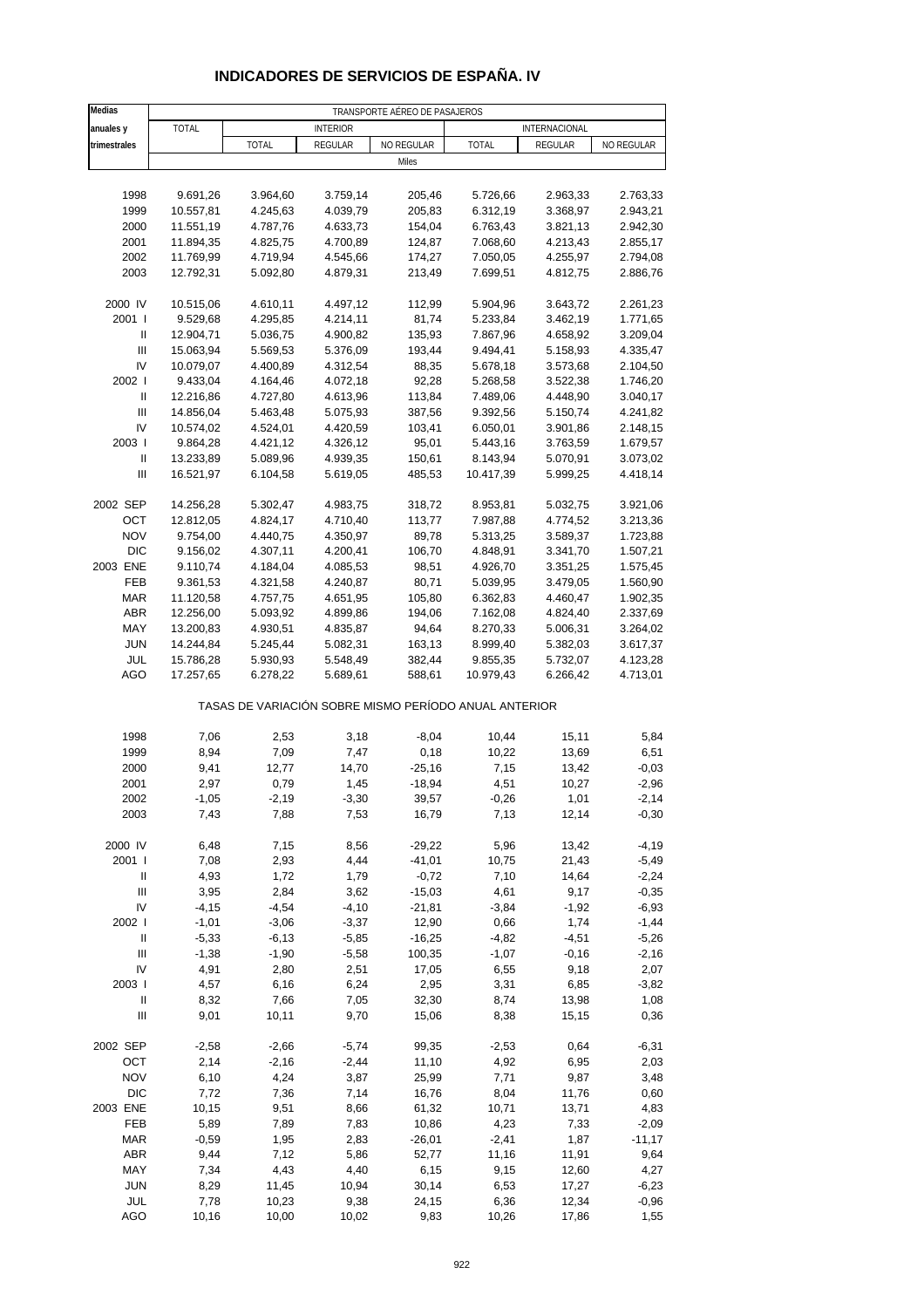| Medias              | TRANSPORTE AÉREO DE PASAJEROS             |                                                       |                    |                    |                    |                |                    |  |  |  |
|---------------------|-------------------------------------------|-------------------------------------------------------|--------------------|--------------------|--------------------|----------------|--------------------|--|--|--|
| anuales y           | TOTAL<br>INTERNACIONAL<br><b>INTERIOR</b> |                                                       |                    |                    |                    |                |                    |  |  |  |
| trimestrales        |                                           | <b>TOTAL</b>                                          | REGULAR            | NO REGULAR         | TOTAL              | REGULAR        | NO REGULAR         |  |  |  |
|                     |                                           |                                                       |                    | Miles              |                    |                |                    |  |  |  |
|                     |                                           |                                                       |                    |                    |                    |                |                    |  |  |  |
| 1998                | 9.691,26                                  | 3.964,60                                              | 3.759,14           | 205,46             | 5.726,66           | 2.963,33       | 2.763,33           |  |  |  |
| 1999                | 10.557,81                                 | 4.245,63                                              | 4.039,79           | 205,83             | 6.312,19           | 3.368,97       | 2.943,21           |  |  |  |
| 2000                | 11.551,19                                 | 4.787,76                                              | 4.633,73           | 154,04             | 6.763,43           | 3.821,13       | 2.942,30           |  |  |  |
| 2001                | 11.894,35                                 | 4.825,75                                              | 4.700,89           | 124,87             | 7.068,60           | 4.213,43       | 2.855,17           |  |  |  |
| 2002                | 11.769,99                                 | 4.719,94                                              | 4.545,66           | 174,27             | 7.050,05           | 4.255,97       | 2.794,08           |  |  |  |
| 2003                | 12.792,31                                 | 5.092,80                                              | 4.879,31           | 213,49             | 7.699,51           | 4.812,75       | 2.886,76           |  |  |  |
| 2000 IV             | 10.515,06                                 | 4.610,11                                              | 4.497,12           | 112,99             | 5.904,96           | 3.643,72       | 2.261,23           |  |  |  |
| 2001 l              | 9.529,68                                  | 4.295,85                                              | 4.214,11           | 81,74              | 5.233,84           | 3.462,19       | 1.771,65           |  |  |  |
| Ш                   | 12.904,71                                 | 5.036,75                                              | 4.900,82           | 135,93             | 7.867,96           | 4.658,92       | 3.209,04           |  |  |  |
| Ш                   | 15.063,94                                 | 5.569,53                                              | 5.376,09           | 193,44             | 9.494,41           | 5.158,93       | 4.335,47           |  |  |  |
| IV                  | 10.079,07                                 | 4.400,89                                              | 4.312,54           | 88,35              | 5.678,18           | 3.573,68       | 2.104,50           |  |  |  |
| 2002                | 9.433,04                                  | 4.164,46                                              | 4.072,18           | 92,28              | 5.268,58           | 3.522,38       | 1.746,20           |  |  |  |
| Ш                   | 12.216,86                                 | 4.727,80                                              | 4.613,96           | 113,84             | 7.489,06           | 4.448,90       | 3.040,17           |  |  |  |
| Ш                   | 14.856,04                                 | 5.463,48                                              | 5.075,93           | 387,56             | 9.392,56           | 5.150,74       | 4.241,82           |  |  |  |
| IV                  | 10.574,02                                 | 4.524,01                                              | 4.420,59           | 103,41             | 6.050,01           | 3.901,86       | 2.148,15           |  |  |  |
| 2003                | 9.864,28                                  | 4.421,12                                              | 4.326,12           | 95,01              | 5.443,16           | 3.763,59       | 1.679,57           |  |  |  |
| Ш                   | 13.233,89                                 | 5.089,96                                              | 4.939,35           | 150,61             | 8.143,94           | 5.070,91       | 3.073,02           |  |  |  |
| Ш                   | 16.521,97                                 | 6.104,58                                              | 5.619,05           | 485,53             | 10.417,39          | 5.999,25       | 4.418,14           |  |  |  |
|                     |                                           |                                                       |                    |                    |                    |                |                    |  |  |  |
| 2002 SEP            | 14.256,28                                 | 5.302,47                                              | 4.983,75           | 318,72             | 8.953,81           | 5.032,75       | 3.921,06           |  |  |  |
| OCT                 | 12.812,05                                 | 4.824,17                                              | 4.710,40           | 113,77             | 7.987,88           | 4.774,52       | 3.213,36           |  |  |  |
| <b>NOV</b>          | 9.754,00                                  | 4.440,75                                              | 4.350,97           | 89,78              | 5.313,25           | 3.589,37       | 1.723,88           |  |  |  |
| <b>DIC</b>          | 9.156,02                                  | 4.307,11                                              | 4.200,41           | 106,70             | 4.848,91           | 3.341,70       | 1.507,21           |  |  |  |
| 2003 ENE            | 9.110,74                                  | 4.184,04                                              | 4.085,53           | 98,51              | 4.926,70           | 3.351,25       | 1.575,45           |  |  |  |
| <b>FEB</b>          | 9.361,53                                  | 4.321,58                                              | 4.240,87           | 80,71              | 5.039,95           | 3.479,05       | 1.560,90           |  |  |  |
| <b>MAR</b>          | 11.120,58                                 | 4.757,75                                              | 4.651,95           | 105,80             | 6.362,83           | 4.460,47       | 1.902,35           |  |  |  |
| ABR                 | 12.256,00                                 | 5.093,92                                              | 4.899,86           | 194,06             | 7.162,08           | 4.824,40       | 2.337,69           |  |  |  |
| MAY                 | 13.200,83                                 | 4.930,51                                              | 4.835,87           | 94,64              | 8.270,33           | 5.006,31       | 3.264,02           |  |  |  |
| <b>JUN</b>          | 14.244,84                                 | 5.245,44                                              | 5.082,31           | 163,13             | 8.999,40           | 5.382,03       | 3.617,37           |  |  |  |
| JUL                 | 15.786,28                                 | 5.930,93                                              | 5.548,49           | 382,44             | 9.855,35           | 5.732,07       | 4.123,28           |  |  |  |
| AGO                 | 17.257,65                                 | 6.278,22                                              | 5.689,61           | 588,61             | 10.979,43          | 6.266,42       | 4.713,01           |  |  |  |
|                     |                                           | TASAS DE VARIACIÓN SOBRE MISMO PERÍODO ANUAL ANTERIOR |                    |                    |                    |                |                    |  |  |  |
| 1998                | 7,06                                      | 2,53                                                  | 3,18               | $-8,04$            | 10,44              | 15,11          | 5,84               |  |  |  |
| 1999                | 8,94                                      | 7,09                                                  | 7,47               | 0,18               | 10,22              | 13,69          | 6,51               |  |  |  |
| 2000                | 9,41                                      | 12,77                                                 | 14,70              | $-25,16$           | 7,15               | 13,42          | $-0,03$            |  |  |  |
| 2001                | 2,97                                      | 0,79                                                  | 1,45               | $-18,94$           | 4,51               | 10,27          | $-2,96$            |  |  |  |
| 2002                | $-1,05$                                   | $-2,19$                                               | $-3,30$            | 39,57              | $-0,26$            | 1,01           | $-2,14$            |  |  |  |
| 2003                | 7,43                                      | 7,88                                                  | 7,53               | 16,79              | 7,13               | 12,14          | $-0,30$            |  |  |  |
|                     |                                           |                                                       |                    |                    |                    |                |                    |  |  |  |
| 2000 IV             | 6,48                                      | 7,15                                                  | 8,56               | $-29,22$           | 5,96               | 13,42          | $-4,19$            |  |  |  |
| 2001 l              | 7,08                                      | 2,93                                                  | 4,44               | $-41,01$           | 10,75              | 21,43          | $-5,49$            |  |  |  |
| $\, \parallel$<br>Ш | 4,93                                      | 1,72                                                  | 1,79               | $-0,72$            | 7,10               | 14,64          | $-2,24$            |  |  |  |
|                     | 3,95                                      | 2,84                                                  | 3,62               | $-15,03$           | 4,61               | 9,17           | $-0,35$            |  |  |  |
| IV<br>2002          | $-4, 15$                                  | $-4,54$                                               | $-4,10$            | $-21,81$           | $-3,84$            | $-1,92$        | $-6,93$            |  |  |  |
|                     | $-1,01$                                   | $-3,06$                                               | $-3,37$            | 12,90              | 0,66               | 1,74           | $-1,44$            |  |  |  |
| Ш<br>Ш              | $-5,33$<br>$-1,38$                        | $-6, 13$<br>$-1,90$                                   | $-5,85$<br>$-5,58$ | $-16,25$<br>100,35 | $-4,82$<br>$-1,07$ | $-4,51$        | $-5,26$<br>$-2,16$ |  |  |  |
| IV                  |                                           |                                                       |                    |                    |                    | $-0,16$        |                    |  |  |  |
| 2003                | 4,91<br>4,57                              | 2,80<br>6,16                                          | 2,51<br>6,24       | 17,05<br>2,95      | 6,55<br>3,31       | 9,18<br>6,85   | 2,07<br>$-3,82$    |  |  |  |
| Ш                   |                                           |                                                       | 7,05               | 32,30              |                    |                | 1,08               |  |  |  |
| Ш                   | 8,32<br>9,01                              | 7,66<br>10, 11                                        | 9,70               | 15,06              | 8,74<br>8,38       | 13,98<br>15,15 | 0,36               |  |  |  |
|                     |                                           |                                                       |                    |                    |                    |                |                    |  |  |  |
| 2002 SEP            | $-2,58$                                   | $-2,66$                                               | $-5,74$            | 99,35              | $-2,53$            | 0,64           | $-6,31$            |  |  |  |
| OCT                 | 2,14                                      | $-2,16$                                               | $-2,44$            | 11,10              | 4,92               | 6,95           | 2,03               |  |  |  |
| <b>NOV</b>          | 6,10                                      | 4,24                                                  | 3,87               | 25,99              | 7,71               | 9,87           | 3,48               |  |  |  |
| <b>DIC</b>          | 7,72                                      | 7,36                                                  | 7,14               | 16,76              | 8,04               | 11,76          | 0,60               |  |  |  |
| 2003 ENE            | 10,15                                     | 9,51                                                  | 8,66               | 61,32              | 10,71              | 13,71          | 4,83               |  |  |  |
| FEB                 | 5,89                                      | 7,89                                                  | 7,83               | 10,86              | 4,23               | 7,33           | $-2,09$            |  |  |  |
| <b>MAR</b>          | $-0,59$                                   | 1,95                                                  | 2,83               | $-26,01$           | $-2,41$            | 1,87           | $-11,17$           |  |  |  |
| <b>ABR</b>          | 9,44                                      | 7,12                                                  | 5,86               | 52,77              | 11,16              | 11,91          | 9,64               |  |  |  |
| MAY                 | 7,34                                      | 4,43                                                  | 4,40               | 6,15               | 9,15               | 12,60          | 4,27               |  |  |  |
| <b>JUN</b>          | 8,29                                      | 11,45                                                 | 10,94              | 30,14              | 6,53               | 17,27          | $-6,23$            |  |  |  |
| JUL                 | 7,78                                      | 10,23                                                 | 9,38               | 24,15              | 6,36               | 12,34          | $-0,96$            |  |  |  |
| <b>AGO</b>          | 10,16                                     | 10,00                                                 | 10,02              | 9,83               | 10,26              | 17,86          | 1,55               |  |  |  |

## **INDICADORES DE SERVICIOS DE ESPAÑA. IV**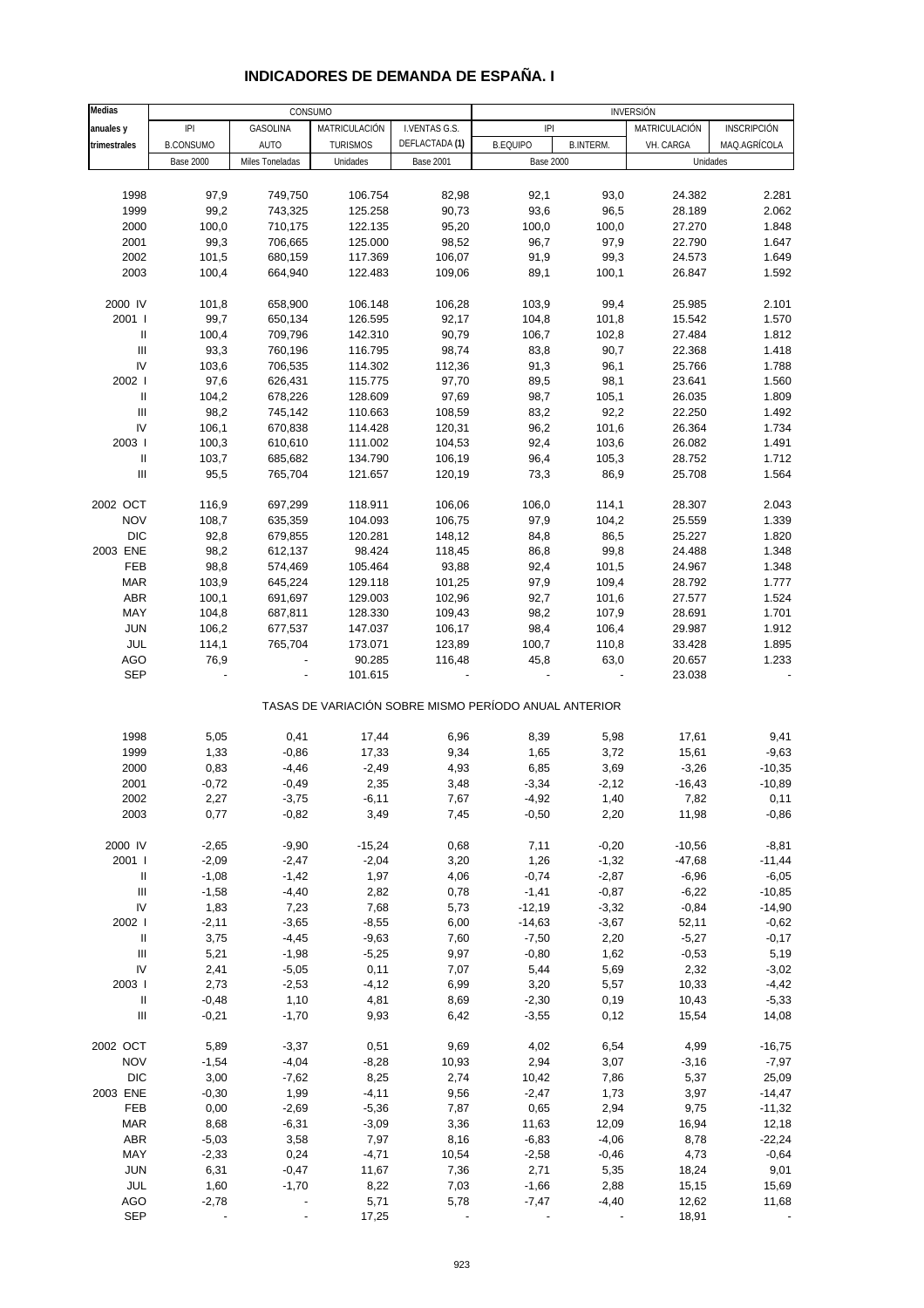| Medias                             |                  | CONSUMO                  |                 |                  | INVERSIÓN                                             |                  |               |                    |  |
|------------------------------------|------------------|--------------------------|-----------------|------------------|-------------------------------------------------------|------------------|---------------|--------------------|--|
| anuales y                          | P                | GASOLINA                 | MATRICULACIÓN   | I.VENTAS G.S.    | P                                                     |                  | MATRICULACIÓN | <b>INSCRIPCIÓN</b> |  |
| trimestrales                       | <b>B.CONSUMO</b> | <b>AUTO</b>              | <b>TURISMOS</b> | DEFLACTADA (1)   | <b>B.EQUIPO</b>                                       | <b>B.INTERM.</b> | VH. CARGA     | MAQ.AGRÍCOLA       |  |
|                                    |                  |                          |                 | <b>Base 2001</b> |                                                       |                  |               |                    |  |
|                                    | <b>Base 2000</b> | Miles Toneladas          | Unidades        |                  | <b>Base 2000</b>                                      |                  | Unidades      |                    |  |
|                                    |                  |                          |                 |                  |                                                       |                  |               |                    |  |
| 1998                               | 97,9             | 749,750                  | 106.754         | 82,98            | 92,1                                                  | 93,0             | 24.382        | 2.281              |  |
| 1999                               | 99,2             | 743,325                  | 125.258         | 90,73            | 93,6                                                  | 96,5             | 28.189        | 2.062              |  |
| 2000                               | 100,0            | 710,175                  | 122.135         | 95,20            | 100,0                                                 | 100,0            | 27.270        | 1.848              |  |
| 2001                               | 99,3             | 706,665                  | 125.000         | 98,52            | 96,7                                                  | 97,9             | 22.790        | 1.647              |  |
|                                    |                  |                          |                 |                  |                                                       |                  |               |                    |  |
| 2002                               | 101,5            | 680,159                  | 117.369         | 106,07           | 91,9                                                  | 99,3             | 24.573        | 1.649              |  |
| 2003                               | 100,4            | 664,940                  | 122.483         | 109,06           | 89,1                                                  | 100,1            | 26.847        | 1.592              |  |
|                                    |                  |                          |                 |                  |                                                       |                  |               |                    |  |
| 2000 IV                            | 101,8            | 658,900                  | 106.148         | 106,28           | 103,9                                                 | 99,4             | 25.985        | 2.101              |  |
| 2001 l                             | 99,7             | 650,134                  | 126.595         | 92,17            | 104,8                                                 | 101,8            | 15.542        | 1.570              |  |
| $\mathbf{II}$                      | 100,4            | 709,796                  | 142.310         | 90,79            | 106,7                                                 | 102,8            | 27.484        | 1.812              |  |
| Ш                                  | 93,3             |                          |                 | 98,74            | 83,8                                                  | 90,7             |               | 1.418              |  |
|                                    |                  | 760,196                  | 116.795         |                  |                                                       |                  | 22.368        |                    |  |
| IV                                 | 103,6            | 706,535                  | 114.302         | 112,36           | 91,3                                                  | 96,1             | 25.766        | 1.788              |  |
| 2002                               | 97,6             | 626,431                  | 115.775         | 97,70            | 89,5                                                  | 98,1             | 23.641        | 1.560              |  |
| Ш                                  | 104,2            | 678,226                  | 128.609         | 97,69            | 98,7                                                  | 105,1            | 26.035        | 1.809              |  |
| $\mathbf{III}$                     | 98,2             | 745,142                  | 110.663         | 108,59           | 83,2                                                  | 92,2             | 22.250        | 1.492              |  |
| ${\sf IV}$                         | 106,1            | 670,838                  | 114.428         | 120,31           | 96,2                                                  | 101,6            | 26.364        | 1.734              |  |
| 2003                               |                  |                          |                 |                  |                                                       |                  |               |                    |  |
|                                    | 100,3            | 610,610                  | 111.002         | 104,53           | 92,4                                                  | 103,6            | 26.082        | 1.491              |  |
| Ш                                  | 103,7            | 685,682                  | 134.790         | 106,19           | 96,4                                                  | 105,3            | 28.752        | 1.712              |  |
| $\ensuremath{\mathsf{III}}\xspace$ | 95,5             | 765,704                  | 121.657         | 120,19           | 73,3                                                  | 86,9             | 25.708        | 1.564              |  |
|                                    |                  |                          |                 |                  |                                                       |                  |               |                    |  |
| 2002 OCT                           | 116,9            | 697,299                  | 118.911         | 106,06           | 106,0                                                 | 114,1            | 28.307        | 2.043              |  |
| <b>NOV</b>                         | 108,7            | 635,359                  | 104.093         | 106,75           | 97,9                                                  | 104,2            | 25.559        | 1.339              |  |
|                                    |                  |                          |                 |                  |                                                       |                  |               |                    |  |
| <b>DIC</b>                         | 92,8             | 679,855                  | 120.281         | 148,12           | 84,8                                                  | 86,5             | 25.227        | 1.820              |  |
| 2003 ENE                           | 98,2             | 612,137                  | 98.424          | 118,45           | 86,8                                                  | 99,8             | 24.488        | 1.348              |  |
| FEB                                | 98,8             | 574,469                  | 105.464         | 93,88            | 92,4                                                  | 101,5            | 24.967        | 1.348              |  |
| <b>MAR</b>                         | 103,9            | 645,224                  | 129.118         | 101,25           | 97,9                                                  | 109,4            | 28.792        | 1.777              |  |
| ABR                                | 100,1            | 691,697                  | 129.003         | 102,96           | 92,7                                                  | 101,6            | 27.577        | 1.524              |  |
| MAY                                | 104,8            | 687,811                  | 128.330         | 109,43           | 98,2                                                  | 107,9            | 28.691        | 1.701              |  |
|                                    |                  |                          |                 |                  |                                                       |                  |               |                    |  |
| <b>JUN</b>                         | 106,2            | 677,537                  | 147.037         | 106,17           | 98,4                                                  | 106,4            | 29.987        | 1.912              |  |
| JUL                                | 114,1            | 765,704                  | 173.071         | 123,89           | 100,7                                                 | 110,8            | 33.428        | 1.895              |  |
| AGO                                | 76,9             |                          | 90.285          | 116,48           | 45,8                                                  | 63,0             | 20.657        | 1.233              |  |
| <b>SEP</b>                         |                  | $\overline{\phantom{a}}$ | 101.615         |                  |                                                       |                  | 23.038        |                    |  |
|                                    |                  |                          |                 |                  | TASAS DE VARIACIÓN SOBRE MISMO PERÍODO ANUAL ANTERIOR |                  |               |                    |  |
|                                    |                  |                          |                 |                  |                                                       |                  |               |                    |  |
| 1998                               | 5,05             | 0,41                     | 17,44           | 6,96             | 8,39                                                  | 5,98             | 17,61         | 9,41               |  |
| 1999                               | 1,33             | $-0,86$                  | 17,33           | 9,34             | 1,65                                                  | 3,72             | 15,61         | $-9,63$            |  |
|                                    |                  |                          |                 |                  |                                                       |                  |               |                    |  |
| 2000                               | 0,83             | $-4,46$                  | $-2,49$         | 4,93             | 6,85                                                  | 3,69             | $-3,26$       | $-10,35$           |  |
| 2001                               | $-0,72$          | $-0,49$                  | 2,35            | 3,48             | $-3,34$                                               | $-2,12$          | $-16,43$      | $-10,89$           |  |
| 2002                               | 2,27             | $-3,75$                  | $-6,11$         | 7,67             | $-4,92$                                               | 1,40             | 7,82          | 0,11               |  |
| 2003                               | 0,77             | $-0,82$                  | 3,49            | 7,45             | $-0,50$                                               | 2,20             | 11,98         | $-0,86$            |  |
|                                    |                  |                          |                 |                  |                                                       |                  |               |                    |  |
| 2000 IV                            | $-2,65$          | $-9,90$                  | $-15,24$        | 0,68             | 7,11                                                  | $-0,20$          | $-10,56$      | $-8,81$            |  |
|                                    |                  |                          |                 |                  |                                                       |                  |               |                    |  |
| 2001 l                             | $-2,09$          | $-2,47$                  | $-2,04$         | 3,20             | 1,26                                                  | $-1,32$          | $-47,68$      | $-11,44$           |  |
| Ш                                  | $-1,08$          | $-1,42$                  | 1,97            | 4,06             | $-0,74$                                               | $-2,87$          | $-6,96$       | $-6,05$            |  |
| $\mathbf{III}$                     | $-1,58$          | $-4,40$                  | 2,82            | 0,78             | $-1,41$                                               | $-0,87$          | $-6,22$       | $-10,85$           |  |
| ${\sf IV}$                         | 1,83             | 7,23                     | 7,68            | 5,73             | $-12,19$                                              | $-3,32$          | $-0,84$       | $-14,90$           |  |
| 2002                               | $-2,11$          | $-3,65$                  | $-8,55$         | 6,00             | $-14,63$                                              | $-3,67$          | 52,11         | $-0,62$            |  |
| $\, \parallel$                     | 3,75             | $-4,45$                  | $-9,63$         | 7,60             | $-7,50$                                               | 2,20             | $-5,27$       | $-0,17$            |  |
|                                    |                  |                          |                 |                  |                                                       |                  |               |                    |  |
| Ш                                  | 5,21             | $-1,98$                  | $-5,25$         | 9,97             | $-0,80$                                               | 1,62             | $-0,53$       | 5,19               |  |
| ${\sf IV}$                         | 2,41             | $-5,05$                  | 0,11            | 7,07             | 5,44                                                  | 5,69             | 2,32          | $-3,02$            |  |
| 2003                               | 2,73             | $-2,53$                  | $-4,12$         | 6,99             | 3,20                                                  | 5,57             | 10,33         | $-4,42$            |  |
| $\mathop{  }$                      | $-0,48$          | 1,10                     | 4,81            | 8,69             | $-2,30$                                               | 0, 19            | 10,43         | $-5,33$            |  |
| $\ensuremath{\mathsf{III}}\xspace$ | $-0,21$          | $-1,70$                  | 9,93            | 6,42             | $-3,55$                                               | 0,12             | 15,54         | 14,08              |  |
|                                    |                  |                          |                 |                  |                                                       |                  |               |                    |  |
| 2002 OCT                           | 5,89             | $-3,37$                  | 0,51            | 9,69             | 4,02                                                  | 6,54             | 4,99          | $-16,75$           |  |
| <b>NOV</b>                         | $-1,54$          | $-4,04$                  | $-8,28$         | 10,93            | 2,94                                                  | 3,07             | $-3,16$       | $-7,97$            |  |
| <b>DIC</b>                         | 3,00             | $-7,62$                  | 8,25            | 2,74             | 10,42                                                 | 7,86             | 5,37          | 25,09              |  |
| 2003 ENE                           | $-0,30$          | 1,99                     | $-4, 11$        | 9,56             | $-2,47$                                               | 1,73             | 3,97          | $-14,47$           |  |
|                                    |                  |                          |                 |                  |                                                       |                  |               |                    |  |
| FEB                                | 0,00             | $-2,69$                  | $-5,36$         | 7,87             | 0,65                                                  | 2,94             | 9,75          | $-11,32$           |  |
| <b>MAR</b>                         | 8,68             | $-6,31$                  | $-3,09$         | 3,36             | 11,63                                                 | 12,09            | 16,94         | 12,18              |  |
| ABR                                | $-5,03$          | 3,58                     | 7,97            | 8,16             | $-6,83$                                               | $-4,06$          | 8,78          | $-22,24$           |  |
| MAY                                | $-2,33$          | 0,24                     | $-4,71$         | 10,54            | $-2,58$                                               | $-0,46$          | 4,73          | $-0,64$            |  |
| <b>JUN</b>                         | 6,31             | $-0,47$                  | 11,67           | 7,36             | 2,71                                                  | 5,35             | 18,24         | 9,01               |  |
| JUL                                | 1,60             | $-1,70$                  | 8,22            | 7,03             | $-1,66$                                               | 2,88             | 15,15         | 15,69              |  |
|                                    |                  |                          |                 |                  |                                                       |                  |               |                    |  |
| AGO                                | $-2,78$          |                          | 5,71            | 5,78             | $-7,47$                                               | $-4,40$          | 12,62         | 11,68              |  |
| <b>SEP</b>                         |                  |                          | 17,25           |                  |                                                       |                  | 18,91         |                    |  |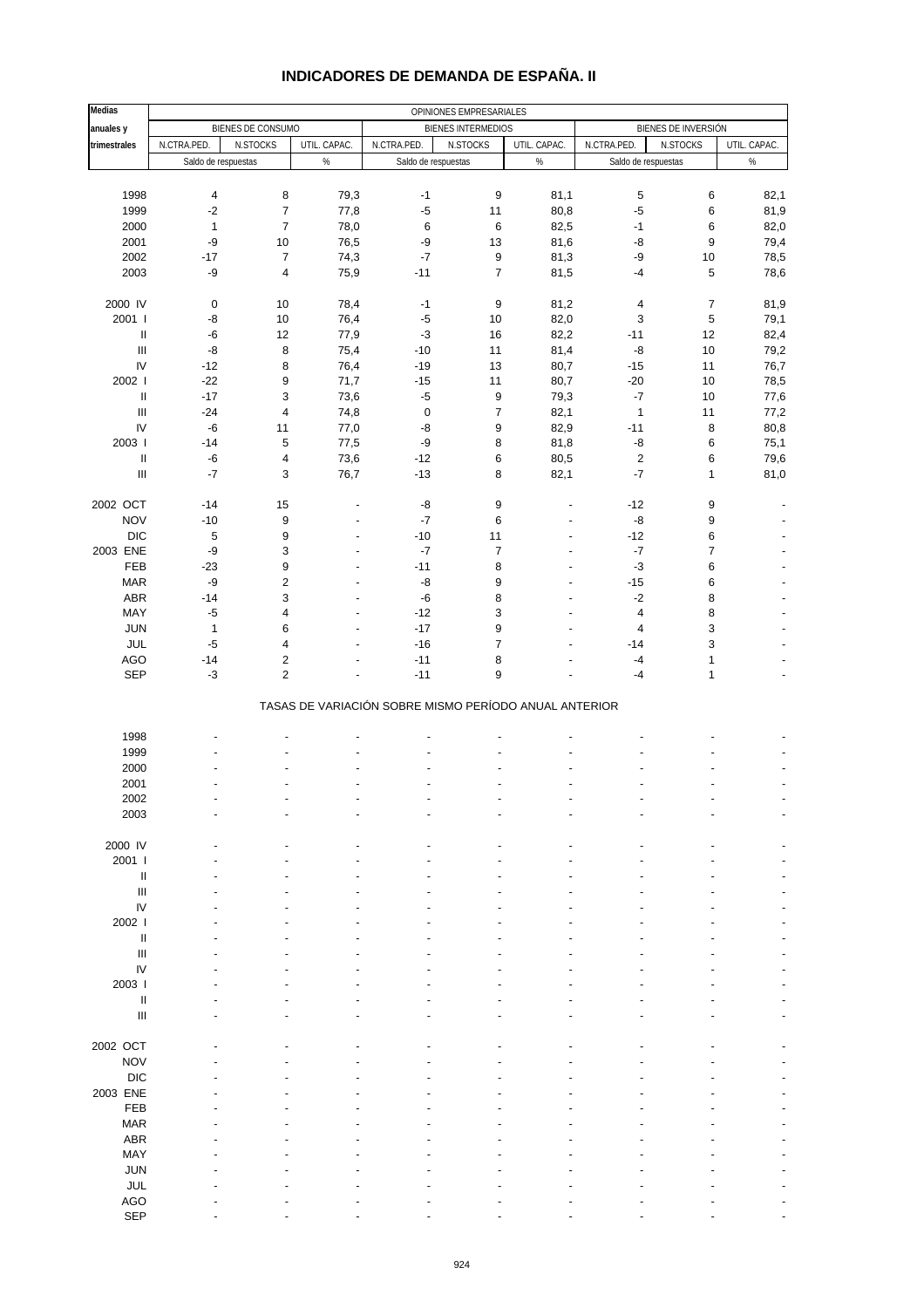| <b>Medias</b>                      |                         |                         |                     |                                                       | OPINIONES EMPRESARIALES   |                          |                         |                       |              |
|------------------------------------|-------------------------|-------------------------|---------------------|-------------------------------------------------------|---------------------------|--------------------------|-------------------------|-----------------------|--------------|
| anuales y                          |                         | BIENES DE CONSUMO       |                     |                                                       | <b>BIENES INTERMEDIOS</b> |                          |                         | BIENES DE INVERSIÓN   |              |
| trimestrales                       | N.CTRA.PED.             | N.STOCKS                | UTIL. CAPAC.        | N.CTRA.PED.                                           | N.STOCKS                  | UTIL. CAPAC.             | N.CTRA.PED.             | N.STOCKS              | UTIL. CAPAC. |
|                                    | Saldo de respuestas     |                         | %                   | Saldo de respuestas                                   |                           | $\%$                     | Saldo de respuestas     |                       | $\%$         |
|                                    |                         |                         |                     |                                                       |                           |                          |                         |                       |              |
| 1998                               | $\overline{\mathbf{4}}$ | 8                       | 79,3                | $-1$                                                  | 9                         | 81,1                     | 5                       | $\,6\,$               | 82,1         |
| 1999                               | $-2$                    | $\overline{7}$          | 77,8                | $-5$                                                  | 11                        | 80,8                     | $-5$                    | $\,6\,$               | 81,9         |
| 2000                               | $\mathbf{1}$            | $\boldsymbol{7}$        | 78,0                | $\,6\,$                                               | 6                         | 82,5                     | $-1$                    | 6                     | 82,0         |
| 2001                               | -9                      | 10                      | 76,5                | -9                                                    | 13                        | 81,6                     | -8                      | 9                     | 79,4         |
| 2002                               | $-17$                   | $\boldsymbol{7}$        | 74,3                | $\textnormal{-}7$                                     | 9                         | 81,3                     | -9                      | 10                    | 78,5         |
| 2003                               | $-9$                    | 4                       | 75,9                | $-11$                                                 | $\overline{7}$            | 81,5                     | $-4$                    | $\overline{5}$        | 78,6         |
|                                    |                         |                         |                     |                                                       |                           |                          |                         | $\overline{7}$        |              |
| 2000 IV<br>2001 l                  | $\mathbf 0$<br>-8       | 10<br>10                | 78,4<br>76,4        | $-1$<br>$-5$                                          | 9<br>10                   | 81,2<br>82,0             | 4<br>3                  | 5                     | 81,9<br>79,1 |
| Ш                                  | $-6$                    | 12                      | 77,9                | $-3$                                                  | 16                        | 82,2                     | $-11$                   | 12                    | 82,4         |
| $\ensuremath{\mathsf{III}}\xspace$ | -8                      | 8                       | 75,4                | $-10$                                                 | 11                        | 81,4                     | -8                      | 10                    | 79,2         |
| IV                                 | $-12$                   | 8                       | 76,4                | $-19$                                                 | 13                        | 80,7                     | $-15$                   | 11                    | 76,7         |
| 2002                               | $-22$                   | 9                       | 71,7                | $-15$                                                 | 11                        | 80,7                     | $-20$                   | 10                    | 78,5         |
| $\ensuremath{\mathsf{II}}$         | $-17$                   | 3                       | 73,6                | $-5$                                                  | 9                         | 79,3                     | $-7$                    | 10                    | 77,6         |
| $\mathbf{III}$                     | $-24$                   | 4                       | 74,8                | $\pmb{0}$                                             | $\overline{7}$            | 82,1                     | $\mathbf{1}$            | 11                    | 77,2         |
| IV                                 | $-6$                    | 11                      | 77,0                | -8                                                    | 9                         | 82,9                     | $-11$                   | $\bf 8$               | 80,8         |
| 2003 l                             | $-14$                   | 5                       | 77,5                | -9                                                    | 8                         | 81,8                     | $\mbox{-}8$             | $\,6\,$               | 75,1         |
| Ш                                  | $-6$                    | 4                       | 73,6                | $-12$                                                 | 6                         | 80,5                     | $\sqrt{2}$              | 6                     | 79,6         |
| $\ensuremath{\mathsf{III}}\xspace$ | $-7$                    | 3                       | 76,7                | $-13$                                                 | 8                         | 82,1                     | $-7$                    | $\mathbf{1}$          | 81,0         |
|                                    |                         |                         |                     |                                                       |                           |                          |                         |                       |              |
| 2002 OCT<br><b>NOV</b>             | $-14$<br>$-10$          | 15<br>9                 | ٠<br>$\overline{a}$ | -8<br>$\textnormal{-}7$                               | 9                         | $\overline{a}$           | $-12$<br>-8             | 9                     |              |
| <b>DIC</b>                         | 5                       | 9                       | ٠                   | $-10$                                                 | 6<br>11                   | L,                       | $-12$                   | $\boldsymbol{9}$<br>6 |              |
| 2003 ENE                           | $-9$                    | 3                       | $\overline{a}$      | $-7$                                                  | $\boldsymbol{7}$          | $\overline{\phantom{a}}$ | $-7$                    | $\overline{7}$        |              |
| FEB                                | $-23$                   | 9                       | $\overline{a}$      | $-11$                                                 | 8                         |                          | $-3$                    | 6                     |              |
| <b>MAR</b>                         | $-9$                    | $\overline{\mathbf{c}}$ | $\overline{a}$      | -8                                                    | 9                         | $\overline{a}$           | $-15$                   | 6                     |              |
| ABR                                | $-14$                   | 3                       | $\overline{a}$      | $-6$                                                  | 8                         |                          | $-2$                    | 8                     |              |
| MAY                                | $-5$                    | 4                       |                     | $-12$                                                 | 3                         |                          | $\overline{\mathbf{4}}$ | 8                     |              |
| JUN                                | $\mathbf{1}$            | 6                       |                     | $-17$                                                 | 9                         |                          | $\overline{4}$          | 3                     |              |
| JUL                                | $-5$                    | 4                       | $\overline{a}$      | $-16$                                                 | $\overline{\mathcal{I}}$  |                          | $-14$                   | 3                     |              |
| AGO                                | $-14$                   | $\overline{c}$          |                     | $-11$                                                 | 8                         |                          | $-4$                    | $\mathbf{1}$          |              |
| <b>SEP</b>                         | $-3$                    | $\overline{2}$          |                     | $-11$                                                 | 9                         |                          | $-4$                    | $\mathbf{1}$          |              |
|                                    |                         |                         |                     |                                                       |                           |                          |                         |                       |              |
|                                    |                         |                         |                     | TASAS DE VARIACIÓN SOBRE MISMO PERÍODO ANUAL ANTERIOR |                           |                          |                         |                       |              |
| 1998                               |                         |                         |                     |                                                       |                           |                          |                         |                       |              |
| 1999                               |                         |                         |                     |                                                       |                           |                          |                         |                       |              |
| 2000                               |                         |                         |                     |                                                       |                           |                          |                         |                       |              |
| 2001                               |                         |                         |                     |                                                       |                           |                          |                         |                       |              |
| 2002                               |                         |                         |                     |                                                       |                           |                          |                         |                       |              |
| 2003                               |                         |                         |                     |                                                       |                           |                          |                         |                       |              |
|                                    |                         |                         |                     |                                                       |                           |                          |                         |                       |              |
| 2000 IV                            |                         |                         |                     |                                                       |                           |                          |                         |                       |              |
| 2001 l                             |                         |                         |                     |                                                       |                           |                          |                         |                       |              |
| $\ensuremath{\mathsf{II}}$<br>III  |                         |                         |                     |                                                       |                           |                          |                         |                       |              |
| IV                                 |                         |                         |                     |                                                       |                           |                          |                         |                       |              |
| 2002 l                             |                         |                         |                     |                                                       |                           |                          |                         |                       |              |
| Ш                                  |                         |                         |                     |                                                       |                           |                          |                         |                       |              |
| $\ensuremath{\mathsf{III}}\xspace$ |                         |                         |                     |                                                       |                           |                          |                         |                       |              |
| IV                                 |                         |                         |                     |                                                       |                           |                          |                         |                       |              |
| 2003                               |                         |                         |                     |                                                       |                           |                          |                         |                       |              |
| $\mathop{  }$                      |                         |                         |                     |                                                       |                           |                          |                         |                       |              |
| $\ensuremath{\mathsf{III}}\xspace$ |                         |                         |                     |                                                       |                           |                          |                         |                       |              |
|                                    |                         |                         |                     |                                                       |                           |                          |                         |                       |              |
| 2002 OCT                           |                         |                         |                     |                                                       |                           |                          |                         |                       |              |
| <b>NOV</b>                         |                         |                         |                     |                                                       |                           |                          |                         |                       |              |
| <b>DIC</b><br>2003 ENE             |                         |                         |                     |                                                       |                           |                          |                         |                       |              |
| FEB                                |                         |                         |                     |                                                       |                           |                          |                         |                       |              |
| <b>MAR</b>                         |                         |                         |                     |                                                       |                           |                          |                         |                       |              |
| ABR                                |                         |                         |                     |                                                       |                           |                          |                         |                       |              |
| MAY                                |                         |                         |                     |                                                       |                           |                          |                         |                       |              |
| <b>JUN</b>                         |                         |                         |                     |                                                       |                           |                          |                         |                       |              |
| JUL                                |                         |                         |                     |                                                       |                           |                          |                         |                       |              |
| <b>AGO</b>                         |                         |                         |                     |                                                       |                           |                          |                         |                       |              |

## **INDICADORES DE DEMANDA DE ESPAÑA. II**

SEP - - - - - - - - -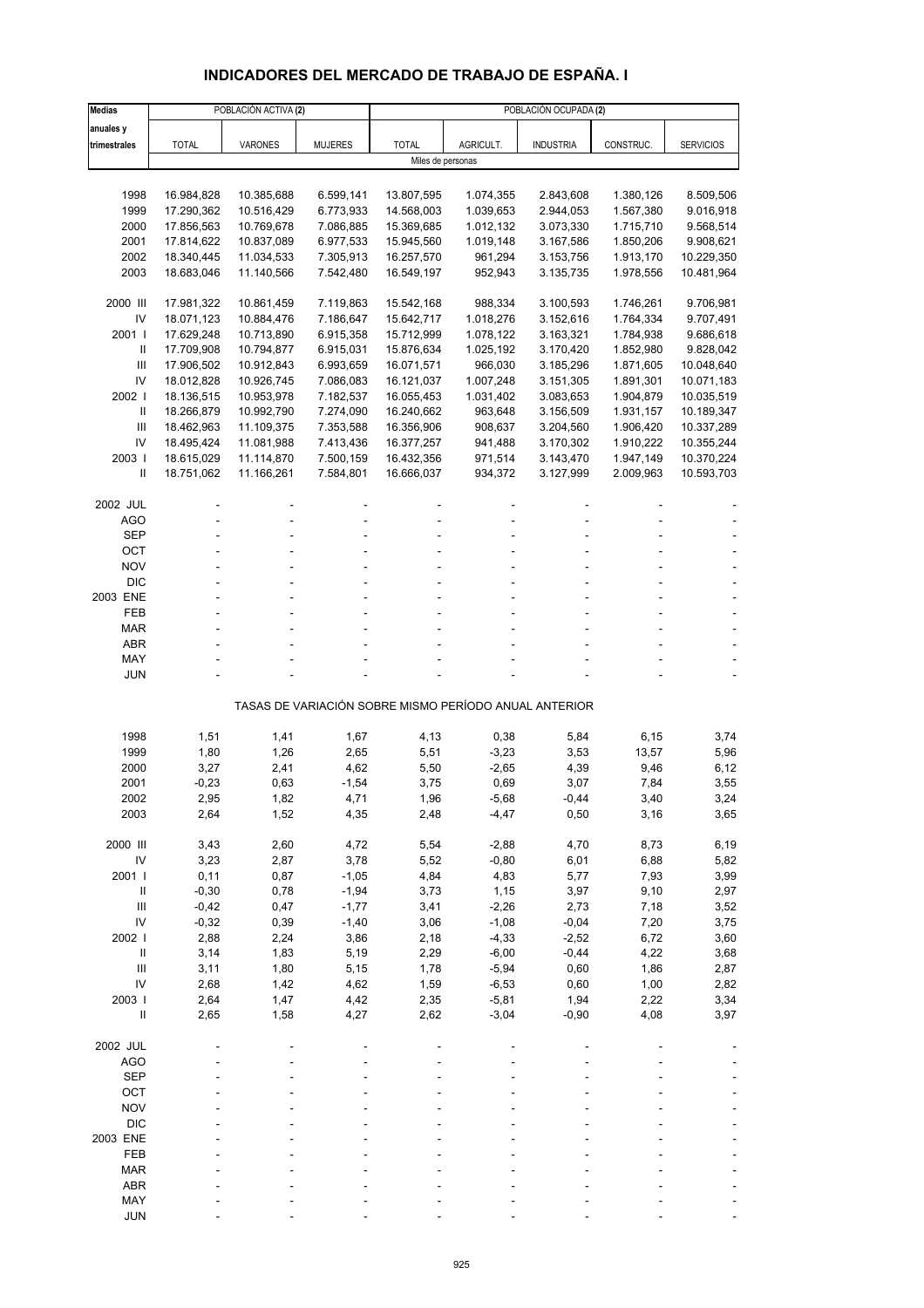# **INDICADORES DEL MERCADO DE TRABAJO DE ESPAÑA. I**

| <b>Medias</b>                            |                          | POBLACIÓN ACTIVA (2)     |                        | POBLACIÓN OCUPADA (2)    |                        |                                                       |                        |                          |  |  |
|------------------------------------------|--------------------------|--------------------------|------------------------|--------------------------|------------------------|-------------------------------------------------------|------------------------|--------------------------|--|--|
| anuales y                                |                          |                          |                        |                          |                        |                                                       |                        |                          |  |  |
| trimestrales                             | <b>TOTAL</b>             | VARONES                  | <b>MUJERES</b>         | <b>TOTAL</b>             | AGRICULT.              | <b>INDUSTRIA</b>                                      | CONSTRUC.              | <b>SERVICIOS</b>         |  |  |
|                                          |                          |                          |                        |                          | Miles de personas      |                                                       |                        |                          |  |  |
|                                          |                          |                          |                        |                          |                        |                                                       |                        |                          |  |  |
| 1998                                     | 16.984,828               | 10.385,688<br>10.516,429 | 6.599,141              | 13.807,595               | 1.074,355              | 2.843,608                                             | 1.380,126              | 8.509,506<br>9.016,918   |  |  |
| 1999<br>2000                             | 17.290,362<br>17.856,563 | 10.769,678               | 6.773,933<br>7.086,885 | 14.568,003<br>15.369,685 | 1.039,653<br>1.012,132 | 2.944,053<br>3.073,330                                | 1.567,380<br>1.715,710 | 9.568,514                |  |  |
| 2001                                     | 17.814,622               | 10.837,089               | 6.977,533              | 15.945,560               | 1.019,148              | 3.167,586                                             | 1.850,206              | 9.908,621                |  |  |
| 2002                                     | 18.340,445               | 11.034,533               | 7.305,913              | 16.257,570               | 961,294                | 3.153,756                                             | 1.913,170              | 10.229,350               |  |  |
| 2003                                     | 18.683,046               | 11.140,566               | 7.542,480              | 16.549,197               | 952,943                | 3.135,735                                             | 1.978,556              | 10.481,964               |  |  |
|                                          |                          |                          |                        |                          |                        |                                                       |                        |                          |  |  |
| 2000 III                                 | 17.981,322               | 10.861,459               | 7.119,863              | 15.542,168               | 988,334                | 3.100,593                                             | 1.746,261              | 9.706,981                |  |  |
| IV<br>2001 l                             | 18.071,123<br>17.629,248 | 10.884,476<br>10.713,890 | 7.186,647<br>6.915,358 | 15.642,717<br>15.712,999 | 1.018,276<br>1.078,122 | 3.152,616<br>3.163,321                                | 1.764,334<br>1.784,938 | 9.707,491<br>9.686,618   |  |  |
| $\mathbf{I}$                             | 17.709,908               | 10.794,877               | 6.915,031              | 15.876,634               | 1.025,192              | 3.170,420                                             | 1.852,980              | 9.828,042                |  |  |
| Ш                                        | 17.906,502               | 10.912,843               | 6.993,659              | 16.071,571               | 966,030                | 3.185,296                                             | 1.871,605              | 10.048,640               |  |  |
| IV                                       | 18.012,828               | 10.926,745               | 7.086,083              | 16.121,037               | 1.007,248              | 3.151,305                                             | 1.891,301              | 10.071,183               |  |  |
| 2002                                     | 18.136,515               | 10.953,978               | 7.182,537              | 16.055,453               | 1.031,402              | 3.083,653                                             | 1.904,879              | 10.035,519               |  |  |
| Ш                                        | 18.266,879               | 10.992,790               | 7.274,090              | 16.240,662               | 963,648                | 3.156,509                                             | 1.931,157              | 10.189,347               |  |  |
| Ш                                        | 18.462,963               | 11.109,375               | 7.353,588              | 16.356,906               | 908,637                | 3.204,560                                             | 1.906,420              | 10.337,289               |  |  |
| IV<br>2003                               | 18.495,424               | 11.081,988               | 7.413,436              | 16.377,257               | 941,488                | 3.170,302                                             | 1.910,222              | 10.355,244               |  |  |
| $\mathbf{I}$                             | 18.615,029<br>18.751,062 | 11.114,870<br>11.166,261 | 7.500,159<br>7.584,801 | 16.432,356<br>16.666,037 | 971,514<br>934,372     | 3.143,470<br>3.127,999                                | 1.947,149<br>2.009,963 | 10.370,224<br>10.593,703 |  |  |
|                                          |                          |                          |                        |                          |                        |                                                       |                        |                          |  |  |
| 2002 JUL                                 |                          |                          |                        |                          |                        |                                                       |                        |                          |  |  |
| <b>AGO</b>                               |                          |                          |                        |                          |                        |                                                       |                        |                          |  |  |
| <b>SEP</b>                               |                          |                          |                        |                          |                        |                                                       |                        |                          |  |  |
| ОСТ                                      |                          |                          |                        |                          |                        |                                                       |                        |                          |  |  |
| <b>NOV</b><br><b>DIC</b>                 |                          |                          |                        |                          |                        |                                                       |                        |                          |  |  |
| 2003 ENE                                 |                          |                          |                        |                          |                        |                                                       |                        |                          |  |  |
| FEB                                      |                          |                          |                        |                          |                        |                                                       |                        |                          |  |  |
| <b>MAR</b>                               |                          |                          |                        |                          |                        |                                                       |                        |                          |  |  |
| <b>ABR</b>                               |                          |                          |                        |                          |                        |                                                       |                        |                          |  |  |
| MAY                                      |                          |                          |                        |                          |                        |                                                       |                        |                          |  |  |
| <b>JUN</b>                               |                          |                          |                        |                          |                        |                                                       |                        |                          |  |  |
|                                          |                          |                          |                        |                          |                        | TASAS DE VARIACIÓN SOBRE MISMO PERÍODO ANUAL ANTERIOR |                        |                          |  |  |
|                                          |                          |                          |                        |                          |                        |                                                       |                        |                          |  |  |
| 1998                                     | 1,51                     | 1,41                     | 1,67                   | 4,13                     | 0,38                   | 5,84                                                  | 6,15                   | 3,74                     |  |  |
| 1999                                     | 1,80                     | 1,26                     | 2,65                   | 5,51                     | $-3,23$                | 3,53                                                  | 13,57                  | 5,96                     |  |  |
| 2000                                     | 3,27                     | 2,41                     | 4,62                   | 5,50                     | $-2,65$                | 4,39                                                  | 9,46                   | 6,12                     |  |  |
| 2001<br>2002                             | $-0,23$<br>2,95          | 0,63<br>1,82             | $-1,54$<br>4,71        | 3,75<br>1,96             | 0,69<br>$-5,68$        | 3,07<br>$-0,44$                                       | 7,84<br>3,40           | 3,55<br>3,24             |  |  |
| 2003                                     | 2,64                     | 1,52                     | 4,35                   | 2,48                     | $-4,47$                | 0,50                                                  | 3,16                   | 3,65                     |  |  |
|                                          |                          |                          |                        |                          |                        |                                                       |                        |                          |  |  |
| 2000 III                                 | 3,43                     | 2,60                     | 4,72                   | 5,54                     | $-2,88$                | 4,70                                                  | 8,73                   | 6,19                     |  |  |
| IV                                       | 3,23                     | 2,87                     | 3,78                   | 5,52                     | $-0,80$                | 6,01                                                  | 6,88                   | 5,82                     |  |  |
| 2001 l                                   | 0,11                     | 0,87                     | $-1,05$                | 4,84                     | 4,83                   | 5,77                                                  | 7,93                   | 3,99                     |  |  |
| $\ensuremath{\mathsf{II}}$               | $-0,30$                  | 0,78                     | $-1,94$                | 3,73                     | 1,15                   | 3,97                                                  | 9,10                   | 2,97                     |  |  |
| $\ensuremath{\mathsf{III}}\xspace$<br>IV | $-0,42$<br>$-0,32$       | 0,47<br>0,39             | $-1,77$<br>$-1,40$     | 3,41<br>3,06             | $-2,26$<br>$-1,08$     | 2,73<br>$-0,04$                                       | 7,18<br>7,20           | 3,52<br>3,75             |  |  |
| 2002                                     | 2,88                     | 2,24                     | 3,86                   | 2,18                     | $-4,33$                | $-2,52$                                               | 6,72                   | 3,60                     |  |  |
| $\, \parallel$                           | 3,14                     | 1,83                     | 5,19                   | 2,29                     | $-6,00$                | $-0,44$                                               | 4,22                   | 3,68                     |  |  |
| Ш                                        | 3,11                     | 1,80                     | 5,15                   | 1,78                     | $-5,94$                | 0,60                                                  | 1,86                   | 2,87                     |  |  |
| IV                                       | 2,68                     | 1,42                     | 4,62                   | 1,59                     | $-6,53$                | 0,60                                                  | 1,00                   | 2,82                     |  |  |
| 2003                                     | 2,64                     | 1,47                     | 4,42                   | 2,35                     | $-5,81$                | 1,94                                                  | 2,22                   | 3,34                     |  |  |
| $\sf II$                                 | 2,65                     | 1,58                     | 4,27                   | 2,62                     | $-3,04$                | $-0,90$                                               | 4,08                   | 3,97                     |  |  |
| 2002 JUL                                 |                          |                          |                        |                          |                        |                                                       |                        |                          |  |  |
| <b>AGO</b>                               |                          |                          |                        |                          |                        |                                                       |                        |                          |  |  |
| <b>SEP</b>                               |                          |                          |                        |                          |                        |                                                       |                        |                          |  |  |
| OCT                                      |                          |                          |                        |                          |                        |                                                       |                        |                          |  |  |
| <b>NOV</b>                               |                          |                          |                        |                          |                        |                                                       |                        |                          |  |  |
| <b>DIC</b>                               |                          |                          |                        |                          |                        |                                                       |                        |                          |  |  |
| 2003 ENE<br>FEB                          |                          |                          |                        |                          |                        |                                                       |                        |                          |  |  |
| <b>MAR</b>                               |                          |                          |                        |                          |                        |                                                       |                        |                          |  |  |
| <b>ABR</b>                               |                          |                          |                        |                          |                        |                                                       |                        |                          |  |  |
| MAY                                      |                          |                          |                        |                          |                        |                                                       |                        |                          |  |  |
| <b>JUN</b>                               |                          |                          |                        |                          |                        |                                                       |                        |                          |  |  |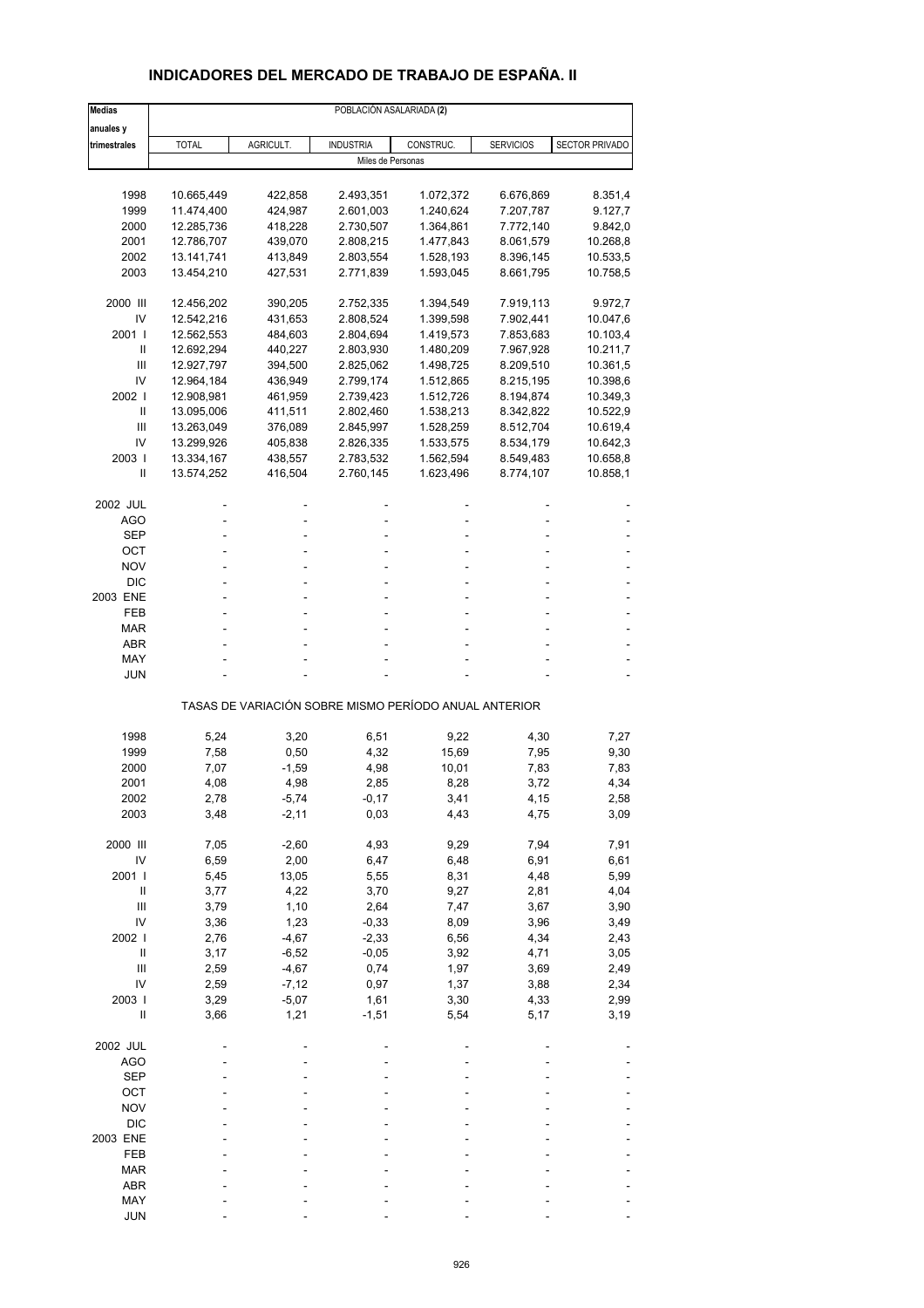## **INDICADORES DEL MERCADO DE TRABAJO DE ESPAÑA. II**

| <b>Medias</b>              | POBLACIÓN ASALARIADA (2) |           |                   |                                                       |                  |                |  |  |  |
|----------------------------|--------------------------|-----------|-------------------|-------------------------------------------------------|------------------|----------------|--|--|--|
| anuales y                  |                          |           |                   |                                                       |                  |                |  |  |  |
| trimestrales               | <b>TOTAL</b>             | AGRICULT. | <b>INDUSTRIA</b>  | CONSTRUC.                                             | <b>SERVICIOS</b> | SECTOR PRIVADO |  |  |  |
|                            |                          |           | Miles de Personas |                                                       |                  |                |  |  |  |
|                            |                          |           |                   |                                                       |                  |                |  |  |  |
| 1998                       | 10.665,449               | 422,858   | 2.493,351         | 1.072,372                                             | 6.676,869        | 8.351,4        |  |  |  |
| 1999                       | 11.474,400               | 424,987   | 2.601,003         | 1.240,624                                             | 7.207,787        | 9.127,7        |  |  |  |
| 2000                       | 12.285,736               | 418,228   | 2.730,507         | 1.364,861                                             | 7.772,140        | 9.842,0        |  |  |  |
| 2001                       | 12.786,707               | 439,070   | 2.808,215         | 1.477,843                                             | 8.061,579        | 10.268,8       |  |  |  |
| 2002                       | 13.141,741               | 413,849   | 2.803,554         | 1.528,193                                             | 8.396,145        | 10.533,5       |  |  |  |
| 2003                       | 13.454,210               | 427,531   | 2.771,839         | 1.593,045                                             | 8.661,795        | 10.758,5       |  |  |  |
| 2000 III                   | 12.456,202               | 390,205   | 2.752,335         | 1.394,549                                             | 7.919,113        | 9.972,7        |  |  |  |
| IV                         | 12.542,216               | 431,653   | 2.808,524         | 1.399,598                                             | 7.902,441        | 10.047,6       |  |  |  |
| 2001 l                     | 12.562,553               | 484,603   | 2.804,694         | 1.419,573                                             | 7.853,683        | 10.103,4       |  |  |  |
| Ш                          | 12.692,294               | 440,227   | 2.803,930         | 1.480,209                                             | 7.967,928        | 10.211,7       |  |  |  |
| Ш                          | 12.927,797               | 394,500   | 2.825,062         | 1.498,725                                             | 8.209,510        | 10.361,5       |  |  |  |
| IV                         | 12.964,184               | 436,949   | 2.799,174         | 1.512,865                                             | 8.215,195        | 10.398,6       |  |  |  |
| 2002                       | 12.908,981               | 461,959   | 2.739,423         | 1.512,726                                             | 8.194,874        | 10.349,3       |  |  |  |
| Ш                          | 13.095,006               | 411,511   | 2.802,460         | 1.538,213                                             | 8.342,822        | 10.522,9       |  |  |  |
| $\mathbf{III}$             | 13.263,049               | 376,089   | 2.845,997         | 1.528,259                                             | 8.512,704        | 10.619,4       |  |  |  |
| IV                         | 13.299,926               | 405,838   | 2.826,335         | 1.533,575                                             | 8.534,179        | 10.642,3       |  |  |  |
| 2003                       | 13.334,167               | 438,557   | 2.783,532         | 1.562,594                                             | 8.549,483        | 10.658,8       |  |  |  |
| Ш                          | 13.574,252               | 416,504   | 2.760,145         | 1.623,496                                             | 8.774,107        | 10.858,1       |  |  |  |
| 2002 JUL                   |                          |           |                   |                                                       |                  |                |  |  |  |
| AGO                        |                          |           |                   |                                                       |                  |                |  |  |  |
| <b>SEP</b>                 |                          |           |                   |                                                       |                  |                |  |  |  |
| ОСТ                        |                          |           |                   |                                                       |                  |                |  |  |  |
| <b>NOV</b>                 |                          |           |                   |                                                       |                  |                |  |  |  |
| <b>DIC</b>                 |                          |           |                   |                                                       |                  |                |  |  |  |
| 2003 ENE                   |                          |           |                   |                                                       |                  |                |  |  |  |
| FEB                        |                          |           |                   |                                                       |                  |                |  |  |  |
| <b>MAR</b>                 |                          |           |                   |                                                       |                  |                |  |  |  |
| <b>ABR</b>                 |                          |           |                   |                                                       |                  |                |  |  |  |
| MAY                        |                          |           |                   |                                                       |                  |                |  |  |  |
| JUN                        |                          |           |                   |                                                       |                  |                |  |  |  |
|                            |                          |           |                   | TASAS DE VARIACIÓN SOBRE MISMO PERÍODO ANUAL ANTERIOR |                  |                |  |  |  |
| 1998                       | 5,24                     | 3,20      | 6,51              | 9,22                                                  | 4,30             | 7,27           |  |  |  |
| 1999                       | 7,58                     | 0,50      | 4,32              | 15,69                                                 | 7,95             | 9,30           |  |  |  |
| 2000                       | 7,07                     | $-1,59$   | 4,98              | 10,01                                                 | 7,83             | 7,83           |  |  |  |
| 2001                       | 4,08                     | 4,98      | 2,85              | 8,28                                                  | 3,72             | 4,34           |  |  |  |
| 2002                       | 2,78                     | -5,74     | -0,17             | 3,41                                                  | 4,15             | 2,58           |  |  |  |
| 2003                       | 3,48                     | $-2,11$   | 0,03              | 4,43                                                  | 4,75             | 3,09           |  |  |  |
| 2000 III                   | 7,05                     | $-2,60$   | 4,93              | 9,29                                                  | 7,94             | 7,91           |  |  |  |
| IV                         | 6,59                     | 2,00      | 6,47              | 6,48                                                  | 6,91             | 6,61           |  |  |  |
| 2001                       | 5,45                     | 13,05     | 5,55              | 8,31                                                  | 4,48             | 5,99           |  |  |  |
| Ш                          | 3,77                     | 4,22      | 3,70              | 9,27                                                  | 2,81             | 4,04           |  |  |  |
| $\mathbf{III}$             | 3,79                     | 1,10      | 2,64              | 7,47                                                  | 3,67             | 3,90           |  |  |  |
| IV                         | 3,36                     | 1,23      | $-0,33$           | 8,09                                                  | 3,96             | 3,49           |  |  |  |
| 2002                       | 2,76                     | $-4,67$   | $-2,33$           | 6,56                                                  | 4,34             | 2,43           |  |  |  |
| $\ensuremath{\mathsf{II}}$ | 3,17                     | $-6,52$   | $-0,05$           | 3,92                                                  | 4,71             | 3,05           |  |  |  |
| $\mathsf{III}$             | 2,59                     | $-4,67$   | 0,74              | 1,97                                                  | 3,69             | 2,49           |  |  |  |
| IV                         | 2,59                     | $-7,12$   | 0,97              | 1,37                                                  | 3,88             | 2,34           |  |  |  |
| 2003                       | 3,29                     | $-5,07$   | 1,61              | 3,30                                                  | 4,33             | 2,99           |  |  |  |
| $\sf II$                   | 3,66                     | 1,21      | $-1,51$           | 5,54                                                  | 5,17             | 3,19           |  |  |  |
| 2002 JUL                   |                          |           |                   |                                                       |                  |                |  |  |  |
| <b>AGO</b>                 |                          |           |                   |                                                       |                  |                |  |  |  |
| <b>SEP</b>                 |                          |           |                   |                                                       |                  |                |  |  |  |
| OCT                        |                          |           |                   |                                                       |                  |                |  |  |  |
| <b>NOV</b>                 |                          |           |                   |                                                       |                  |                |  |  |  |
| <b>DIC</b>                 |                          |           |                   |                                                       |                  |                |  |  |  |
| 2003 ENE                   |                          |           |                   |                                                       |                  |                |  |  |  |
| FEB                        |                          |           |                   |                                                       |                  |                |  |  |  |
| <b>MAR</b>                 |                          |           |                   |                                                       |                  |                |  |  |  |
| ABR                        |                          |           |                   |                                                       |                  |                |  |  |  |
| MAY                        |                          |           |                   |                                                       |                  |                |  |  |  |
| <b>JUN</b>                 |                          |           |                   |                                                       |                  |                |  |  |  |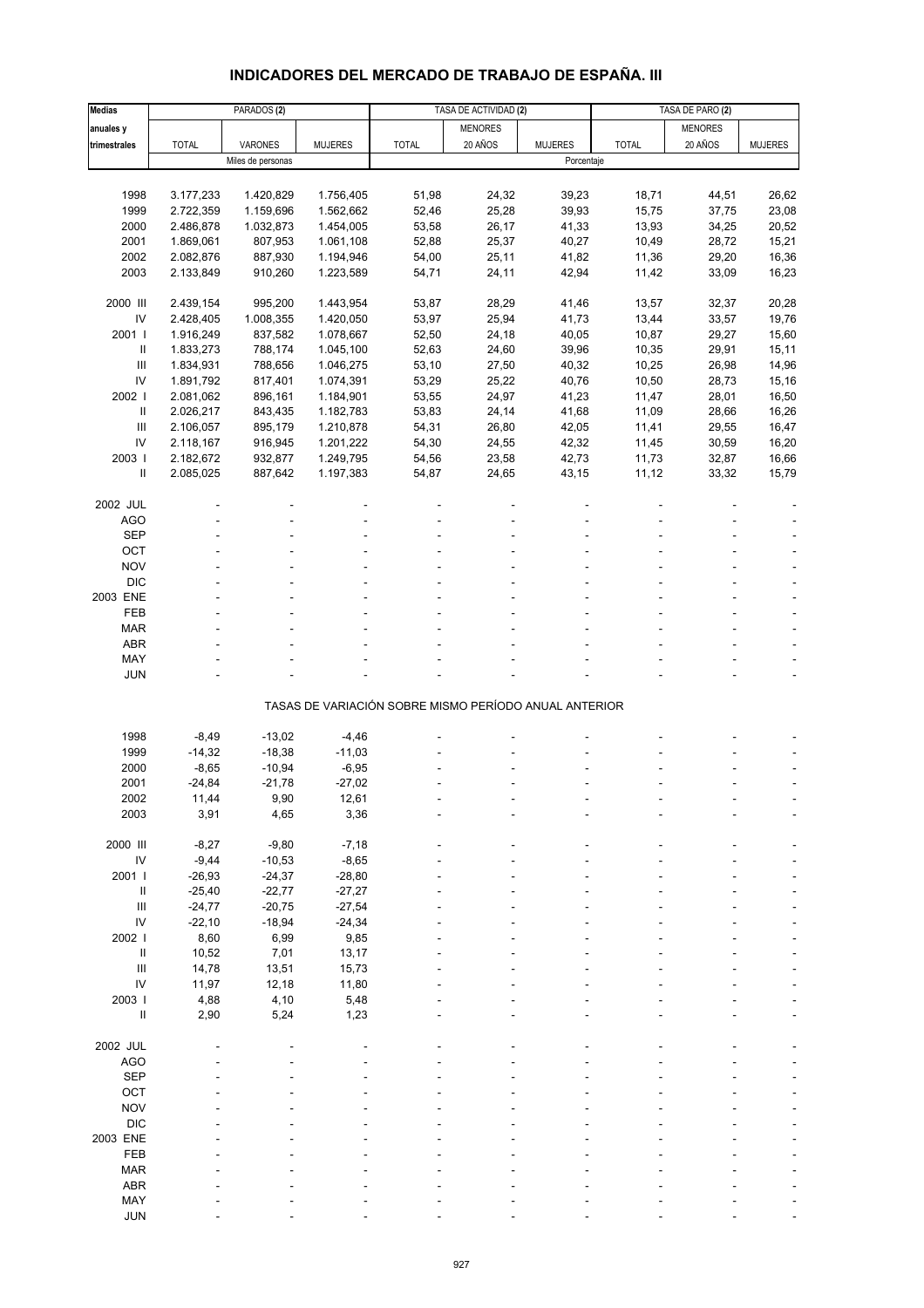# **INDICADORES DEL MERCADO DE TRABAJO DE ESPAÑA. III**

| <b>Medias</b>  |              | PARADOS <sub>(2)</sub> |                |                                                       | TASA DE ACTIVIDAD (2) |                |              | TASA DE PARO (2) |                |  |
|----------------|--------------|------------------------|----------------|-------------------------------------------------------|-----------------------|----------------|--------------|------------------|----------------|--|
| anuales y      |              |                        |                |                                                       | <b>MENORES</b>        |                |              | <b>MENORES</b>   |                |  |
| trimestrales   | <b>TOTAL</b> | VARONES                | <b>MUJERES</b> | <b>TOTAL</b>                                          | 20 AÑOS               | <b>MUJERES</b> | <b>TOTAL</b> | 20 AÑOS          | <b>MUJERES</b> |  |
|                |              | Miles de personas      |                |                                                       |                       | Porcentaje     |              |                  |                |  |
|                |              |                        |                |                                                       |                       |                |              |                  |                |  |
| 1998           | 3.177,233    | 1.420,829              | 1.756,405      | 51,98                                                 | 24,32                 | 39,23          | 18,71        | 44,51            | 26,62          |  |
| 1999           | 2.722,359    | 1.159,696              | 1.562,662      | 52,46                                                 | 25,28                 | 39,93          | 15,75        | 37,75            | 23,08          |  |
| 2000           | 2.486,878    | 1.032,873              | 1.454,005      | 53,58                                                 | 26,17                 | 41,33          | 13,93        | 34,25            | 20,52          |  |
| 2001           | 1.869,061    | 807,953                | 1.061,108      | 52,88                                                 | 25,37                 | 40,27          | 10,49        | 28,72            | 15,21          |  |
| 2002           | 2.082,876    | 887,930                | 1.194,946      | 54,00                                                 | 25,11                 | 41,82          | 11,36        | 29,20            | 16,36          |  |
| 2003           | 2.133,849    | 910,260                | 1.223,589      | 54,71                                                 | 24,11                 | 42,94          | 11,42        | 33,09            | 16,23          |  |
|                |              |                        |                |                                                       |                       |                |              |                  |                |  |
| 2000 III       | 2.439,154    | 995,200                | 1.443,954      | 53,87                                                 | 28,29                 | 41,46          | 13,57        | 32,37            | 20,28          |  |
| IV             | 2.428,405    | 1.008,355              | 1.420,050      | 53,97                                                 | 25,94                 | 41,73          | 13,44        | 33,57            | 19,76          |  |
| 2001 l         | 1.916,249    | 837,582                | 1.078,667      | 52,50                                                 | 24,18                 | 40,05          | 10,87        | 29,27            | 15,60          |  |
| $\,$ II        | 1.833,273    | 788,174                | 1.045,100      | 52,63                                                 | 24,60                 | 39,96          | 10,35        | 29,91            | 15,11          |  |
| Ш              | 1.834,931    | 788,656                | 1.046,275      | 53,10                                                 | 27,50                 | 40,32          | 10,25        | 26,98            | 14,96          |  |
| IV             | 1.891,792    | 817,401                | 1.074,391      | 53,29                                                 | 25,22                 | 40,76          | 10,50        | 28,73            | 15,16          |  |
| 2002           | 2.081,062    | 896,161                | 1.184,901      | 53,55                                                 | 24,97                 | 41,23          | 11,47        | 28,01            | 16,50          |  |
| Ш              | 2.026,217    | 843,435                | 1.182,783      | 53,83                                                 | 24,14                 | 41,68          | 11,09        | 28,66            | 16,26          |  |
| Ш              | 2.106,057    | 895,179                | 1.210,878      | 54,31                                                 | 26,80                 | 42,05          | 11,41        | 29,55            | 16,47          |  |
| IV             | 2.118,167    | 916,945                | 1.201,222      | 54,30                                                 | 24,55                 | 42,32          | 11,45        | 30,59            | 16,20          |  |
| 2003           |              |                        |                |                                                       |                       |                |              |                  | 16,66          |  |
|                | 2.182,672    | 932,877                | 1.249,795      | 54,56                                                 | 23,58                 | 42,73          | 11,73        | 32,87            |                |  |
| Ш              | 2.085,025    | 887,642                | 1.197,383      | 54,87                                                 | 24,65                 | 43,15          | 11,12        | 33,32            | 15,79          |  |
|                |              |                        |                |                                                       |                       |                |              |                  |                |  |
| 2002 JUL       |              |                        |                |                                                       |                       |                |              |                  |                |  |
| <b>AGO</b>     |              |                        |                | L.                                                    |                       |                |              |                  |                |  |
| <b>SEP</b>     |              |                        |                |                                                       |                       |                |              |                  |                |  |
| OCT            |              |                        |                |                                                       |                       |                |              |                  |                |  |
| <b>NOV</b>     |              |                        |                |                                                       |                       |                |              |                  |                |  |
| <b>DIC</b>     |              |                        |                |                                                       |                       |                |              |                  |                |  |
| 2003 ENE       |              |                        |                |                                                       |                       |                |              |                  |                |  |
| <b>FEB</b>     |              |                        |                |                                                       |                       |                |              |                  |                |  |
| <b>MAR</b>     |              |                        |                |                                                       |                       |                |              |                  |                |  |
| <b>ABR</b>     |              |                        |                |                                                       |                       |                |              |                  |                |  |
| MAY            |              |                        |                |                                                       |                       |                |              |                  |                |  |
| <b>JUN</b>     |              |                        |                |                                                       |                       |                |              |                  |                |  |
|                |              |                        |                | TASAS DE VARIACIÓN SOBRE MISMO PERÍODO ANUAL ANTERIOR |                       |                |              |                  |                |  |
|                |              |                        |                |                                                       |                       |                |              |                  |                |  |
| 1998           | $-8,49$      | $-13,02$               | $-4,46$        |                                                       |                       |                |              |                  |                |  |
| 1999           | $-14,32$     | $-18,38$               | $-11,03$       |                                                       |                       |                |              |                  |                |  |
| 2000           | $-8,65$      | $-10,94$               | $-6,95$        |                                                       |                       |                |              |                  |                |  |
| 2001           | $-24,84$     | $-21,78$               | $-27,02$       |                                                       |                       |                |              |                  |                |  |
| 2002           | 11,44        | 9,90                   | 12,61          |                                                       |                       |                |              |                  |                |  |
| 2003           | 3,91         | 4,65                   | 3,36           |                                                       |                       |                |              |                  |                |  |
|                |              |                        |                |                                                       |                       |                |              |                  |                |  |
| 2000 III       | $-8,27$      | $-9,80$                | $-7,18$        |                                                       |                       |                |              |                  |                |  |
| ${\sf IV}$     | $-9,44$      | $-10,53$               | $-8,65$        |                                                       |                       |                |              |                  |                |  |
| 2001 l         | $-26,93$     | $-24,37$               | $-28,80$       |                                                       |                       |                |              |                  |                |  |
| Ш              | $-25,40$     | $-22,77$               | $-27,27$       |                                                       |                       |                |              |                  |                |  |
| $\mathbf{III}$ | $-24,77$     | $-20,75$               | $-27,54$       |                                                       |                       |                |              |                  |                |  |
| IV             | $-22,10$     | $-18,94$               | $-24,34$       |                                                       |                       |                |              |                  |                |  |
| 2002 l         | 8,60         | 6,99                   | 9,85           |                                                       |                       |                |              |                  |                |  |
| $\,$ II        | 10,52        | 7,01                   | 13,17          |                                                       |                       |                |              |                  |                |  |
| $\mathbf{III}$ | 14,78        | 13,51                  | 15,73          |                                                       |                       |                |              |                  |                |  |
| IV             | 11,97        | 12,18                  | 11,80          |                                                       |                       |                |              |                  |                |  |
| 2003 l         | 4,88         | 4,10                   | 5,48           |                                                       |                       |                |              |                  |                |  |
| $\,$ II        | 2,90         | 5,24                   | 1,23           |                                                       |                       |                |              |                  |                |  |
|                |              |                        |                |                                                       |                       |                |              |                  |                |  |
| 2002 JUL       |              |                        |                |                                                       |                       |                |              |                  |                |  |
| <b>AGO</b>     |              |                        |                |                                                       |                       |                |              |                  |                |  |
| <b>SEP</b>     |              |                        |                |                                                       |                       |                |              |                  |                |  |
| OCT            |              |                        |                |                                                       |                       |                |              |                  |                |  |
| <b>NOV</b>     |              |                        |                |                                                       |                       |                |              |                  |                |  |
| <b>DIC</b>     |              |                        |                |                                                       |                       |                |              |                  |                |  |
| 2003 ENE       |              |                        |                |                                                       |                       |                |              |                  |                |  |
| FEB            |              |                        |                |                                                       |                       |                |              |                  |                |  |
| <b>MAR</b>     |              |                        |                |                                                       |                       |                |              |                  |                |  |
| ABR            |              |                        |                |                                                       |                       |                |              |                  |                |  |
| MAY            |              |                        |                |                                                       |                       |                |              |                  |                |  |
| <b>JUN</b>     |              |                        |                |                                                       |                       |                |              |                  |                |  |
|                |              |                        |                |                                                       |                       |                |              |                  |                |  |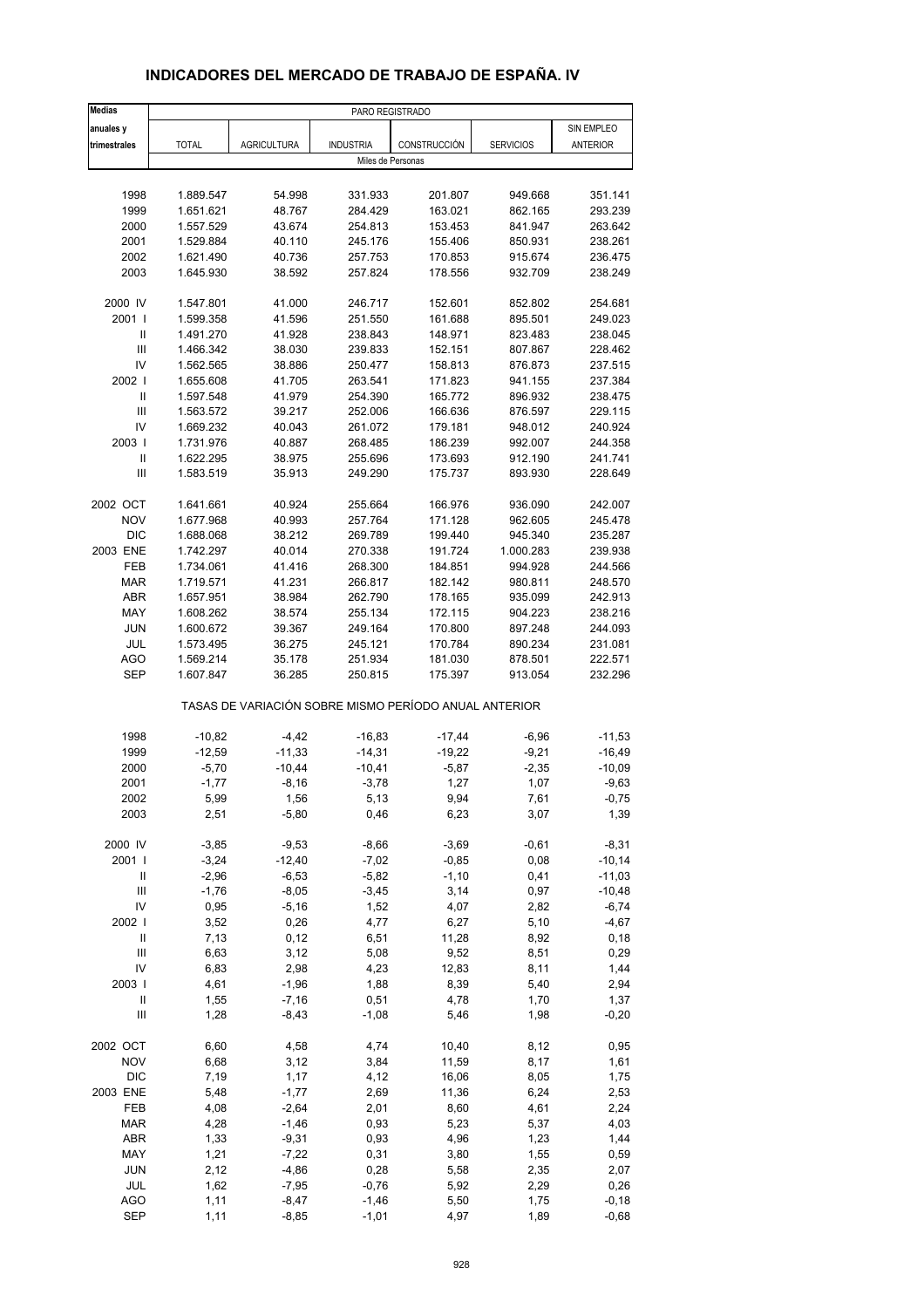## **INDICADORES DEL MERCADO DE TRABAJO DE ESPAÑA. IV**

| <b>Medias</b>              |              |                    | PARO REGISTRADO   |                                                       |                  |                 |
|----------------------------|--------------|--------------------|-------------------|-------------------------------------------------------|------------------|-----------------|
| anuales y                  |              |                    |                   |                                                       |                  | SIN EMPLEO      |
| trimestrales               | <b>TOTAL</b> | <b>AGRICULTURA</b> | <b>INDUSTRIA</b>  | CONSTRUCCIÓN                                          | <b>SERVICIOS</b> | <b>ANTERIOR</b> |
|                            |              |                    | Miles de Personas |                                                       |                  |                 |
|                            |              |                    |                   |                                                       |                  |                 |
| 1998                       | 1.889.547    | 54.998             | 331.933           | 201.807                                               | 949.668          | 351.141         |
| 1999                       | 1.651.621    | 48.767             | 284.429           | 163.021                                               | 862.165          | 293.239         |
| 2000                       | 1.557.529    | 43.674             | 254.813           | 153.453                                               | 841.947          | 263.642         |
| 2001                       | 1.529.884    | 40.110             | 245.176           | 155.406                                               | 850.931          | 238.261         |
| 2002                       | 1.621.490    | 40.736             | 257.753           | 170.853                                               | 915.674          | 236.475         |
| 2003                       | 1.645.930    | 38.592             | 257.824           | 178.556                                               | 932.709          | 238.249         |
|                            |              |                    |                   |                                                       |                  |                 |
| 2000 IV                    | 1.547.801    | 41.000             | 246.717           | 152.601                                               | 852.802          | 254.681         |
| 2001 l                     | 1.599.358    | 41.596             | 251.550           | 161.688                                               | 895.501          | 249.023         |
| Ш                          | 1.491.270    | 41.928             | 238.843           | 148.971                                               | 823.483          | 238.045         |
| $\mathsf{III}$             | 1.466.342    | 38.030             | 239.833           | 152.151                                               | 807.867          | 228.462         |
| IV                         | 1.562.565    | 38.886             | 250.477           | 158.813                                               | 876.873          | 237.515         |
| 2002                       | 1.655.608    | 41.705             | 263.541           | 171.823                                               | 941.155          | 237.384         |
| $\mathsf{I}$               | 1.597.548    | 41.979             | 254.390           | 165.772                                               | 896.932          | 238.475         |
| $\mathsf{III}$             | 1.563.572    | 39.217             | 252.006           | 166.636                                               | 876.597          | 229.115         |
| IV                         | 1.669.232    | 40.043             | 261.072           | 179.181                                               | 948.012          | 240.924         |
| 2003                       | 1.731.976    | 40.887             | 268.485           | 186.239                                               | 992.007          | 244.358         |
| $\ensuremath{\mathsf{II}}$ | 1.622.295    | 38.975             | 255.696           | 173.693                                               | 912.190          | 241.741         |
| Ш                          | 1.583.519    | 35.913             | 249.290           | 175.737                                               | 893.930          | 228.649         |
|                            |              |                    |                   |                                                       |                  |                 |
| 2002 OCT                   | 1.641.661    | 40.924             | 255.664           | 166.976                                               | 936.090          | 242.007         |
| <b>NOV</b>                 | 1.677.968    | 40.993             | 257.764           | 171.128                                               | 962.605          | 245.478         |
| <b>DIC</b>                 | 1.688.068    | 38.212             | 269.789           | 199.440                                               | 945.340          | 235.287         |
| 2003 ENE                   |              |                    |                   | 191.724                                               | 1.000.283        | 239.938         |
|                            | 1.742.297    | 40.014             | 270.338           |                                                       |                  |                 |
| FEB                        | 1.734.061    | 41.416             | 268.300           | 184.851                                               | 994.928          | 244.566         |
| <b>MAR</b>                 | 1.719.571    | 41.231             | 266.817           | 182.142                                               | 980.811          | 248.570         |
| ABR                        | 1.657.951    | 38.984             | 262.790           | 178.165                                               | 935.099          | 242.913         |
| MAY                        | 1.608.262    | 38.574             | 255.134           | 172.115                                               | 904.223          | 238.216         |
| <b>JUN</b>                 | 1.600.672    | 39.367             | 249.164           | 170.800                                               | 897.248          | 244.093         |
| <b>JUL</b>                 | 1.573.495    | 36.275             | 245.121           | 170.784                                               | 890.234          | 231.081         |
| <b>AGO</b>                 | 1.569.214    | 35.178             | 251.934           | 181.030                                               | 878.501          | 222.571         |
| <b>SEP</b>                 | 1.607.847    | 36.285             | 250.815           | 175.397                                               | 913.054          | 232.296         |
|                            |              |                    |                   | TASAS DE VARIACIÓN SOBRE MISMO PERÍODO ANUAL ANTERIOR |                  |                 |
| 1998                       | $-10,82$     | $-4,42$            | $-16,83$          | $-17,44$                                              | $-6,96$          | $-11,53$        |
| 1999                       | $-12,59$     | $-11,33$           | $-14,31$          | $-19,22$                                              | $-9,21$          | $-16,49$        |
|                            |              |                    |                   |                                                       |                  | $-10,09$        |
| 2000                       | $-5,70$      | $-10,44$           | $-10,41$          | $-5,87$                                               | $-2,35$          |                 |
| 2001                       | $-1,77$      | $-8,16$            | $-3,78$           | 1,27                                                  | 1,07             | $-9,63$         |
| 2002                       | 5,99         | 1,56               | 5,13              | 9,94                                                  | 7,61             | $-0,75$         |
| 2003                       | 2,51         | $-5,80$            | 0,46              | 6,23                                                  | 3,07             | 1,39            |
| 2000 IV                    | $-3,85$      | $-9,53$            | $-8,66$           | $-3,69$                                               | $-0,61$          | $-8,31$         |
| 2001 l                     | $-3,24$      | $-12,40$           | $-7,02$           | $-0,85$                                               | 0,08             | $-10,14$        |
| Ш                          | $-2,96$      | $-6,53$            | $-5,82$           | $-1,10$                                               | 0,41             | $-11,03$        |
| $\mathsf{III}$             | $-1,76$      | $-8,05$            | $-3,45$           | 3,14                                                  | 0,97             | $-10,48$        |
| IV                         | 0,95         | $-5,16$            | 1,52              | 4,07                                                  | 2,82             | $-6,74$         |
| 2002 l                     | 3,52         | 0,26               | 4,77              | 6,27                                                  | 5,10             | $-4,67$         |
| $\ensuremath{\mathsf{II}}$ | 7,13         | 0,12               | 6,51              | 11,28                                                 |                  | 0, 18           |
|                            |              |                    |                   |                                                       | 8,92             |                 |
| $\mathsf{III}$             | 6,63         | 3,12               | 5,08              | 9,52                                                  | 8,51             | 0,29            |
| IV                         | 6,83         | 2,98               | 4,23              | 12,83                                                 | 8,11             | 1,44            |
| 2003                       | 4,61         | $-1,96$            | 1,88              | 8,39                                                  | 5,40             | 2,94            |
| Ш                          | 1,55         | $-7,16$            | 0,51              | 4,78                                                  | 1,70             | 1,37            |
| Ш                          | 1,28         | $-8,43$            | $-1,08$           | 5,46                                                  | 1,98             | $-0,20$         |
| 2002 OCT                   | 6,60         | 4,58               | 4,74              | 10,40                                                 | 8,12             | 0,95            |
| <b>NOV</b>                 | 6,68         | 3,12               | 3,84              | 11,59                                                 | 8,17             | 1,61            |
| DIC                        | 7,19         | 1,17               | 4,12              | 16,06                                                 | 8,05             | 1,75            |
| 2003 ENE                   | 5,48         | $-1,77$            | 2,69              | 11,36                                                 | 6,24             | 2,53            |
| FEB                        | 4,08         | $-2,64$            | 2,01              | 8,60                                                  | 4,61             | 2,24            |
| <b>MAR</b>                 | 4,28         | $-1,46$            | 0,93              | 5,23                                                  | 5,37             | 4,03            |
| ABR                        | 1,33         | $-9,31$            | 0,93              | 4,96                                                  | 1,23             | 1,44            |
| MAY                        | 1,21         | $-7,22$            | 0,31              | 3,80                                                  | 1,55             | 0,59            |
| <b>JUN</b>                 | 2,12         | $-4,86$            | 0,28              | 5,58                                                  | 2,35             | 2,07            |
| JUL                        | 1,62         | $-7,95$            | $-0,76$           | 5,92                                                  | 2,29             | 0,26            |
| <b>AGO</b>                 | 1,11         | $-8,47$            | $-1,46$           | 5,50                                                  | 1,75             | $-0,18$         |
| <b>SEP</b>                 | 1,11         | $-8,85$            | $-1,01$           | 4,97                                                  | 1,89             | $-0,68$         |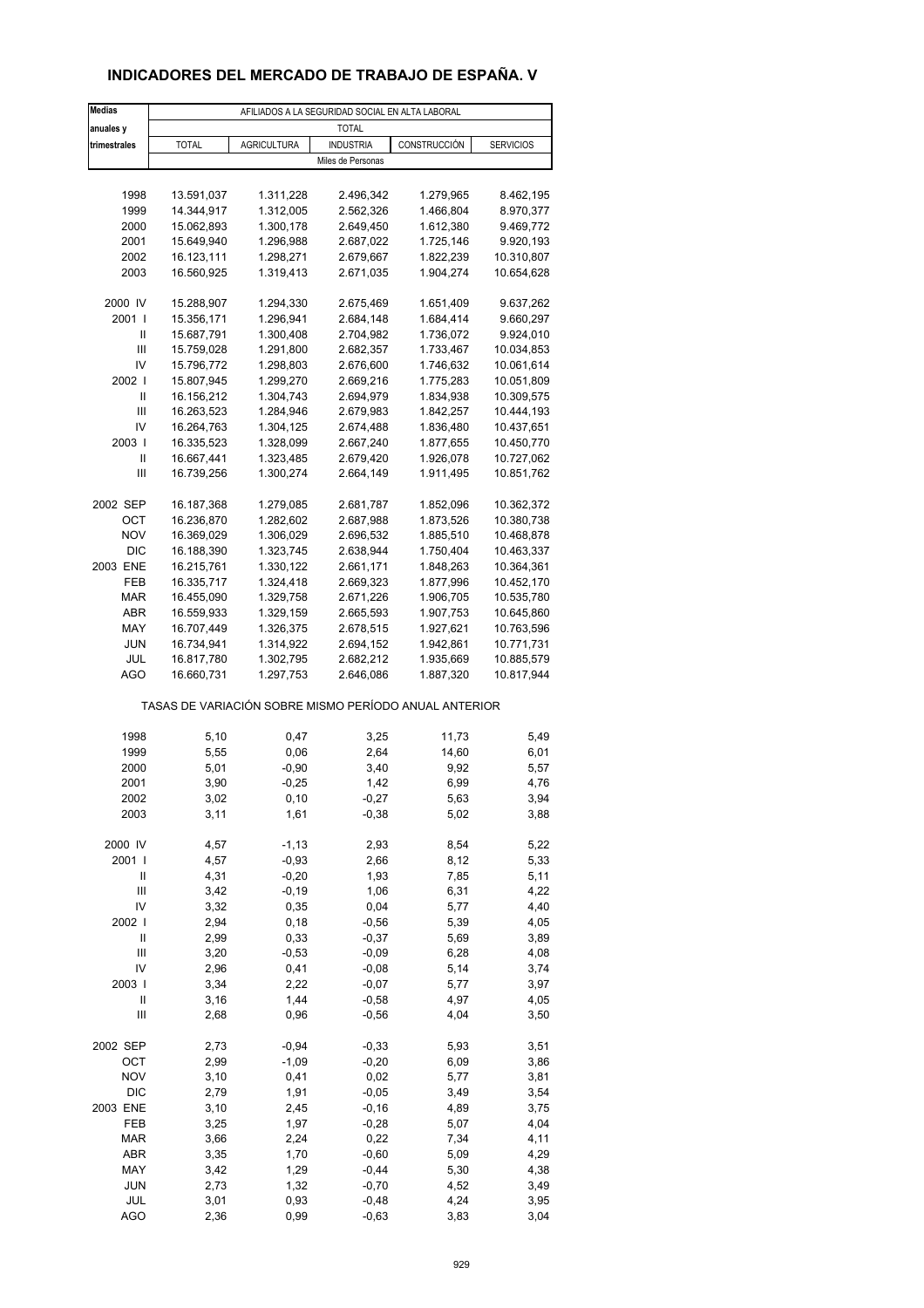## **INDICADORES DEL MERCADO DE TRABAJO DE ESPAÑA. V**

| <b>Medias</b>   | AFILIADOS A LA SEGURIDAD SOCIAL EN ALTA LABORAL |                        |                        |                                                       |                          |  |  |  |  |
|-----------------|-------------------------------------------------|------------------------|------------------------|-------------------------------------------------------|--------------------------|--|--|--|--|
| anuales y       | <b>TOTAL</b>                                    |                        |                        |                                                       |                          |  |  |  |  |
| trimestrales    | <b>TOTAL</b>                                    | <b>AGRICULTURA</b>     | <b>INDUSTRIA</b>       | CONSTRUCCIÓN                                          | <b>SERVICIOS</b>         |  |  |  |  |
|                 |                                                 |                        | Miles de Personas      |                                                       |                          |  |  |  |  |
|                 |                                                 |                        |                        |                                                       |                          |  |  |  |  |
| 1998            | 13.591,037                                      | 1.311,228              | 2.496,342              | 1.279,965                                             | 8.462,195                |  |  |  |  |
| 1999            | 14.344,917                                      | 1.312,005              | 2.562,326              | 1.466,804                                             | 8.970,377                |  |  |  |  |
| 2000            | 15.062,893                                      | 1.300,178              | 2.649,450              | 1.612,380                                             | 9.469,772                |  |  |  |  |
| 2001            | 15.649,940                                      | 1.296,988              | 2.687,022              | 1.725,146                                             | 9.920,193                |  |  |  |  |
| 2002            | 16.123,111                                      | 1.298,271              | 2.679,667              | 1.822,239                                             | 10.310,807               |  |  |  |  |
| 2003            | 16.560,925                                      | 1.319,413              | 2.671,035              | 1.904,274                                             | 10.654,628               |  |  |  |  |
|                 |                                                 |                        |                        |                                                       |                          |  |  |  |  |
| 2000 IV         | 15.288,907                                      | 1.294,330              | 2.675,469              | 1.651,409                                             | 9.637,262                |  |  |  |  |
| 2001 l          | 15.356,171                                      | 1.296,941              | 2.684,148              | 1.684,414                                             | 9.660,297                |  |  |  |  |
| Ш<br>Ш          | 15.687,791<br>15.759,028                        | 1.300,408<br>1.291,800 | 2.704,982<br>2.682,357 | 1.736,072<br>1.733,467                                | 9.924,010<br>10.034,853  |  |  |  |  |
| IV              | 15.796,772                                      | 1.298,803              | 2.676,600              | 1.746,632                                             | 10.061,614               |  |  |  |  |
| 2002            | 15.807,945                                      | 1.299,270              | 2.669,216              | 1.775,283                                             | 10.051,809               |  |  |  |  |
| Ш               | 16.156,212                                      | 1.304,743              | 2.694,979              | 1.834,938                                             | 10.309,575               |  |  |  |  |
| Ш               | 16.263,523                                      | 1.284,946              | 2.679,983              | 1.842,257                                             | 10.444,193               |  |  |  |  |
| IV              | 16.264,763                                      | 1.304,125              | 2.674,488              | 1.836,480                                             | 10.437,651               |  |  |  |  |
| 2003            | 16.335,523                                      | 1.328,099              | 2.667,240              | 1.877,655                                             | 10.450,770               |  |  |  |  |
| Ш               | 16.667,441                                      | 1.323,485              | 2.679,420              | 1.926,078                                             | 10.727,062               |  |  |  |  |
| Ш               | 16.739,256                                      | 1.300,274              | 2.664,149              | 1.911,495                                             | 10.851,762               |  |  |  |  |
|                 |                                                 |                        |                        |                                                       |                          |  |  |  |  |
| 2002 SEP        | 16.187,368                                      | 1.279,085              | 2.681,787              | 1.852,096                                             | 10.362,372               |  |  |  |  |
| ОСТ             | 16.236,870                                      | 1.282,602              | 2.687,988              | 1.873,526                                             | 10.380,738               |  |  |  |  |
| <b>NOV</b>      | 16.369,029                                      | 1.306,029              | 2.696,532              | 1.885,510                                             | 10.468,878               |  |  |  |  |
| <b>DIC</b>      | 16.188,390                                      | 1.323,745              | 2.638,944              | 1.750,404                                             | 10.463,337               |  |  |  |  |
| 2003 ENE<br>FEB | 16.215,761                                      | 1.330,122              | 2.661,171              | 1.848,263                                             | 10.364,361               |  |  |  |  |
| <b>MAR</b>      | 16.335,717<br>16.455,090                        | 1.324,418<br>1.329,758 | 2.669,323<br>2.671,226 | 1.877,996<br>1.906,705                                | 10.452,170<br>10.535,780 |  |  |  |  |
| ABR             | 16.559,933                                      | 1.329,159              | 2.665,593              | 1.907,753                                             | 10.645,860               |  |  |  |  |
| MAY             | 16.707,449                                      | 1.326,375              | 2.678,515              | 1.927,621                                             | 10.763,596               |  |  |  |  |
| <b>JUN</b>      | 16.734,941                                      | 1.314,922              | 2.694,152              | 1.942,861                                             | 10.771,731               |  |  |  |  |
| JUL             | 16.817,780                                      | 1.302,795              | 2.682,212              | 1.935,669                                             | 10.885,579               |  |  |  |  |
| AGO             | 16.660,731                                      | 1.297,753              | 2.646,086              | 1.887,320                                             | 10.817,944               |  |  |  |  |
|                 |                                                 |                        |                        | TASAS DE VARIACIÓN SOBRE MISMO PERÍODO ANUAL ANTERIOR |                          |  |  |  |  |
|                 |                                                 |                        |                        |                                                       |                          |  |  |  |  |
| 1998            | 5,10                                            | 0,47                   | 3,25                   | 11,73                                                 | 5,49                     |  |  |  |  |
| 1999<br>2000    | 5,55<br>5,01                                    | 0,06<br>$-0,90$        | 2,64<br>3,40           | 14,60<br>9,92                                         | 6,01<br>5,57             |  |  |  |  |
| 2001            | 3,90                                            | $-0,25$                | 1,42                   | 6,99                                                  | 4,76                     |  |  |  |  |
| 2002            | 3,02                                            | 0,10                   | $-0,27$                | 5,63                                                  | 3,94                     |  |  |  |  |
| 2003            | 3,11                                            | 1,61                   | $-0,38$                | 5,02                                                  | 3,88                     |  |  |  |  |
|                 |                                                 |                        |                        |                                                       |                          |  |  |  |  |
| 2000 IV         | 4,57                                            | $-1, 13$               | 2,93                   | 8,54                                                  | 5,22                     |  |  |  |  |
| 2001            | 4,57                                            | $-0,93$                | 2,66                   | 8,12                                                  | 5,33                     |  |  |  |  |
| Ш               | 4,31                                            | $-0,20$                | 1,93                   | 7,85                                                  | 5,11                     |  |  |  |  |
| Ш               | 3,42                                            | $-0,19$                | 1,06                   | 6,31                                                  | 4,22                     |  |  |  |  |
| IV              | 3,32                                            | 0,35                   | 0,04                   | 5,77                                                  | 4,40                     |  |  |  |  |
| 2002            | 2,94                                            | 0, 18                  | $-0,56$                | 5,39                                                  | 4,05                     |  |  |  |  |
| Ш               | 2,99                                            | 0,33                   | $-0,37$                | 5,69                                                  | 3,89                     |  |  |  |  |
| Ш               | 3,20                                            | $-0,53$                | $-0,09$                | 6,28                                                  | 4,08                     |  |  |  |  |
| IV              | 2,96                                            | 0,41                   | $-0,08$                | 5,14                                                  | 3,74                     |  |  |  |  |
| 2003  <br>Ш     | 3,34<br>3,16                                    | 2,22<br>1,44           | $-0,07$<br>$-0,58$     | 5,77<br>4,97                                          | 3,97                     |  |  |  |  |
| Ш               | 2,68                                            | 0,96                   | $-0,56$                | 4,04                                                  | 4,05<br>3,50             |  |  |  |  |
|                 |                                                 |                        |                        |                                                       |                          |  |  |  |  |
| 2002 SEP        | 2,73                                            | $-0,94$                | $-0,33$                | 5,93                                                  | 3,51                     |  |  |  |  |
| OCT             | 2,99                                            | $-1,09$                | $-0,20$                | 6,09                                                  | 3,86                     |  |  |  |  |
| <b>NOV</b>      | 3,10                                            | 0,41                   | 0,02                   | 5,77                                                  | 3,81                     |  |  |  |  |
| <b>DIC</b>      | 2,79                                            | 1,91                   | $-0,05$                | 3,49                                                  | 3,54                     |  |  |  |  |
| 2003 ENE        | 3,10                                            | 2,45                   | $-0, 16$               | 4,89                                                  | 3,75                     |  |  |  |  |
| FEB             | 3,25                                            | 1,97                   | $-0,28$                | 5,07                                                  | 4,04                     |  |  |  |  |
| <b>MAR</b>      | 3,66                                            | 2,24                   | 0,22                   | 7,34                                                  | 4,11                     |  |  |  |  |
| ABR             | 3,35                                            | 1,70                   | $-0,60$                | 5,09                                                  | 4,29                     |  |  |  |  |
| MAY             | 3,42                                            | 1,29                   | $-0,44$                | 5,30                                                  | 4,38                     |  |  |  |  |
| <b>JUN</b>      | 2,73                                            | 1,32                   | $-0,70$                | 4,52                                                  | 3,49                     |  |  |  |  |
| JUL             | 3,01                                            | 0,93                   | $-0,48$                | 4,24                                                  | 3,95                     |  |  |  |  |
| <b>AGO</b>      | 2,36                                            | 0,99                   | $-0,63$                | 3,83                                                  | 3,04                     |  |  |  |  |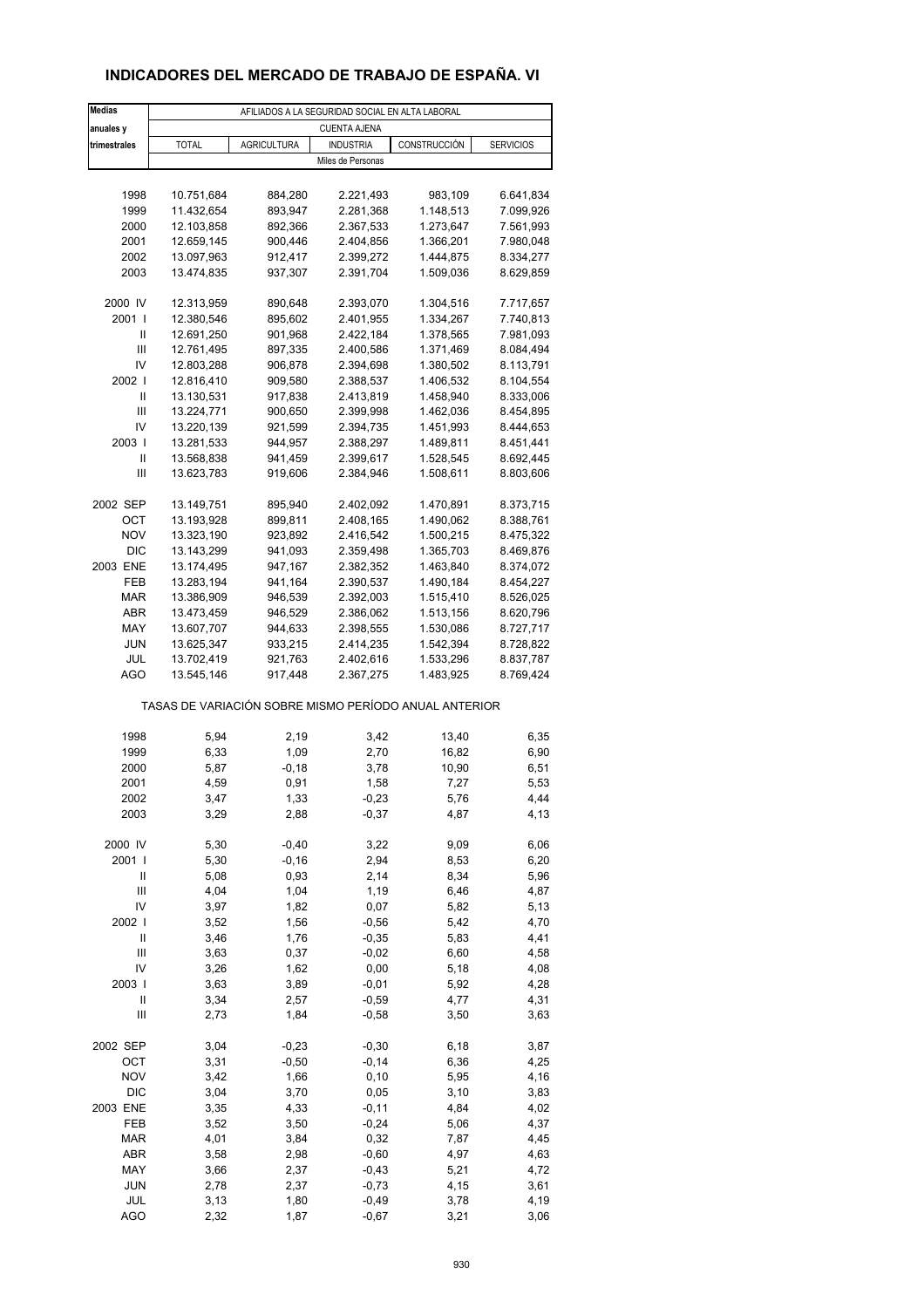## **INDICADORES DEL MERCADO DE TRABAJO DE ESPAÑA. VI**

| <b>Medias</b>     | AFILIADOS A LA SEGURIDAD SOCIAL EN ALTA LABORAL       |                    |                     |              |                  |  |  |  |  |
|-------------------|-------------------------------------------------------|--------------------|---------------------|--------------|------------------|--|--|--|--|
| anuales y         |                                                       |                    | <b>CUENTA AJENA</b> |              |                  |  |  |  |  |
| trimestrales      | <b>TOTAL</b>                                          | <b>AGRICULTURA</b> | <b>INDUSTRIA</b>    | CONSTRUCCIÓN | <b>SERVICIOS</b> |  |  |  |  |
|                   |                                                       |                    | Miles de Personas   |              |                  |  |  |  |  |
|                   |                                                       |                    |                     |              |                  |  |  |  |  |
| 1998              | 10.751,684                                            | 884,280            | 2.221,493           | 983,109      | 6.641,834        |  |  |  |  |
| 1999              | 11.432,654                                            | 893,947            | 2.281,368           | 1.148,513    | 7.099,926        |  |  |  |  |
| 2000              | 12.103,858                                            | 892,366            | 2.367,533           | 1.273,647    | 7.561,993        |  |  |  |  |
| 2001              | 12.659,145                                            | 900,446            | 2.404,856           | 1.366,201    | 7.980,048        |  |  |  |  |
| 2002              | 13.097,963                                            | 912,417            | 2.399,272           | 1.444,875    | 8.334,277        |  |  |  |  |
| 2003              | 13.474,835                                            | 937,307            | 2.391,704           | 1.509,036    | 8.629,859        |  |  |  |  |
| 2000 IV           | 12.313,959                                            | 890,648            | 2.393,070           | 1.304,516    | 7.717,657        |  |  |  |  |
| 2001 l            | 12.380,546                                            | 895,602            | 2.401,955           | 1.334,267    | 7.740,813        |  |  |  |  |
| Ш                 | 12.691,250                                            | 901,968            | 2.422,184           | 1.378,565    | 7.981,093        |  |  |  |  |
| Ш                 | 12.761,495                                            | 897,335            | 2.400,586           | 1.371,469    | 8.084,494        |  |  |  |  |
| IV                | 12.803,288                                            | 906,878            | 2.394,698           | 1.380,502    | 8.113,791        |  |  |  |  |
| 2002              | 12.816,410                                            | 909,580            | 2.388,537           | 1.406,532    | 8.104,554        |  |  |  |  |
| Ш                 | 13.130,531                                            | 917,838            | 2.413,819           | 1.458,940    | 8.333,006        |  |  |  |  |
| Ш                 | 13.224,771                                            | 900,650            | 2.399,998           | 1.462,036    | 8.454,895        |  |  |  |  |
| IV                | 13.220,139                                            | 921,599            | 2.394,735           | 1.451,993    | 8.444,653        |  |  |  |  |
| 2003              | 13.281,533                                            | 944,957            | 2.388,297           | 1.489,811    | 8.451,441        |  |  |  |  |
| Ш                 | 13.568,838                                            | 941,459            | 2.399,617           | 1.528,545    | 8.692,445        |  |  |  |  |
| Ш                 | 13.623,783                                            | 919,606            | 2.384,946           | 1.508,611    | 8.803,606        |  |  |  |  |
| 2002 SEP          | 13.149,751                                            | 895,940            | 2.402,092           | 1.470,891    | 8.373,715        |  |  |  |  |
| OCT               | 13.193,928                                            | 899,811            | 2.408,165           | 1.490,062    | 8.388,761        |  |  |  |  |
| <b>NOV</b>        | 13.323,190                                            | 923,892            | 2.416,542           | 1.500,215    | 8.475,322        |  |  |  |  |
| DIC               | 13.143,299                                            | 941,093            | 2.359,498           | 1.365,703    | 8.469,876        |  |  |  |  |
| 2003 ENE          | 13.174,495                                            | 947,167            | 2.382,352           | 1.463,840    | 8.374,072        |  |  |  |  |
| FEB               | 13.283,194                                            | 941,164            | 2.390,537           | 1.490,184    | 8.454,227        |  |  |  |  |
| <b>MAR</b>        | 13.386,909                                            | 946,539            | 2.392,003           | 1.515,410    | 8.526,025        |  |  |  |  |
| ABR               | 13.473,459                                            | 946,529            | 2.386,062           | 1.513,156    | 8.620,796        |  |  |  |  |
| MAY               | 13.607,707                                            | 944,633            | 2.398,555           | 1.530,086    | 8.727,717        |  |  |  |  |
| <b>JUN</b>        | 13.625,347                                            | 933,215            | 2.414,235           | 1.542,394    | 8.728,822        |  |  |  |  |
| JUL               | 13.702,419                                            | 921,763            | 2.402,616           | 1.533,296    | 8.837,787        |  |  |  |  |
| AGO               | 13.545,146                                            | 917,448            | 2.367,275           | 1.483,925    | 8.769,424        |  |  |  |  |
|                   | TASAS DE VARIACIÓN SOBRE MISMO PERÍODO ANUAL ANTERIOR |                    |                     |              |                  |  |  |  |  |
| 1998              | 5,94                                                  | 2,19               | 3,42                | 13,40        | 6,35             |  |  |  |  |
| 1999              | 6,33                                                  | 1,09               | 2,70                | 16,82        | 6,90             |  |  |  |  |
| 2000              | 5,87                                                  | -0,18              | 3,78                | 10,90        | 6,51             |  |  |  |  |
| 2001              | 4,59                                                  | 0,91               | 1,58                | 7,27         | 5,53             |  |  |  |  |
| 2002              | 3,47                                                  | 1,33               | -0,23               | 5,76         | 4,44             |  |  |  |  |
| 2003              | 3,29                                                  | 2,88               | $-0,37$             | 4,87         | 4,13             |  |  |  |  |
|                   |                                                       |                    |                     |              |                  |  |  |  |  |
| 2000 IV           | 5,30                                                  | $-0,40$            | 3,22                | 9,09         | 6,06             |  |  |  |  |
| 2001 l<br>Ш       | 5,30<br>5,08                                          | $-0,16$<br>0,93    | 2,94<br>2,14        | 8,53<br>8,34 | 6,20<br>5,96     |  |  |  |  |
| Ш                 | 4,04                                                  | 1,04               | 1,19                | 6,46         | 4,87             |  |  |  |  |
| IV                | 3,97                                                  | 1,82               | 0,07                | 5,82         | 5,13             |  |  |  |  |
| 2002              | 3,52                                                  | 1,56               | $-0,56$             | 5,42         | 4,70             |  |  |  |  |
| $\mathsf{II}$     | 3,46                                                  | 1,76               | $-0,35$             | 5,83         | 4,41             |  |  |  |  |
| Ш                 | 3,63                                                  | 0,37               | $-0,02$             | 6,60         | 4,58             |  |  |  |  |
| IV                | 3,26                                                  | 1,62               | 0,00                | 5,18         | 4,08             |  |  |  |  |
| 2003              | 3,63                                                  | 3,89               | $-0,01$             | 5,92         | 4,28             |  |  |  |  |
| Ш                 | 3,34                                                  | 2,57               | $-0,59$             | 4,77         | 4,31             |  |  |  |  |
| Ш                 | 2,73                                                  | 1,84               | $-0,58$             | 3,50         | 3,63             |  |  |  |  |
|                   |                                                       |                    |                     |              |                  |  |  |  |  |
| 2002 SEP          | 3,04                                                  | $-0,23$            | $-0,30$             | 6,18         | 3,87             |  |  |  |  |
| OCT               | 3,31                                                  | $-0,50$            | $-0,14$             | 6,36         | 4,25             |  |  |  |  |
| <b>NOV</b><br>DIC | 3,42<br>3,04                                          | 1,66<br>3,70       | 0, 10<br>0,05       | 5,95<br>3,10 | 4,16<br>3,83     |  |  |  |  |
| 2003 ENE          | 3,35                                                  | 4,33               | $-0, 11$            | 4,84         | 4,02             |  |  |  |  |
| FEB               | 3,52                                                  | 3,50               | $-0,24$             | 5,06         | 4,37             |  |  |  |  |
| <b>MAR</b>        | 4,01                                                  | 3,84               | 0,32                | 7,87         | 4,45             |  |  |  |  |
| ABR               | 3,58                                                  | 2,98               | $-0,60$             | 4,97         | 4,63             |  |  |  |  |
| MAY               | 3,66                                                  | 2,37               | $-0,43$             | 5,21         | 4,72             |  |  |  |  |
| <b>JUN</b>        | 2,78                                                  | 2,37               | $-0,73$             | 4,15         | 3,61             |  |  |  |  |
| JUL               | 3,13                                                  | 1,80               | $-0,49$             | 3,78         | 4,19             |  |  |  |  |
| AGO               | 2,32                                                  | 1,87               | $-0,67$             | 3,21         | 3,06             |  |  |  |  |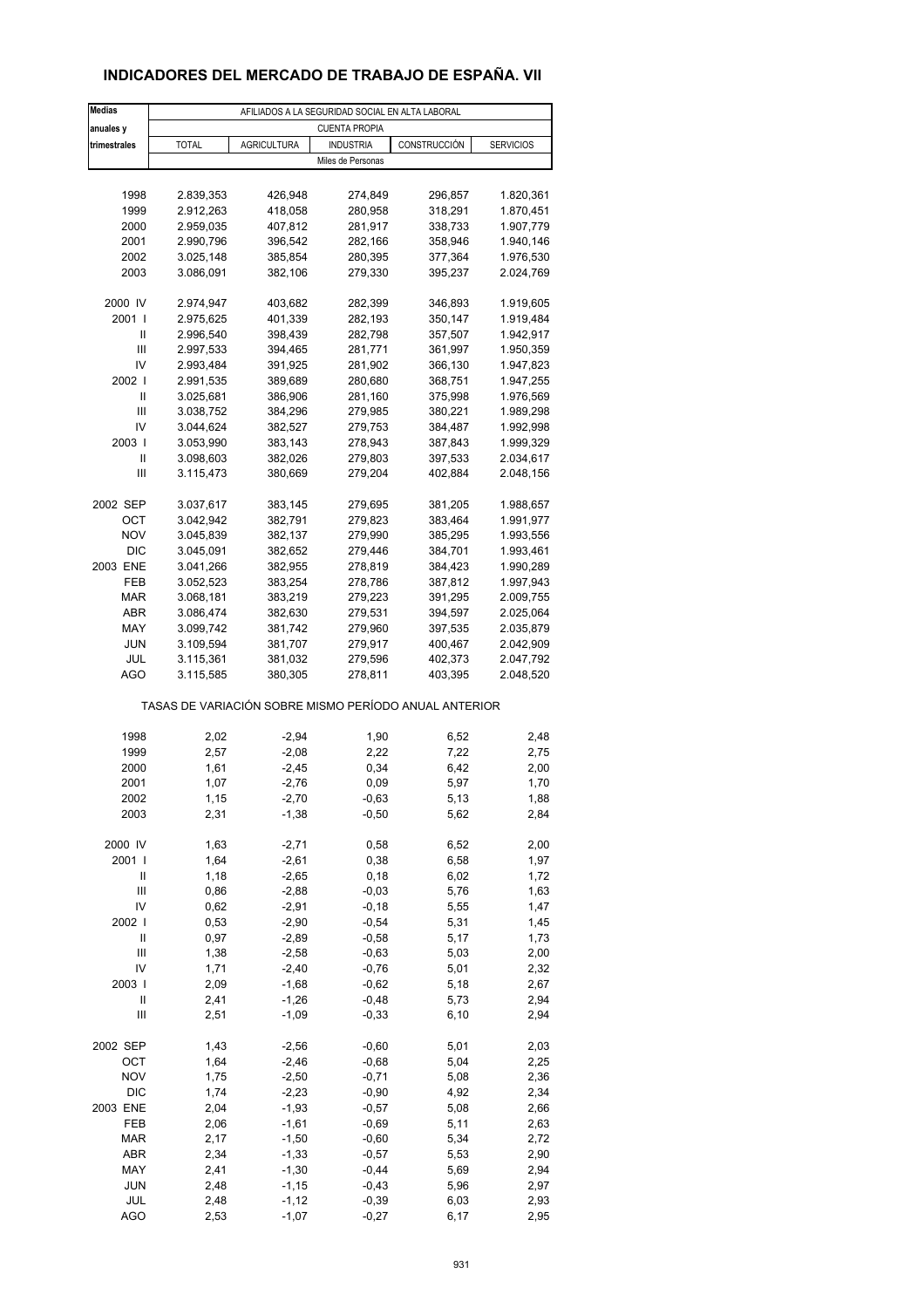## **INDICADORES DEL MERCADO DE TRABAJO DE ESPAÑA. VII**

| <b>Medias</b>                      | AFILIADOS A LA SEGURIDAD SOCIAL EN ALTA LABORAL |                    |                   |                                                       |                  |  |  |  |  |
|------------------------------------|-------------------------------------------------|--------------------|-------------------|-------------------------------------------------------|------------------|--|--|--|--|
| anuales y                          | <b>CUENTA PROPIA</b>                            |                    |                   |                                                       |                  |  |  |  |  |
| trimestrales                       | <b>TOTAL</b>                                    | <b>AGRICULTURA</b> | <b>INDUSTRIA</b>  | CONSTRUCCIÓN                                          | <b>SERVICIOS</b> |  |  |  |  |
|                                    |                                                 |                    | Miles de Personas |                                                       |                  |  |  |  |  |
|                                    |                                                 |                    |                   |                                                       |                  |  |  |  |  |
| 1998                               | 2.839,353                                       | 426,948            | 274,849           | 296,857                                               | 1.820,361        |  |  |  |  |
| 1999                               | 2.912,263                                       | 418,058            | 280,958           | 318,291                                               | 1.870,451        |  |  |  |  |
| 2000                               | 2.959,035                                       | 407,812            | 281,917           | 338,733                                               | 1.907,779        |  |  |  |  |
| 2001                               | 2.990,796                                       | 396,542            | 282,166           | 358,946                                               | 1.940,146        |  |  |  |  |
| 2002                               | 3.025,148                                       | 385,854            | 280,395           | 377,364                                               | 1.976,530        |  |  |  |  |
| 2003                               | 3.086,091                                       | 382,106            | 279,330           | 395,237                                               | 2.024,769        |  |  |  |  |
|                                    |                                                 |                    |                   |                                                       |                  |  |  |  |  |
| 2000 IV                            | 2.974,947                                       | 403,682            | 282,399           | 346,893                                               | 1.919,605        |  |  |  |  |
| 2001 l                             | 2.975,625                                       | 401,339            | 282,193           | 350,147                                               | 1.919,484        |  |  |  |  |
| Ш                                  | 2.996,540                                       | 398,439            | 282,798           | 357,507                                               | 1.942,917        |  |  |  |  |
| Ш                                  | 2.997,533                                       | 394,465            | 281,771           | 361,997                                               | 1.950,359        |  |  |  |  |
| IV                                 | 2.993,484                                       | 391,925            | 281,902           | 366,130                                               | 1.947,823        |  |  |  |  |
| 2002                               | 2.991,535                                       | 389,689            | 280,680           | 368,751                                               | 1.947,255        |  |  |  |  |
| Ш                                  | 3.025,681                                       | 386,906            | 281,160           | 375,998                                               | 1.976,569        |  |  |  |  |
| Ш                                  | 3.038,752                                       | 384,296            | 279,985           | 380,221                                               | 1.989,298        |  |  |  |  |
| IV                                 | 3.044,624                                       | 382,527            | 279,753           | 384,487                                               | 1.992,998        |  |  |  |  |
| 2003                               | 3.053,990                                       | 383,143            | 278,943           | 387,843                                               | 1.999,329        |  |  |  |  |
| Ш                                  | 3.098,603                                       | 382,026            | 279,803           | 397,533                                               | 2.034,617        |  |  |  |  |
| Ш                                  | 3.115,473                                       | 380,669            | 279,204           | 402,884                                               | 2.048,156        |  |  |  |  |
|                                    |                                                 |                    |                   |                                                       |                  |  |  |  |  |
| 2002 SEP                           | 3.037,617                                       | 383,145            | 279,695           | 381,205                                               | 1.988,657        |  |  |  |  |
| OCT                                | 3.042,942                                       | 382,791            | 279,823           | 383,464                                               | 1.991,977        |  |  |  |  |
| <b>NOV</b>                         | 3.045,839                                       | 382,137            | 279,990           | 385,295                                               | 1.993,556        |  |  |  |  |
| <b>DIC</b>                         | 3.045,091                                       | 382,652            | 279,446           | 384,701                                               | 1.993,461        |  |  |  |  |
| 2003 ENE                           | 3.041,266                                       | 382,955            | 278,819           | 384,423                                               | 1.990,289        |  |  |  |  |
| FEB                                | 3.052,523                                       | 383,254            | 278,786           | 387,812                                               | 1.997,943        |  |  |  |  |
| <b>MAR</b>                         | 3.068,181                                       | 383,219            | 279,223           | 391,295                                               | 2.009,755        |  |  |  |  |
| ABR                                | 3.086,474                                       | 382,630            | 279,531           | 394,597                                               | 2.025,064        |  |  |  |  |
| MAY                                | 3.099,742                                       | 381,742            | 279,960           | 397,535                                               | 2.035,879        |  |  |  |  |
| <b>JUN</b>                         | 3.109,594                                       | 381,707            | 279,917           | 400,467                                               | 2.042,909        |  |  |  |  |
| <b>JUL</b>                         | 3.115,361                                       | 381,032            | 279,596           | 402,373                                               | 2.047,792        |  |  |  |  |
| AGO                                | 3.115,585                                       | 380,305            | 278,811           | 403,395                                               | 2.048,520        |  |  |  |  |
|                                    |                                                 |                    |                   | TASAS DE VARIACIÓN SOBRE MISMO PERÍODO ANUAL ANTERIOR |                  |  |  |  |  |
|                                    |                                                 |                    |                   |                                                       |                  |  |  |  |  |
| 1998                               | 2,02                                            | $-2,94$            | 1,90              | 6,52                                                  | 2,48             |  |  |  |  |
| 1999                               | 2,57                                            | $-2,08$            | 2,22              | 7,22                                                  | 2,75             |  |  |  |  |
| 2000                               | 1,61                                            | $-2,45$            | 0,34              | 6,42                                                  | 2,00             |  |  |  |  |
| 2001                               | 1,07                                            | $-2,76$            | 0,09              | 5,97                                                  | 1,70             |  |  |  |  |
| 2002                               | 1,15                                            | -2,70              | $-0,63$           | 5,13                                                  | 1,88             |  |  |  |  |
| 2003                               | 2,31                                            | $-1,38$            | $-0,50$           | 5,62                                                  | 2,84             |  |  |  |  |
|                                    |                                                 |                    |                   |                                                       |                  |  |  |  |  |
| 2000 IV                            | 1,63                                            | $-2,71$            | 0,58              | 6,52                                                  | 2,00             |  |  |  |  |
| 2001 l                             | 1,64                                            | $-2,61$            | 0,38              | 6,58                                                  | 1,97             |  |  |  |  |
| Ш                                  | 1,18                                            | $-2,65$            | 0, 18             | 6,02                                                  | 1,72             |  |  |  |  |
| Ш                                  | 0,86                                            | $-2,88$            | $-0,03$           | 5,76                                                  | 1,63             |  |  |  |  |
| IV                                 | 0,62                                            | $-2,91$            | $-0,18$           | 5,55                                                  | 1,47             |  |  |  |  |
| 2002                               | 0,53                                            | $-2,90$            | $-0,54$           | 5,31                                                  | 1,45             |  |  |  |  |
| $\mathsf{II}$                      | 0,97                                            | $-2,89$            | $-0,58$           | 5,17                                                  | 1,73             |  |  |  |  |
| Ш                                  | 1,38                                            | $-2,58$            | $-0,63$           | 5,03                                                  | 2,00             |  |  |  |  |
| IV                                 | 1,71                                            | $-2,40$            | $-0,76$           | 5,01                                                  | 2,32             |  |  |  |  |
| 2003                               | 2,09                                            | $-1,68$            | $-0,62$           | 5,18                                                  | 2,67             |  |  |  |  |
| Ш                                  | 2,41                                            | $-1,26$            | $-0,48$           | 5,73                                                  | 2,94             |  |  |  |  |
| $\ensuremath{\mathsf{III}}\xspace$ | 2,51                                            | $-1,09$            | $-0,33$           | 6, 10                                                 | 2,94             |  |  |  |  |
| 2002 SEP                           | 1,43                                            | $-2,56$            | $-0,60$           | 5,01                                                  | 2,03             |  |  |  |  |
| OCT                                | 1,64                                            | $-2,46$            | $-0,68$           | 5,04                                                  | 2,25             |  |  |  |  |
| <b>NOV</b>                         | 1,75                                            | $-2,50$            | $-0,71$           | 5,08                                                  | 2,36             |  |  |  |  |
| DIC                                | 1,74                                            | $-2,23$            | $-0,90$           | 4,92                                                  | 2,34             |  |  |  |  |
| 2003 ENE                           | 2,04                                            | $-1,93$            | $-0,57$           | 5,08                                                  | 2,66             |  |  |  |  |
| FEB                                | 2,06                                            | $-1,61$            | $-0,69$           | 5,11                                                  | 2,63             |  |  |  |  |
| <b>MAR</b>                         | 2,17                                            | $-1,50$            | $-0,60$           | 5,34                                                  | 2,72             |  |  |  |  |
| ABR                                | 2,34                                            | $-1,33$            | $-0,57$           | 5,53                                                  | 2,90             |  |  |  |  |
| MAY                                | 2,41                                            | $-1,30$            | $-0,44$           | 5,69                                                  | 2,94             |  |  |  |  |
| <b>JUN</b>                         | 2,48                                            | $-1, 15$           | $-0,43$           | 5,96                                                  | 2,97             |  |  |  |  |
| JUL                                | 2,48                                            | $-1, 12$           | $-0,39$           | 6,03                                                  | 2,93             |  |  |  |  |
| <b>AGO</b>                         | 2,53                                            | $-1,07$            | $-0,27$           | 6,17                                                  | 2,95             |  |  |  |  |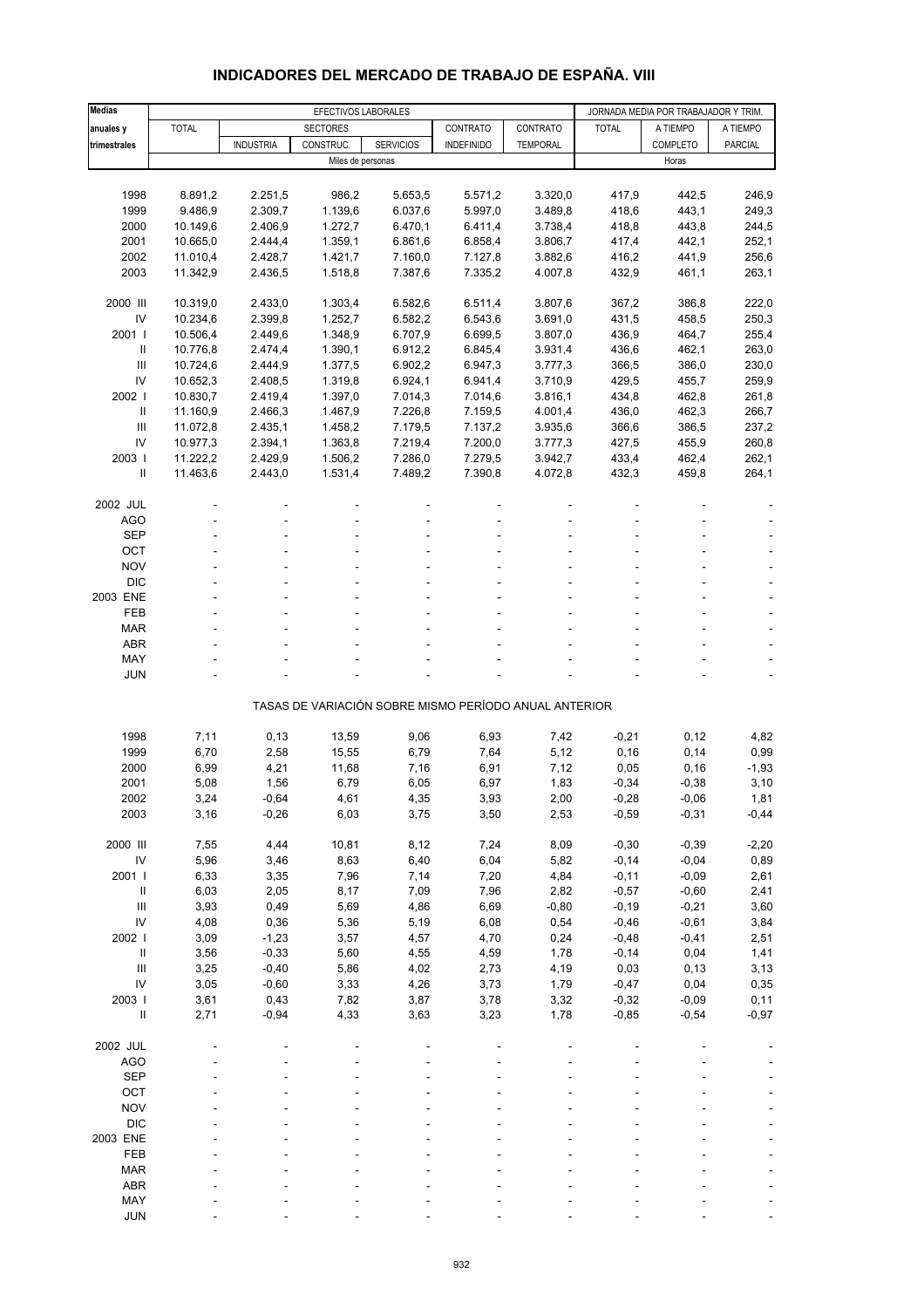| Medias                             | EFECTIVOS LABORALES |                  |                   |                                                       |                   |                 |              | JORNADA MEDIA POR TRABAJADOR Y TRIM. |          |  |
|------------------------------------|---------------------|------------------|-------------------|-------------------------------------------------------|-------------------|-----------------|--------------|--------------------------------------|----------|--|
|                                    | <b>TOTAL</b>        |                  | <b>SECTORES</b>   |                                                       | CONTRATO          | CONTRATO        | <b>TOTAL</b> | A TIEMPO                             |          |  |
| anuales y                          |                     |                  |                   |                                                       |                   |                 |              |                                      | A TIEMPO |  |
| trimestrales                       |                     | <b>INDUSTRIA</b> | CONSTRUC.         | <b>SERVICIOS</b>                                      | <b>INDEFINIDO</b> | <b>TEMPORAL</b> |              | COMPLETO                             | PARCIAL  |  |
|                                    |                     |                  | Miles de personas |                                                       |                   |                 |              | Horas                                |          |  |
|                                    |                     |                  |                   |                                                       |                   |                 |              |                                      |          |  |
| 1998                               | 8.891,2             | 2.251,5          | 986,2             | 5.653,5                                               | 5.571,2           | 3.320,0         | 417,9        | 442,5                                | 246,9    |  |
| 1999                               | 9.486,9             | 2.309,7          | 1.139,6           | 6.037,6                                               | 5.997,0           | 3.489,8         | 418,6        | 443,1                                | 249,3    |  |
| 2000                               | 10.149,6            | 2.406,9          | 1.272,7           | 6.470,1                                               | 6.411,4           | 3.738,4         | 418,8        | 443,8                                | 244,5    |  |
| 2001                               | 10.665,0            | 2.444,4          | 1.359,1           | 6.861,6                                               | 6.858,4           | 3.806,7         | 417,4        | 442,1                                | 252,1    |  |
| 2002                               | 11.010,4            | 2.428,7          | 1.421,7           | 7.160,0                                               | 7.127,8           | 3.882,6         | 416,2        | 441,9                                | 256,6    |  |
| 2003                               | 11.342,9            | 2.436,5          | 1.518,8           | 7.387,6                                               | 7.335,2           | 4.007,8         | 432,9        | 461,1                                | 263,1    |  |
| 2000 III                           | 10.319,0            | 2.433,0          | 1.303,4           | 6.582,6                                               | 6.511,4           | 3.807,6         | 367,2        | 386,8                                | 222,0    |  |
| IV                                 | 10.234,6            | 2.399,8          | 1.252,7           | 6.582,2                                               | 6.543,6           | 3.691,0         | 431,5        | 458,5                                | 250,3    |  |
| 2001 l                             | 10.506,4            | 2.449,6          | 1.348,9           | 6.707,9                                               | 6.699,5           | 3.807,0         | 436,9        | 464,7                                | 255,4    |  |
| Ш                                  | 10.776,8            | 2.474,4          | 1.390,1           | 6.912,2                                               | 6.845,4           | 3.931,4         | 436,6        | 462,1                                | 263,0    |  |
|                                    |                     |                  |                   |                                                       |                   |                 |              |                                      |          |  |
| Ш                                  | 10.724,6            | 2.444,9          | 1.377,5           | 6.902,2                                               | 6.947,3           | 3.777,3         | 366,5        | 386,0                                | 230,0    |  |
| IV                                 | 10.652,3            | 2.408,5          | 1.319,8           | 6.924,1                                               | 6.941,4           | 3.710,9         | 429,5        | 455,7                                | 259,9    |  |
| 2002                               | 10.830,7            | 2.419,4          | 1.397,0           | 7.014,3                                               | 7.014,6           | 3.816,1         | 434,8        | 462,8                                | 261,8    |  |
| Ш                                  | 11.160,9            | 2.466,3          | 1.467,9           | 7.226,8                                               | 7.159,5           | 4.001,4         | 436,0        | 462,3                                | 266,7    |  |
| Ш                                  | 11.072,8            | 2.435,1          | 1.458,2           | 7.179,5                                               | 7.137,2           | 3.935,6         | 366,6        | 386,5                                | 237,2    |  |
| IV                                 | 10.977,3            | 2.394,1          | 1.363,8           | 7.219,4                                               | 7.200,0           | 3.777,3         | 427,5        | 455,9                                | 260,8    |  |
| 2003                               | 11.222,2            | 2.429,9          | 1.506,2           | 7.286,0                                               | 7.279,5           | 3.942,7         | 433,4        | 462,4                                | 262,1    |  |
| Ш                                  | 11.463,6            | 2.443,0          | 1.531,4           | 7.489,2                                               | 7.390,8           | 4.072,8         | 432,3        | 459,8                                | 264,1    |  |
|                                    |                     |                  |                   |                                                       |                   |                 |              |                                      |          |  |
| 2002 JUL                           |                     |                  |                   |                                                       |                   |                 |              |                                      |          |  |
| AGO                                |                     |                  |                   |                                                       |                   |                 |              |                                      |          |  |
| <b>SEP</b>                         |                     |                  |                   |                                                       |                   |                 |              |                                      |          |  |
| OCT                                |                     |                  |                   |                                                       |                   |                 |              |                                      |          |  |
| <b>NOV</b>                         |                     |                  |                   |                                                       |                   |                 |              |                                      |          |  |
| <b>DIC</b>                         |                     |                  |                   |                                                       |                   |                 |              |                                      |          |  |
| 2003 ENE                           |                     |                  |                   |                                                       |                   |                 |              |                                      |          |  |
| FEB                                |                     |                  |                   |                                                       |                   |                 |              |                                      |          |  |
| <b>MAR</b>                         |                     |                  |                   |                                                       |                   |                 |              |                                      |          |  |
| <b>ABR</b>                         |                     |                  |                   |                                                       |                   |                 |              |                                      |          |  |
|                                    |                     |                  |                   |                                                       |                   |                 |              |                                      |          |  |
| MAY<br><b>JUN</b>                  |                     |                  |                   |                                                       |                   |                 |              |                                      |          |  |
|                                    |                     |                  |                   |                                                       |                   |                 |              |                                      |          |  |
|                                    |                     |                  |                   | TASAS DE VARIACIÓN SOBRE MISMO PERÍODO ANUAL ANTERIOR |                   |                 |              |                                      |          |  |
| 1998                               | 7,11                | 0,13             | 13,59             | 9,06                                                  | 6,93              | 7,42            | $-0,21$      | 0,12                                 | 4,82     |  |
| 1999                               | 6,70                | 2,58             | 15,55             | 6,79                                                  | 7,64              | 5,12            | 0, 16        | 0,14                                 | 0,99     |  |
| 2000                               |                     | 4,21             | 11,68             | 7,16                                                  |                   | 7,12            | 0,05         |                                      | $-1,93$  |  |
|                                    | 6,99                |                  |                   |                                                       | 6,91              |                 |              | 0, 16                                |          |  |
| 2001                               | 5,08                | 1,56             | 6,79              | 6,05                                                  | 6,97              | 1,83            | $-0,34$      | $-0,38$                              | 3,10     |  |
| 2002                               | 3,24                | $-0,64$          | 4,61              | 4,35                                                  | 3,93              | 2,00            | $-0,28$      | $-0,06$                              | 1,81     |  |
| 2003                               | 3,16                | $-0,26$          | 6,03              | 3,75                                                  | 3,50              | 2,53            | $-0,59$      | $-0,31$                              | $-0,44$  |  |
| 2000 III                           | 7,55                | 4,44             | 10,81             | 8,12                                                  | 7,24              | 8,09            | $-0,30$      | $-0,39$                              | $-2,20$  |  |
| ${\sf IV}$                         | 5,96                | 3,46             | 8,63              | 6,40                                                  | 6,04              | 5,82            | $-0,14$      | $-0,04$                              | 0,89     |  |
| 2001 l                             | 6,33                | 3,35             | 7,96              | 7,14                                                  | 7,20              | 4,84            | $-0,11$      | $-0,09$                              | 2,61     |  |
| $\ensuremath{\mathsf{II}}$         |                     |                  |                   |                                                       |                   |                 |              |                                      |          |  |
|                                    | 6,03                | 2,05             | 8,17              | 7,09                                                  | 7,96              | 2,82            | $-0,57$      | $-0,60$                              | 2,41     |  |
| Ш                                  | 3,93                | 0,49             | 5,69              | 4,86                                                  | 6,69              | $-0,80$         | $-0,19$      | $-0,21$                              | 3,60     |  |
| IV                                 | 4,08                | 0,36             | 5,36              | 5,19                                                  | 6,08              | 0,54            | $-0,46$      | $-0,61$                              | 3,84     |  |
| 2002 l                             | 3,09                | $-1,23$          | 3,57              | 4,57                                                  | 4,70              | 0,24            | $-0,48$      | $-0,41$                              | 2,51     |  |
| $\ensuremath{\mathsf{II}}$         | 3,56                | $-0,33$          | 5,60              | 4,55                                                  | 4,59              | 1,78            | $-0,14$      | 0,04                                 | 1,41     |  |
| $\ensuremath{\mathsf{III}}\xspace$ | 3,25                | $-0,40$          | 5,86              | 4,02                                                  | 2,73              | 4,19            | 0,03         | 0, 13                                | 3,13     |  |
| IV                                 | 3,05                | $-0,60$          | 3,33              | 4,26                                                  | 3,73              | 1,79            | $-0,47$      | 0,04                                 | 0,35     |  |
| 2003 l                             | 3,61                | 0,43             | 7,82              | 3,87                                                  | 3,78              | 3,32            | $-0,32$      | $-0,09$                              | 0,11     |  |
| $\ensuremath{\mathsf{II}}$         | 2,71                | $-0,94$          | 4,33              | 3,63                                                  | 3,23              | 1,78            | $-0,85$      | $-0,54$                              | $-0,97$  |  |
|                                    |                     |                  |                   |                                                       |                   |                 |              |                                      |          |  |
| 2002 JUL                           |                     |                  |                   |                                                       |                   |                 |              |                                      |          |  |
| <b>AGO</b>                         |                     |                  |                   |                                                       |                   |                 |              |                                      |          |  |
| <b>SEP</b>                         |                     |                  |                   |                                                       |                   |                 |              |                                      |          |  |
| OCT                                |                     |                  |                   |                                                       |                   |                 |              |                                      |          |  |
| <b>NOV</b>                         |                     |                  |                   |                                                       |                   |                 |              |                                      |          |  |
| DIC                                |                     |                  |                   |                                                       |                   |                 |              |                                      |          |  |
| 2003 ENE                           |                     |                  |                   |                                                       |                   |                 |              |                                      |          |  |
| FEB                                |                     |                  |                   |                                                       |                   |                 |              |                                      |          |  |
| <b>MAR</b>                         |                     |                  |                   |                                                       |                   |                 |              |                                      |          |  |
| <b>ABR</b>                         |                     |                  |                   |                                                       |                   |                 |              |                                      |          |  |
|                                    |                     |                  |                   |                                                       |                   |                 |              |                                      |          |  |

#### **INDICADORES DEL MERCADO DE TRABAJO DE ESPAÑA. VIII**

 MAY - - - - - ---- JUN - - - - - ----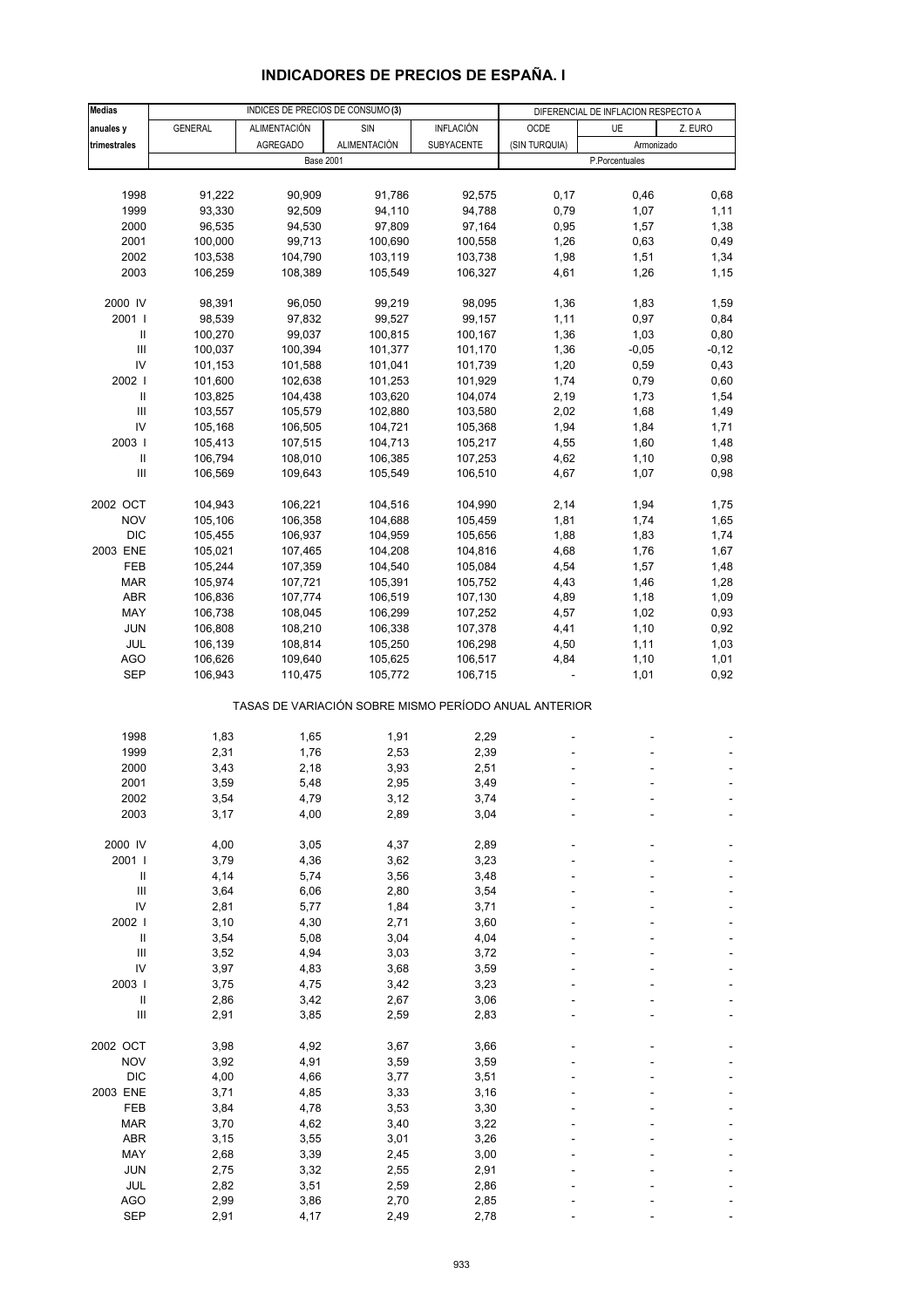| <b>Medias</b>                      |                    |                     | INDICES DE PRECIOS DE CONSUMO (3)                     |                    | DIFERENCIAL DE INFLACION RESPECTO A |                |              |  |
|------------------------------------|--------------------|---------------------|-------------------------------------------------------|--------------------|-------------------------------------|----------------|--------------|--|
| anuales y                          | <b>GENERAL</b>     | <b>ALIMENTACIÓN</b> | SIN                                                   | <b>INFLACIÓN</b>   | OCDE                                | UE             | Z. EURO      |  |
| trimestrales                       |                    | <b>AGREGADO</b>     | <b>ALIMENTACIÓN</b>                                   | SUBYACENTE         | (SIN TURQUIA)                       | Armonizado     |              |  |
|                                    |                    | <b>Base 2001</b>    |                                                       |                    |                                     | P.Porcentuales |              |  |
|                                    |                    |                     |                                                       |                    |                                     |                |              |  |
| 1998                               | 91,222             | 90,909              | 91,786                                                | 92,575             | 0,17                                | 0,46           | 0,68         |  |
| 1999                               | 93,330             | 92,509              | 94,110                                                | 94,788             | 0,79                                | 1,07           | 1,11         |  |
| 2000                               | 96,535             | 94,530              | 97,809                                                | 97,164             | 0,95                                | 1,57           | 1,38         |  |
| 2001                               | 100,000            | 99,713              | 100,690                                               | 100,558            | 1,26                                | 0,63           | 0,49         |  |
| 2002                               | 103,538            | 104,790             | 103,119                                               | 103,738            | 1,98                                | 1,51           | 1,34         |  |
| 2003                               | 106,259            | 108,389             | 105,549                                               | 106,327            | 4,61                                | 1,26           | 1,15         |  |
|                                    |                    |                     |                                                       |                    |                                     |                |              |  |
| 2000 IV<br>2001                    | 98,391             | 96,050              | 99,219                                                | 98,095             | 1,36                                | 1,83           | 1,59         |  |
| Ш                                  | 98,539<br>100,270  | 97,832<br>99,037    | 99,527<br>100,815                                     | 99,157<br>100,167  | 1,11<br>1,36                        | 0,97<br>1,03   | 0,84<br>0,80 |  |
| $\mathbf{III}$                     | 100,037            | 100,394             | 101,377                                               | 101,170            | 1,36                                | $-0,05$        | $-0,12$      |  |
| IV                                 | 101,153            | 101,588             | 101,041                                               | 101,739            | 1,20                                | 0,59           | 0,43         |  |
| 2002 l                             | 101,600            | 102,638             | 101,253                                               | 101,929            | 1,74                                | 0,79           | 0,60         |  |
| $\mathbf{II}$                      | 103,825            | 104,438             | 103,620                                               | 104,074            | 2,19                                | 1,73           | 1,54         |  |
| Ш                                  | 103,557            | 105,579             | 102,880                                               | 103,580            | 2,02                                | 1,68           | 1,49         |  |
| IV                                 | 105,168            | 106,505             | 104,721                                               | 105,368            | 1,94                                | 1,84           | 1,71         |  |
| 2003                               | 105,413            | 107,515             | 104,713                                               | 105,217            | 4,55                                | 1,60           | 1,48         |  |
| $\, \parallel$                     | 106,794            | 108,010             | 106,385                                               | 107,253            | 4,62                                | 1,10           | 0,98         |  |
| Ш                                  | 106,569            | 109,643             | 105,549                                               | 106,510            | 4,67                                | 1,07           | 0,98         |  |
|                                    |                    |                     |                                                       |                    |                                     |                |              |  |
| 2002 OCT                           | 104,943            | 106,221             | 104,516                                               | 104,990            | 2,14                                | 1,94           | 1,75         |  |
| <b>NOV</b>                         | 105,106            | 106,358             | 104,688                                               | 105,459            | 1,81                                | 1,74           | 1,65         |  |
| <b>DIC</b>                         | 105,455            | 106,937             | 104,959                                               | 105,656            | 1,88                                | 1,83           | 1,74         |  |
| 2003 ENE                           | 105,021            | 107,465             | 104,208                                               | 104,816            | 4,68                                | 1,76           | 1,67         |  |
| <b>FEB</b><br><b>MAR</b>           | 105,244<br>105,974 | 107,359<br>107,721  | 104,540<br>105,391                                    | 105,084<br>105,752 | 4,54<br>4,43                        | 1,57<br>1,46   | 1,48<br>1,28 |  |
| <b>ABR</b>                         | 106,836            | 107,774             | 106,519                                               | 107,130            | 4,89                                | 1,18           | 1,09         |  |
| MAY                                | 106,738            | 108,045             | 106,299                                               | 107,252            | 4,57                                | 1,02           | 0,93         |  |
| <b>JUN</b>                         | 106,808            | 108,210             | 106,338                                               | 107,378            | 4,41                                | 1,10           | 0,92         |  |
| JUL                                | 106,139            | 108,814             | 105,250                                               | 106,298            | 4,50                                | 1,11           | 1,03         |  |
| <b>AGO</b>                         | 106,626            | 109,640             | 105,625                                               | 106,517            | 4,84                                | 1,10           | 1,01         |  |
| <b>SEP</b>                         | 106,943            | 110,475             | 105,772                                               | 106,715            |                                     | 1,01           | 0,92         |  |
|                                    |                    |                     |                                                       |                    |                                     |                |              |  |
|                                    |                    |                     | TASAS DE VARIACIÓN SOBRE MISMO PERÍODO ANUAL ANTERIOR |                    |                                     |                |              |  |
|                                    |                    |                     |                                                       |                    |                                     |                |              |  |
| 1998                               | 1,83               | 1,65                | 1,91                                                  | 2,29               |                                     |                |              |  |
| 1999<br>2000                       | 2,31<br>3,43       | 1,76<br>2,18        | 2,53<br>3,93                                          | 2,39<br>2,51       |                                     |                |              |  |
| 2001                               | 3,59               | 5,48                | 2,95                                                  | 3,49               |                                     |                |              |  |
| 2002                               | 3,54               | 4,79                | 3,12                                                  | 3,74               |                                     |                |              |  |
| 2003                               | 3,17               | 4,00                | 2,89                                                  | 3,04               |                                     |                |              |  |
|                                    |                    |                     |                                                       |                    |                                     |                |              |  |
| 2000 IV                            | 4,00               | 3,05                | 4,37                                                  | 2,89               |                                     |                |              |  |
| 2001                               | 3,79               | 4,36                | 3,62                                                  | 3,23               |                                     |                |              |  |
| $\, \parallel$                     | 4,14               | 5,74                | 3,56                                                  | 3,48               |                                     |                |              |  |
| $\ensuremath{\mathsf{III}}\xspace$ | 3,64               | 6,06                | 2,80                                                  | 3,54               |                                     |                |              |  |
| IV                                 | 2,81               | 5,77                | 1,84                                                  | 3,71               |                                     |                |              |  |
| 2002 l                             | 3,10               | 4,30                | 2,71                                                  | 3,60               |                                     |                |              |  |
| $\ensuremath{\mathsf{II}}$         | 3,54               | 5,08                | 3,04                                                  | 4,04               |                                     |                |              |  |
| $\mathop{\mathrm{III}}\nolimits$   | 3,52               | 4,94                | 3,03                                                  | 3,72               |                                     |                |              |  |
| IV<br>2003 l                       | 3,97<br>3,75       | 4,83<br>4,75        | 3,68<br>3,42                                          | 3,59<br>3,23       |                                     |                |              |  |
| $\ensuremath{\mathsf{II}}$         | 2,86               | 3,42                | 2,67                                                  | 3,06               |                                     |                |              |  |
| $\mathbf{III}$                     | 2,91               | 3,85                | 2,59                                                  | 2,83               |                                     |                |              |  |
|                                    |                    |                     |                                                       |                    |                                     |                |              |  |
| 2002 OCT                           | 3,98               | 4,92                | 3,67                                                  | 3,66               |                                     |                |              |  |
| <b>NOV</b>                         | 3,92               | 4,91                | 3,59                                                  | 3,59               |                                     |                |              |  |
| <b>DIC</b>                         | 4,00               | 4,66                | 3,77                                                  | 3,51               |                                     |                |              |  |
| 2003 ENE                           | 3,71               | 4,85                | 3,33                                                  | 3,16               |                                     |                |              |  |
| FEB                                | 3,84               | 4,78                | 3,53                                                  | 3,30               |                                     |                |              |  |
| <b>MAR</b>                         | 3,70               | 4,62                | 3,40                                                  | 3,22               |                                     |                |              |  |
| <b>ABR</b>                         | 3,15               | 3,55                | 3,01                                                  | 3,26               |                                     |                |              |  |
| MAY                                | 2,68               | 3,39                | 2,45                                                  | 3,00               |                                     |                |              |  |
| <b>JUN</b>                         | 2,75               | 3,32                | 2,55                                                  | 2,91               |                                     |                |              |  |
| JUL<br><b>AGO</b>                  | 2,82<br>2,99       | 3,51<br>3,86        | 2,59<br>2,70                                          | 2,86<br>2,85       |                                     |                |              |  |
|                                    |                    |                     |                                                       |                    |                                     |                |              |  |

## **INDICADORES DE PRECIOS DE ESPAÑA. I**

SEP 2,91 4,17 2,49 2,78 - - -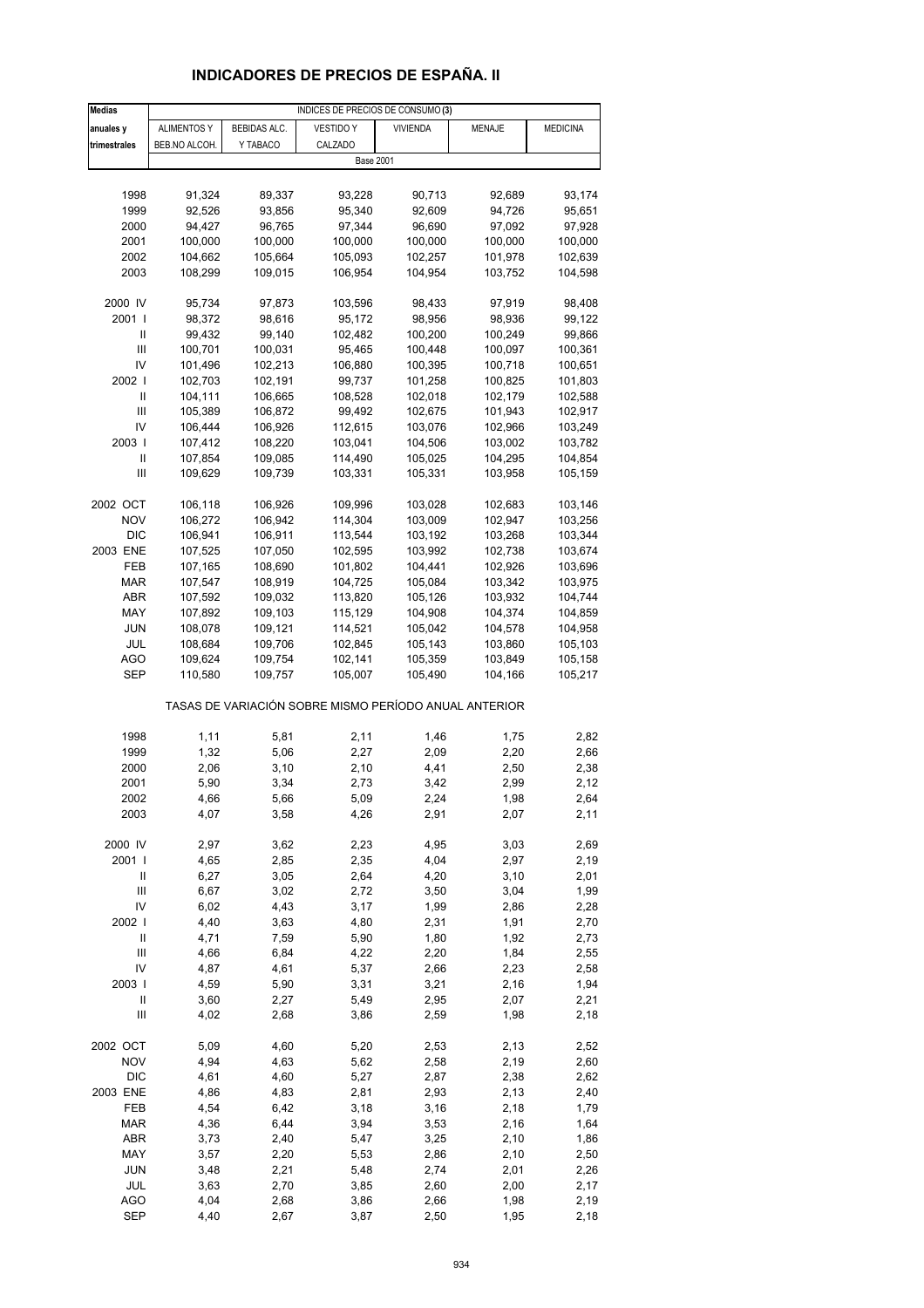# **INDICADORES DE PRECIOS DE ESPAÑA. II**

| <b>Medias</b>  | INDICES DE PRECIOS DE CONSUMO (3) |              |                                                       |                 |         |                 |  |  |
|----------------|-----------------------------------|--------------|-------------------------------------------------------|-----------------|---------|-----------------|--|--|
| anuales y      | <b>ALIMENTOS Y</b>                | BEBIDAS ALC. | <b>VESTIDO Y</b>                                      | <b>VIVIENDA</b> | MENAJE  | <b>MEDICINA</b> |  |  |
| trimestrales   | BEB.NO ALCOH.                     | Y TABACO     | CALZADO                                               |                 |         |                 |  |  |
|                |                                   |              | <b>Base 2001</b>                                      |                 |         |                 |  |  |
|                |                                   |              |                                                       |                 |         |                 |  |  |
| 1998           | 91,324                            | 89,337       | 93,228                                                | 90,713          | 92,689  | 93,174          |  |  |
| 1999           | 92,526                            | 93,856       | 95,340                                                | 92,609          | 94,726  | 95,651          |  |  |
| 2000           | 94,427                            | 96,765       | 97,344                                                | 96,690          | 97,092  | 97,928          |  |  |
| 2001           | 100,000                           | 100,000      | 100,000                                               | 100,000         | 100,000 | 100,000         |  |  |
| 2002           | 104,662                           | 105,664      | 105,093                                               | 102,257         | 101,978 | 102,639         |  |  |
| 2003           | 108,299                           | 109,015      | 106,954                                               | 104,954         | 103,752 | 104,598         |  |  |
|                |                                   |              |                                                       |                 |         |                 |  |  |
| 2000 IV        | 95,734                            | 97,873       | 103,596                                               | 98,433          | 97,919  | 98,408          |  |  |
| 2001           | 98,372                            | 98,616       | 95,172                                                | 98,956          | 98,936  | 99,122          |  |  |
| Ш              | 99,432                            | 99,140       | 102,482                                               | 100,200         | 100,249 | 99,866          |  |  |
| $\mathbf{III}$ | 100,701                           | 100,031      | 95,465                                                | 100,448         | 100,097 | 100,361         |  |  |
| IV             | 101,496                           | 102,213      | 106,880                                               | 100,395         | 100,718 | 100,651         |  |  |
| 2002           | 102,703                           | 102,191      | 99,737                                                | 101,258         | 100,825 | 101,803         |  |  |
| Ш              | 104,111                           | 106,665      | 108,528                                               | 102,018         | 102,179 | 102,588         |  |  |
| Ш              |                                   |              |                                                       |                 |         |                 |  |  |
|                | 105,389                           | 106,872      | 99,492                                                | 102,675         | 101,943 | 102,917         |  |  |
| IV             | 106,444                           | 106,926      | 112,615                                               | 103,076         | 102,966 | 103,249         |  |  |
| 2003           | 107,412                           | 108,220      | 103,041                                               | 104,506         | 103,002 | 103,782         |  |  |
| Ш              | 107,854                           | 109,085      | 114,490                                               | 105,025         | 104,295 | 104,854         |  |  |
| $\mathbf{III}$ | 109,629                           | 109,739      | 103,331                                               | 105,331         | 103,958 | 105,159         |  |  |
|                |                                   |              |                                                       |                 |         |                 |  |  |
| 2002 OCT       | 106,118                           | 106,926      | 109,996                                               | 103,028         | 102,683 | 103,146         |  |  |
| <b>NOV</b>     | 106,272                           | 106,942      | 114,304                                               | 103,009         | 102,947 | 103,256         |  |  |
| <b>DIC</b>     | 106,941                           | 106,911      | 113,544                                               | 103,192         | 103,268 | 103,344         |  |  |
| 2003 ENE       | 107,525                           | 107,050      | 102,595                                               | 103,992         | 102,738 | 103,674         |  |  |
| FEB            | 107,165                           | 108,690      | 101,802                                               | 104,441         | 102,926 | 103,696         |  |  |
| MAR            | 107,547                           | 108,919      | 104,725                                               | 105,084         | 103,342 | 103,975         |  |  |
| ABR            | 107,592                           | 109,032      | 113,820                                               | 105,126         | 103,932 | 104,744         |  |  |
| MAY            | 107,892                           | 109,103      | 115,129                                               | 104,908         | 104,374 | 104,859         |  |  |
| <b>JUN</b>     | 108,078                           | 109,121      | 114,521                                               | 105,042         | 104,578 | 104,958         |  |  |
| JUL            | 108,684                           | 109,706      | 102,845                                               | 105,143         | 103,860 | 105,103         |  |  |
| <b>AGO</b>     | 109,624                           | 109,754      | 102,141                                               | 105,359         | 103,849 | 105,158         |  |  |
| SEP            | 110,580                           | 109,757      | 105,007                                               | 105,490         | 104,166 | 105,217         |  |  |
|                |                                   |              | TASAS DE VARIACIÓN SOBRE MISMO PERÍODO ANUAL ANTERIOR |                 |         |                 |  |  |
| 1998           | 1,11                              | 5,81         | 2,11                                                  | 1,46            | 1,75    | 2,82            |  |  |
| 1999           | 1,32                              | 5,06         | 2,27                                                  | 2,09            | 2,20    | 2,66            |  |  |
| 2000           | 2,06                              | 3,10         | 2,10                                                  | 4,41            | 2,50    | 2,38            |  |  |
| 2001           | 5,90                              | 3,34         | 2,73                                                  | 3,42            | 2,99    | 2,12            |  |  |
| 2002           | 4,66                              | 5,66         | 5,09                                                  | 2,24            | 1,98    | 2,64            |  |  |
| 2003           | 4,07                              | 3,58         | 4,26                                                  | 2,91            | 2,07    | 2,11            |  |  |
|                |                                   |              |                                                       |                 |         |                 |  |  |
| 2000 IV        | 2,97                              | 3,62         | 2,23                                                  | 4,95            | 3,03    | 2,69            |  |  |
| 2001           | 4,65                              | 2,85         | 2,35                                                  | 4,04            | 2,97    | 2,19            |  |  |
| Ш              | 6,27                              | 3,05         | 2,64                                                  | 4,20            | 3,10    | 2,01            |  |  |
| $\mathsf{III}$ | 6,67                              | 3,02         | 2,72                                                  | 3,50            | 3,04    | 1,99            |  |  |
| IV             | 6,02                              | 4,43         | 3,17                                                  | 1,99            | 2,86    | 2,28            |  |  |
| 2002           | 4,40                              | 3,63         | 4,80                                                  | 2,31            | 1,91    | 2,70            |  |  |
| $\sf II$       | 4,71                              | 7,59         | 5,90                                                  | 1,80            | 1,92    | 2,73            |  |  |
| $\mathsf{III}$ | 4,66                              | 6,84         | 4,22                                                  | 2,20            | 1,84    | 2,55            |  |  |
| IV             | 4,87                              | 4,61         | 5,37                                                  | 2,66            | 2,23    | 2,58            |  |  |
| 2003           | 4,59                              | 5,90         | 3,31                                                  | 3,21            | 2,16    | 1,94            |  |  |
| $\sf II$       | 3,60                              | 2,27         | 5,49                                                  | 2,95            | 2,07    | 2,21            |  |  |
| Ш              | 4,02                              | 2,68         | 3,86                                                  | 2,59            | 1,98    | 2,18            |  |  |
|                |                                   |              |                                                       |                 |         |                 |  |  |
| 2002 OCT       | 5,09                              | 4,60         | 5,20                                                  | 2,53            | 2,13    | 2,52            |  |  |
| <b>NOV</b>     | 4,94                              | 4,63         | 5,62                                                  | 2,58            | 2,19    | 2,60            |  |  |
| <b>DIC</b>     | 4,61                              | 4,60         | 5,27                                                  | 2,87            | 2,38    | 2,62            |  |  |
| 2003 ENE       | 4,86                              | 4,83         | 2,81                                                  | 2,93            | 2,13    | 2,40            |  |  |
| FEB            | 4,54                              | 6,42         | 3,18                                                  | 3,16            | 2,18    | 1,79            |  |  |
| <b>MAR</b>     | 4,36                              | 6,44         | 3,94                                                  | 3,53            | 2,16    | 1,64            |  |  |
| ABR            | 3,73                              | 2,40         | 5,47                                                  | 3,25            | 2,10    | 1,86            |  |  |
| MAY            | 3,57                              | 2,20         | 5,53                                                  | 2,86            | 2,10    | 2,50            |  |  |
| JUN            | 3,48                              | 2,21         | 5,48                                                  | 2,74            | 2,01    | 2,26            |  |  |
| JUL            | 3,63                              | 2,70         | 3,85                                                  | 2,60            | 2,00    | 2,17            |  |  |
| <b>AGO</b>     | 4,04                              | 2,68         | 3,86                                                  | 2,66            | 1,98    | 2,19            |  |  |
| <b>SEP</b>     | 4,40                              | 2,67         | 3,87                                                  | 2,50            | 1,95    | 2,18            |  |  |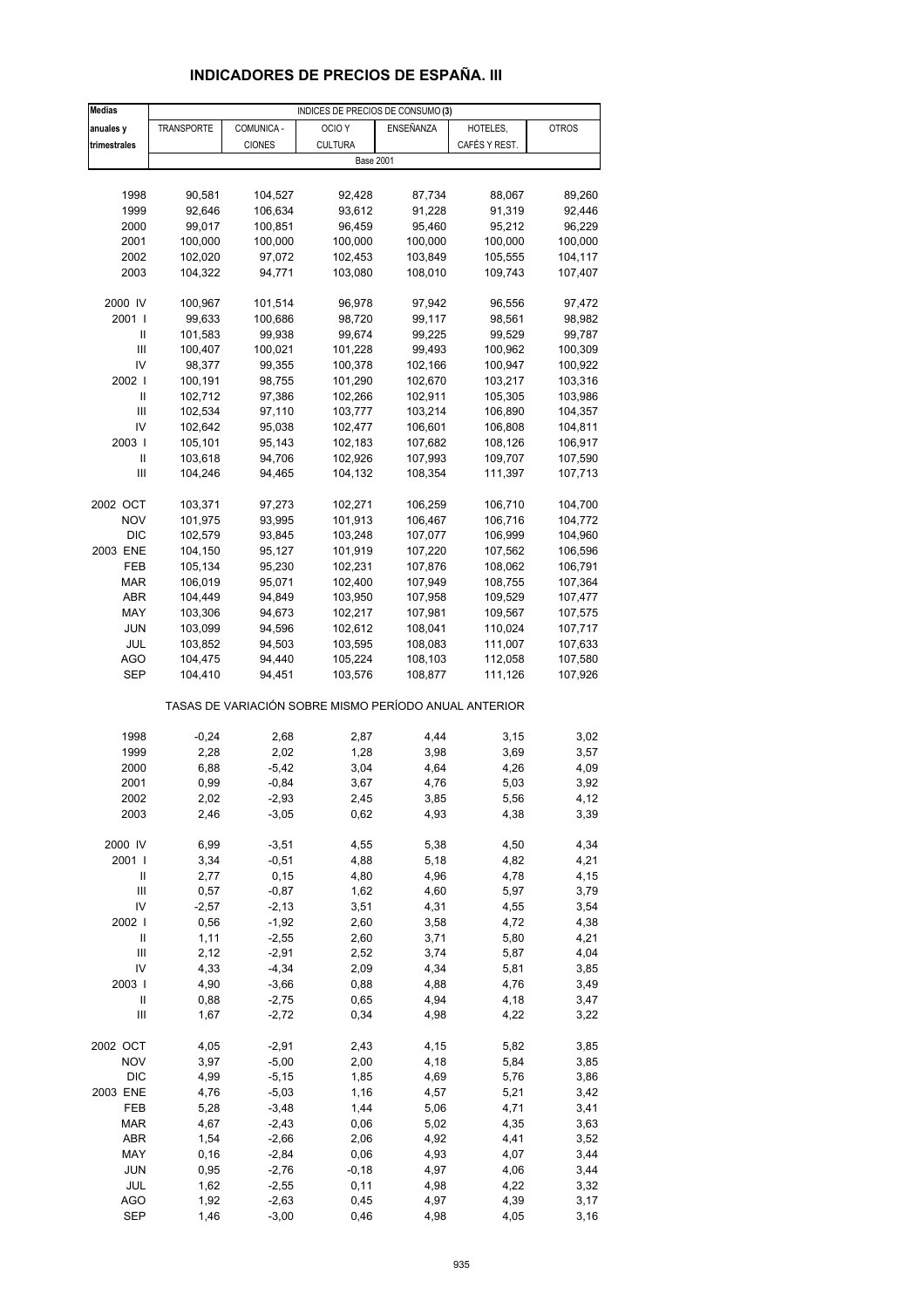# **INDICADORES DE PRECIOS DE ESPAÑA. III**

| <b>Medias</b>                        |                    |                    | INDICES DE PRECIOS DE CONSUMO (3)                     |                    |                    |                    |
|--------------------------------------|--------------------|--------------------|-------------------------------------------------------|--------------------|--------------------|--------------------|
| anuales y                            | <b>TRANSPORTE</b>  | COMUNICA -         | OCIO <sub>Y</sub>                                     | ENSEÑANZA          | HOTELES,           | <b>OTROS</b>       |
| trimestrales                         |                    | <b>CIONES</b>      | <b>CULTURA</b>                                        |                    | CAFÉS Y REST.      |                    |
|                                      |                    |                    | <b>Base 2001</b>                                      |                    |                    |                    |
|                                      |                    |                    |                                                       |                    |                    |                    |
| 1998                                 | 90,581             | 104,527            | 92,428                                                | 87,734             | 88,067             | 89,260             |
| 1999                                 | 92,646             | 106,634            | 93,612                                                | 91,228             | 91,319             | 92,446             |
| 2000                                 | 99,017             | 100,851            | 96,459                                                | 95,460             | 95,212             | 96,229             |
| 2001                                 | 100,000            | 100,000            | 100,000                                               | 100,000            | 100,000            | 100,000            |
| 2002                                 | 102,020            | 97,072             | 102,453                                               | 103,849            | 105,555            | 104,117            |
| 2003                                 | 104,322            | 94,771             | 103,080                                               | 108,010            | 109,743            | 107,407            |
|                                      |                    |                    |                                                       |                    |                    |                    |
| 2000 IV<br>2001 l                    | 100,967<br>99,633  | 101,514            | 96,978                                                | 97,942             | 96,556             | 97,472             |
| Ш                                    | 101,583            | 100,686<br>99,938  | 98,720<br>99,674                                      | 99,117<br>99,225   | 98,561<br>99,529   | 98,982<br>99,787   |
| Ш                                    | 100,407            | 100,021            | 101,228                                               | 99,493             | 100,962            | 100,309            |
| IV                                   | 98,377             | 99,355             | 100,378                                               | 102,166            | 100,947            | 100,922            |
| 2002                                 | 100,191            | 98,755             | 101,290                                               | 102,670            | 103,217            | 103,316            |
| Ш                                    | 102,712            | 97,386             | 102,266                                               | 102,911            | 105,305            | 103,986            |
| Ш                                    | 102,534            | 97,110             | 103,777                                               | 103,214            | 106,890            | 104,357            |
| IV                                   | 102,642            | 95,038             | 102,477                                               | 106,601            | 106,808            | 104,811            |
| 2003                                 | 105,101            | 95,143             | 102,183                                               | 107,682            | 108,126            | 106,917            |
| Ш                                    | 103,618            | 94,706             | 102,926                                               | 107,993            | 109,707            | 107,590            |
| Ш                                    | 104,246            | 94,465             | 104,132                                               | 108,354            | 111,397            | 107,713            |
|                                      |                    |                    |                                                       |                    |                    |                    |
| 2002 OCT                             | 103,371            | 97,273             | 102,271                                               | 106,259            | 106,710            | 104,700            |
| <b>NOV</b>                           | 101,975            | 93,995             | 101,913                                               | 106,467            | 106,716            | 104,772            |
| <b>DIC</b>                           | 102,579            | 93,845             | 103,248                                               | 107,077            | 106,999            | 104,960            |
| 2003 ENE                             | 104,150            | 95,127             | 101,919                                               | 107,220            | 107,562            | 106,596            |
| FEB                                  | 105,134            | 95,230             | 102,231                                               | 107,876            | 108,062            | 106,791            |
| <b>MAR</b>                           | 106,019            | 95,071             | 102,400                                               | 107,949            | 108,755            | 107,364            |
| ABR                                  | 104,449            | 94,849             | 103,950                                               | 107,958            | 109,529            | 107,477            |
| MAY                                  | 103,306            | 94,673             | 102,217                                               | 107,981            | 109,567            | 107,575            |
| JUN                                  | 103,099            | 94,596             | 102,612                                               | 108,041            | 110,024            | 107,717            |
| JUL                                  | 103,852            | 94,503             | 103,595                                               | 108,083            | 111,007            | 107,633            |
| AGO<br>SEP                           | 104,475<br>104,410 | 94,440<br>94,451   | 105,224<br>103,576                                    | 108,103<br>108,877 | 112,058<br>111,126 | 107,580<br>107,926 |
|                                      |                    |                    |                                                       |                    |                    |                    |
|                                      |                    |                    | TASAS DE VARIACIÓN SOBRE MISMO PERÍODO ANUAL ANTERIOR |                    |                    |                    |
| 1998                                 | $-0,24$            | 2,68               |                                                       | 4,44               |                    | 3,02               |
| 1999                                 | 2,28               | 2,02               | 2,87<br>1,28                                          | 3,98               | 3,15<br>3,69       | 3,57               |
| 2000                                 | 6,88               | $-5,42$            | 3,04                                                  | 4,64               | 4,26               | 4,09               |
| 2001                                 | 0,99               | $-0,84$            | 3,67                                                  | 4,76               | 5,03               | 3,92               |
| 2002                                 | 2,02               | -2,93              | 2,45                                                  | 3,85               | 5,56               | 4,12               |
| 2003                                 | 2,46               | $-3,05$            | 0,62                                                  | 4,93               | 4,38               | 3,39               |
|                                      |                    |                    |                                                       |                    |                    |                    |
| 2000 IV                              | 6,99               | $-3,51$            | 4,55                                                  | 5,38               | 4,50               | 4,34               |
| 2001 l                               | 3,34               | $-0,51$            | 4,88                                                  | 5,18               | 4,82               | 4,21               |
| Ш                                    | 2,77               | 0, 15              | 4,80                                                  | 4,96               | 4,78               | 4,15               |
| $\mathsf{III}$                       | 0,57               | $-0,87$            | 1,62                                                  | 4,60               | 5,97               | 3,79               |
| IV                                   | $-2,57$            | $-2,13$            | 3,51                                                  | 4,31               | 4,55               | 3,54               |
| 2002  <br>$\ensuremath{\mathsf{II}}$ | 0,56               | $-1,92$            | 2,60                                                  | 3,58               | 4,72               | 4,38               |
| $\mathsf{III}$                       | 1,11<br>2,12       | $-2,55$<br>$-2,91$ | 2,60<br>2,52                                          | 3,71<br>3,74       | 5,80<br>5,87       | 4,21<br>4,04       |
| IV                                   | 4,33               | $-4,34$            | 2,09                                                  | 4,34               | 5,81               | 3,85               |
| 2003                                 | 4,90               | $-3,66$            | 0,88                                                  | 4,88               | 4,76               | 3,49               |
| $\ensuremath{\mathsf{II}}$           | 0,88               | $-2,75$            | 0,65                                                  | 4,94               | 4,18               | 3,47               |
| Ш                                    | 1,67               | $-2,72$            | 0,34                                                  | 4,98               | 4,22               | 3,22               |
|                                      |                    |                    |                                                       |                    |                    |                    |
| 2002 OCT                             | 4,05               | $-2,91$            | 2,43                                                  | 4,15               | 5,82               | 3,85               |
| <b>NOV</b>                           | 3,97               | $-5,00$            | 2,00                                                  | 4,18               | 5,84               | 3,85               |
| <b>DIC</b>                           | 4,99               | $-5,15$            | 1,85                                                  | 4,69               | 5,76               | 3,86               |
| 2003 ENE                             | 4,76               | $-5,03$            | 1,16                                                  | 4,57               | 5,21               | 3,42               |
| FEB                                  | 5,28               | $-3,48$            | 1,44                                                  | 5,06               | 4,71               | 3,41               |
| <b>MAR</b>                           | 4,67               | $-2,43$            | 0,06                                                  | 5,02               | 4,35               | 3,63               |
| ABR                                  | 1,54               | $-2,66$            | 2,06                                                  | 4,92               | 4,41               | 3,52               |
| MAY                                  | 0, 16              | $-2,84$            | 0,06                                                  | 4,93               | 4,07               | 3,44               |
| <b>JUN</b>                           | 0,95               | $-2,76$            | $-0,18$                                               | 4,97               | 4,06               | 3,44               |
| JUL<br><b>AGO</b>                    | 1,62               | $-2,55$<br>$-2,63$ | 0,11<br>0,45                                          | 4,98               | 4,22               | 3,32<br>3,17       |
| <b>SEP</b>                           | 1,92<br>1,46       | $-3,00$            | 0,46                                                  | 4,97<br>4,98       | 4,39<br>4,05       | 3,16               |
|                                      |                    |                    |                                                       |                    |                    |                    |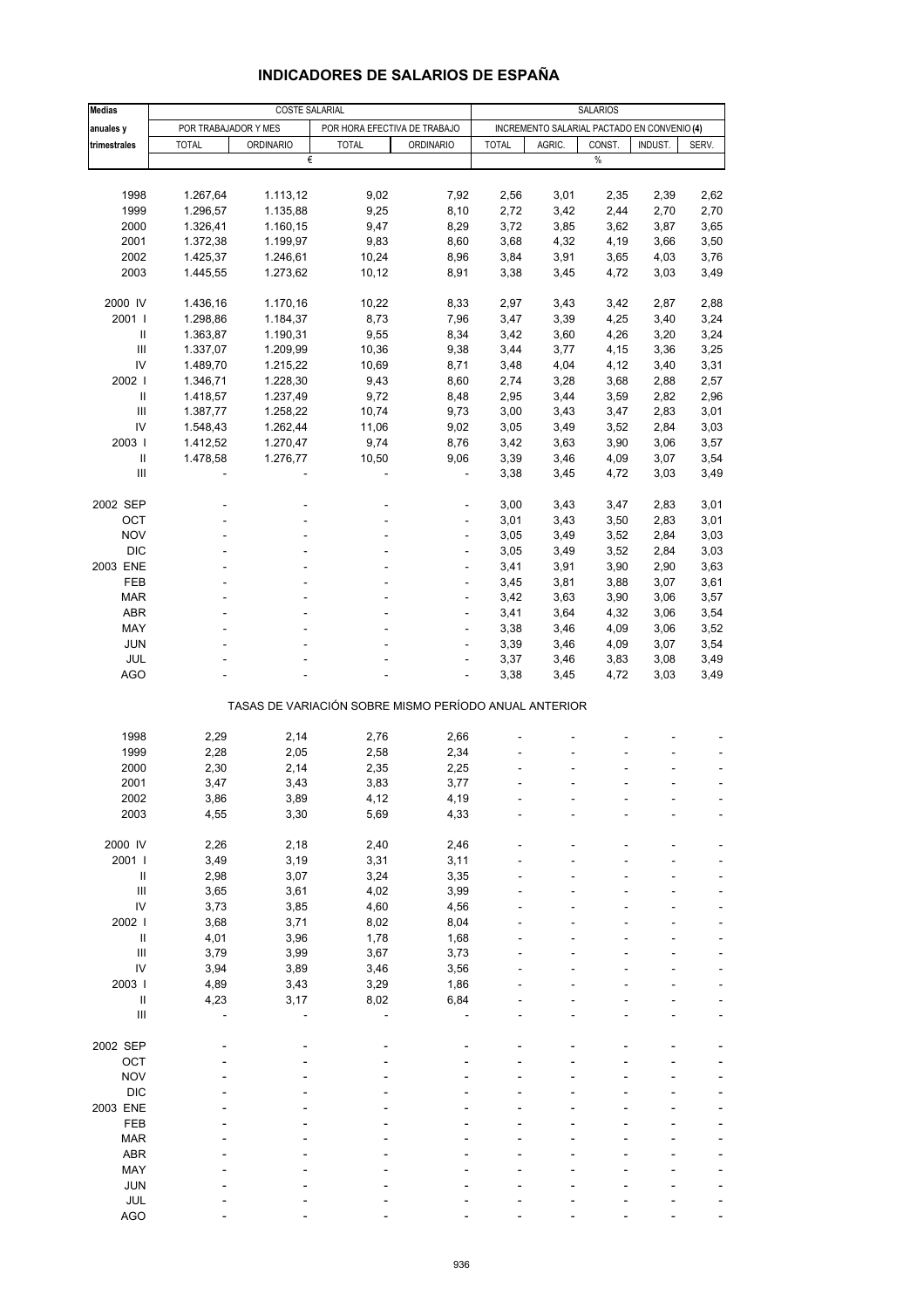| <b>Medias</b>                      |                      | <b>COSTE SALARIAL</b> |                                                       |                  | <b>SALARIOS</b> |        |                                             |         |       |
|------------------------------------|----------------------|-----------------------|-------------------------------------------------------|------------------|-----------------|--------|---------------------------------------------|---------|-------|
|                                    |                      |                       |                                                       |                  |                 |        |                                             |         |       |
| anuales y                          | POR TRABAJADOR Y MES |                       | POR HORA EFECTIVA DE TRABAJO<br><b>TOTAL</b>          |                  |                 |        | INCREMENTO SALARIAL PACTADO EN CONVENIO (4) |         |       |
| trimestrales                       | <b>TOTAL</b>         | <b>ORDINARIO</b><br>€ |                                                       | <b>ORDINARIO</b> | <b>TOTAL</b>    | AGRIC. | CONST.<br>$\%$                              | INDUST. | SERV. |
|                                    |                      |                       |                                                       |                  |                 |        |                                             |         |       |
|                                    |                      |                       |                                                       |                  |                 |        |                                             |         |       |
| 1998                               | 1.267,64             | 1.113,12              | 9,02                                                  | 7,92             | 2,56            | 3,01   | 2,35                                        | 2,39    | 2,62  |
| 1999                               | 1.296,57             | 1.135,88              | 9,25                                                  | 8,10             | 2,72            | 3,42   | 2,44                                        | 2,70    | 2,70  |
| 2000                               | 1.326,41             | 1.160,15              | 9,47                                                  | 8,29             | 3,72            | 3,85   | 3,62                                        | 3,87    | 3,65  |
| 2001                               | 1.372,38             | 1.199,97              | 9,83                                                  | 8,60             | 3,68            | 4,32   | 4,19                                        | 3,66    | 3,50  |
| 2002                               | 1.425,37             | 1.246,61              | 10,24                                                 | 8,96             | 3,84            | 3,91   | 3,65                                        | 4,03    | 3,76  |
| 2003                               | 1.445,55             | 1.273,62              | 10,12                                                 | 8,91             | 3,38            | 3,45   | 4,72                                        | 3,03    | 3,49  |
|                                    |                      |                       |                                                       |                  |                 |        |                                             |         |       |
| 2000 IV                            | 1.436,16             | 1.170,16              | 10,22                                                 | 8,33             | 2,97            | 3,43   | 3,42                                        | 2,87    | 2,88  |
| 2001                               | 1.298,86             | 1.184,37              | 8,73                                                  | 7,96             | 3,47            | 3,39   | 4,25                                        | 3,40    | 3,24  |
| Ш                                  | 1.363,87             | 1.190,31              | 9,55                                                  | 8,34             | 3,42            | 3,60   | 4,26                                        | 3,20    | 3,24  |
| Ш                                  | 1.337,07             | 1.209,99              | 10,36                                                 | 9,38             | 3,44            | 3,77   | 4,15                                        | 3,36    | 3,25  |
| IV                                 | 1.489,70             | 1.215,22              | 10,69                                                 | 8,71             | 3,48            | 4,04   | 4,12                                        | 3,40    | 3,31  |
| 2002                               | 1.346,71             | 1.228,30              | 9,43                                                  | 8,60             | 2,74            | 3,28   | 3,68                                        | 2,88    | 2,57  |
| Ш                                  | 1.418,57             | 1.237,49              | 9,72                                                  | 8,48             | 2,95            | 3,44   | 3,59                                        | 2,82    | 2,96  |
| Ш                                  | 1.387,77             | 1.258,22              | 10,74                                                 | 9,73             | 3,00            | 3,43   | 3,47                                        | 2,83    | 3,01  |
| IV                                 | 1.548,43             | 1.262,44              | 11,06                                                 | 9,02             | 3,05            | 3,49   | 3,52                                        | 2,84    | 3,03  |
| 2003                               | 1.412,52             | 1.270,47              | 9,74                                                  | 8,76             | 3,42            | 3,63   | 3,90                                        | 3,06    | 3,57  |
| $\mathbf{II}$                      | 1.478,58             | 1.276,77              | 10,50                                                 | 9,06             | 3,39            | 3,46   | 4,09                                        | 3,07    | 3,54  |
| III                                |                      |                       |                                                       |                  | 3,38            | 3,45   | 4,72                                        | 3,03    | 3,49  |
|                                    |                      |                       |                                                       |                  |                 |        |                                             |         |       |
| 2002 SEP                           |                      |                       |                                                       | ÷,               | 3,00            | 3,43   | 3,47                                        | 2,83    | 3,01  |
| OCT                                |                      |                       |                                                       |                  | 3,01            | 3,43   | 3,50                                        | 2,83    | 3,01  |
| <b>NOV</b>                         |                      |                       | ÷.                                                    | $\overline{a}$   | 3,05            | 3,49   | 3,52                                        | 2,84    | 3,03  |
| <b>DIC</b>                         |                      |                       |                                                       | ä,               | 3,05            | 3,49   | 3,52                                        | 2,84    | 3,03  |
| 2003 ENE                           |                      |                       |                                                       |                  | 3,41            | 3,91   | 3,90                                        | 2,90    | 3,63  |
| FEB                                |                      |                       | ä,                                                    | ÷,               | 3,45            | 3,81   | 3,88                                        | 3,07    | 3,61  |
| <b>MAR</b>                         |                      |                       |                                                       | ä,               | 3,42            | 3,63   | 3,90                                        | 3,06    | 3,57  |
| ABR                                |                      |                       |                                                       |                  | 3,41            | 3,64   | 4,32                                        | 3,06    | 3,54  |
| MAY                                |                      |                       | ä,                                                    | ÷,               | 3,38            | 3,46   | 4,09                                        | 3,06    | 3,52  |
| JUN                                |                      |                       |                                                       | ä,               | 3,39            | 3,46   | 4,09                                        | 3,07    | 3,54  |
| JUL                                |                      |                       |                                                       | ٠                | 3,37            |        | 3,83                                        | 3,08    | 3,49  |
| AGO                                |                      |                       |                                                       | ÷,               | 3,38            | 3,46   | 4,72                                        | 3,03    | 3,49  |
|                                    |                      |                       |                                                       |                  |                 | 3,45   |                                             |         |       |
|                                    |                      |                       | TASAS DE VARIACIÓN SOBRE MISMO PERÍODO ANUAL ANTERIOR |                  |                 |        |                                             |         |       |
|                                    |                      |                       |                                                       |                  |                 |        |                                             |         |       |
| 1998                               | 2,29                 | 2,14                  | 2,76                                                  | 2,66             |                 |        |                                             |         |       |
| 1999                               | 2,28                 | 2,05                  | 2,58                                                  | 2,34             |                 |        |                                             |         |       |
| 2000                               | 2,30                 | 2,14                  | 2,35                                                  | 2,25             |                 |        |                                             |         |       |
| 2001                               | 3,47                 | 3,43                  | 3,83                                                  | 3,77             |                 |        |                                             |         |       |
| 2002                               | 3,86                 | 3,89                  | 4,12                                                  | 4,19             |                 |        |                                             |         |       |
| 2003                               | 4,55                 | 3,30                  | 5,69                                                  | 4,33             |                 |        |                                             |         |       |
|                                    |                      |                       |                                                       |                  |                 |        |                                             |         |       |
| 2000 IV                            | 2,26                 | 2,18                  | 2,40                                                  | 2,46             |                 |        |                                             |         |       |
| 2001 l                             | 3,49                 | 3,19                  | 3,31                                                  | 3,11             |                 |        |                                             |         |       |
| $\sf II$                           |                      | 3,07                  | 3,24                                                  | 3,35             |                 |        |                                             |         |       |
| $\ensuremath{\mathsf{III}}\xspace$ | 2,98<br>3,65         | 3,61                  | 4,02                                                  | 3,99             |                 |        |                                             |         |       |
| IV                                 | 3,73                 | 3,85                  | 4,60                                                  | 4,56             |                 |        |                                             |         |       |
| 2002                               | 3,68                 | 3,71                  | 8,02                                                  | 8,04             |                 |        |                                             |         |       |
| $\ensuremath{\mathsf{II}}$         | 4,01                 | 3,96                  | 1,78                                                  | 1,68             |                 |        |                                             |         |       |
|                                    |                      |                       |                                                       |                  |                 |        |                                             |         |       |
| $\ensuremath{\mathsf{III}}\xspace$ | 3,79                 | 3,99                  | 3,67                                                  | 3,73             |                 |        |                                             |         |       |
| ${\sf IV}$                         | 3,94                 | 3,89                  | 3,46                                                  | 3,56             |                 |        |                                             |         |       |
| 2003                               | 4,89                 | 3,43                  | 3,29                                                  | 1,86             |                 |        |                                             |         |       |
| Ш                                  | 4,23                 | 3,17                  | 8,02                                                  | 6,84             |                 |        |                                             |         |       |
| $\ensuremath{\mathsf{III}}\xspace$ |                      |                       |                                                       |                  |                 |        |                                             |         |       |
|                                    |                      |                       |                                                       |                  |                 |        |                                             |         |       |
| 2002 SEP                           |                      |                       |                                                       |                  |                 |        |                                             |         |       |
| OCT                                |                      |                       |                                                       |                  |                 |        |                                             |         |       |
| <b>NOV</b>                         |                      |                       |                                                       |                  |                 |        |                                             |         |       |
| <b>DIC</b>                         |                      |                       |                                                       |                  |                 |        |                                             |         |       |
| 2003 ENE                           |                      |                       |                                                       |                  |                 |        |                                             |         |       |
| FEB                                |                      |                       |                                                       |                  |                 |        |                                             |         |       |
| <b>MAR</b>                         |                      |                       |                                                       |                  |                 |        |                                             |         |       |
| ABR                                |                      |                       |                                                       |                  |                 |        |                                             |         |       |
| MAY                                |                      |                       |                                                       |                  |                 |        |                                             |         |       |
| <b>JUN</b>                         |                      |                       |                                                       |                  |                 |        |                                             |         |       |
| JUL                                |                      |                       |                                                       |                  |                 |        |                                             |         |       |
| <b>AGO</b>                         |                      |                       |                                                       |                  |                 |        |                                             |         |       |

## **INDICADORES DE SALARIOS DE ESPAÑA**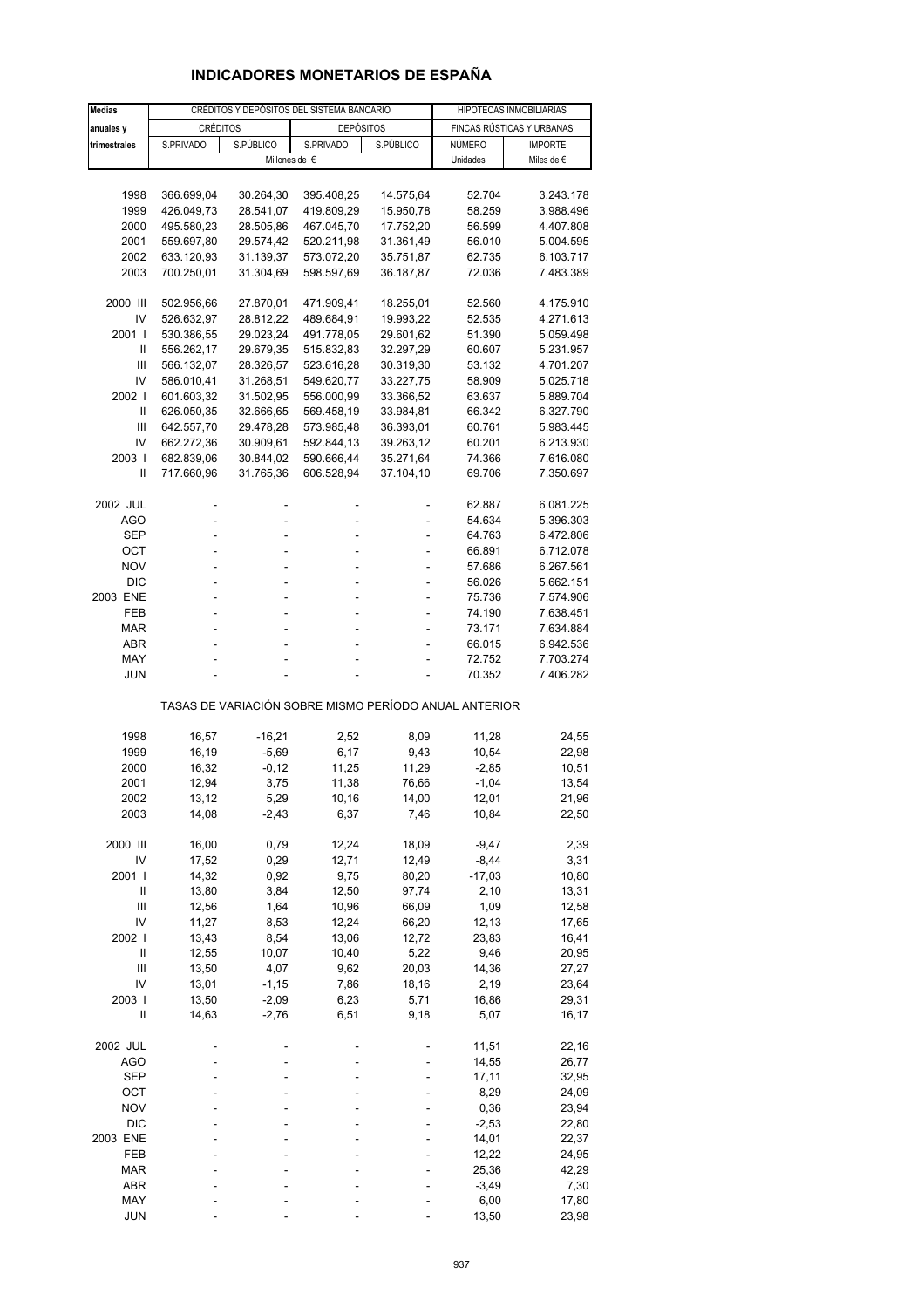## **INDICADORES MONETARIOS DE ESPAÑA**

| <b>Medias</b>              |                | CRÉDITOS Y DEPÓSITOS DEL SISTEMA BANCARIO | HIPOTECAS INMOBILIARIAS                               |               |                |                           |
|----------------------------|----------------|-------------------------------------------|-------------------------------------------------------|---------------|----------------|---------------------------|
| anuales y                  | CRÉDITOS       |                                           | <b>DEPÓSITOS</b>                                      |               |                | FINCAS RÚSTICAS Y URBANAS |
| trimestrales               | S.PRIVADO      | S.PÚBLICO                                 | S.PRIVADO                                             | S.PÚBLICO     | NÚMERO         | <b>IMPORTE</b>            |
|                            |                | Millones de $\epsilon$                    |                                                       |               | Unidades       | Miles de $\epsilon$       |
|                            |                |                                           |                                                       |               |                |                           |
| 1998                       | 366.699,04     | 30.264,30                                 | 395.408,25                                            | 14.575,64     | 52.704         | 3.243.178                 |
| 1999                       | 426.049,73     | 28.541,07                                 | 419.809,29                                            | 15.950,78     | 58.259         | 3.988.496                 |
| 2000                       | 495.580,23     | 28.505,86                                 | 467.045,70                                            | 17.752,20     | 56.599         | 4.407.808                 |
| 2001                       | 559.697,80     | 29.574,42                                 | 520.211,98                                            | 31.361,49     | 56.010         | 5.004.595                 |
| 2002                       | 633.120,93     | 31.139,37                                 | 573.072,20                                            | 35.751,87     | 62.735         | 6.103.717                 |
| 2003                       | 700.250,01     | 31.304,69                                 | 598.597,69                                            | 36.187,87     | 72.036         | 7.483.389                 |
|                            |                |                                           |                                                       |               |                |                           |
| 2000 III                   | 502.956,66     | 27.870,01                                 | 471.909,41                                            | 18.255,01     | 52.560         | 4.175.910                 |
| IV                         | 526.632,97     | 28.812,22                                 | 489.684,91                                            | 19.993,22     | 52.535         | 4.271.613                 |
| 2001 l                     | 530.386,55     | 29.023,24                                 | 491.778,05                                            | 29.601,62     | 51.390         | 5.059.498                 |
| Ш                          | 556.262,17     | 29.679,35                                 | 515.832,83                                            | 32.297,29     | 60.607         | 5.231.957                 |
| Ш                          | 566.132,07     | 28.326,57                                 | 523.616,28                                            | 30.319,30     | 53.132         | 4.701.207                 |
| IV                         | 586.010,41     | 31.268,51                                 | 549.620,77                                            | 33.227,75     | 58.909         | 5.025.718                 |
| 2002                       | 601.603,32     | 31.502,95                                 | 556.000,99                                            | 33.366,52     | 63.637         | 5.889.704                 |
| $\ensuremath{\mathsf{II}}$ | 626.050,35     | 32.666,65                                 | 569.458,19                                            | 33.984,81     | 66.342         | 6.327.790                 |
| Ш                          | 642.557,70     | 29.478,28                                 | 573.985,48                                            | 36.393,01     | 60.761         | 5.983.445                 |
| IV                         | 662.272,36     | 30.909,61                                 | 592.844,13                                            | 39.263,12     | 60.201         | 6.213.930                 |
| 2003                       | 682.839,06     | 30.844,02                                 | 590.666,44                                            | 35.271,64     | 74.366         | 7.616.080                 |
| Ш                          | 717.660,96     | 31.765,36                                 | 606.528,94                                            | 37.104,10     | 69.706         | 7.350.697                 |
|                            |                |                                           |                                                       |               |                |                           |
| 2002 JUL                   |                | L,                                        |                                                       |               | 62.887         | 6.081.225                 |
| AGO                        |                | L,                                        |                                                       |               | 54.634         | 5.396.303                 |
| SEP                        |                |                                           |                                                       |               | 64.763         | 6.472.806                 |
| OCT                        | L,             | ÷,                                        |                                                       | ٠             | 66.891         | 6.712.078                 |
| <b>NOV</b>                 |                | ÷.                                        |                                                       | ä,            | 57.686         | 6.267.561                 |
| <b>DIC</b>                 |                |                                           |                                                       |               | 56.026         | 5.662.151                 |
| 2003 ENE                   | ÷,             | ÷,                                        |                                                       | ٠             | 75.736         |                           |
|                            | ä,             | ä,                                        |                                                       |               |                | 7.574.906                 |
| FEB                        |                |                                           |                                                       | ä,            | 74.190         | 7.638.451                 |
| <b>MAR</b>                 |                |                                           |                                                       |               | 73.171         | 7.634.884                 |
| <b>ABR</b>                 |                |                                           |                                                       |               | 66.015         | 6.942.536                 |
| MAY                        |                |                                           |                                                       |               | 72.752         | 7.703.274                 |
| <b>JUN</b>                 |                |                                           |                                                       |               | 70.352         | 7.406.282                 |
|                            |                |                                           | TASAS DE VARIACIÓN SOBRE MISMO PERÍODO ANUAL ANTERIOR |               |                |                           |
| 1998                       | 16,57          | $-16,21$                                  | 2,52                                                  | 8,09          | 11,28          | 24,55                     |
|                            |                | $-5,69$                                   | 6,17                                                  |               | 10,54          |                           |
| 1999                       | 16,19          | $-0,12$                                   | 11,25                                                 | 9,43<br>11,29 |                | 22,98                     |
| 2000                       | 16,32          |                                           |                                                       | 76,66         | $-2,85$        | 10,51                     |
| 2001                       | 12,94          | 3,75                                      | 11,38                                                 |               | $-1,04$        | 13,54                     |
| 2002<br>2003               | 13,12<br>14,08 | 5,29<br>$-2,43$                           | 10,16<br>6,37                                         | 14,00<br>7,46 | 12,01<br>10,84 | 21,96<br>22,50            |
|                            |                |                                           |                                                       |               |                |                           |
| 2000 III                   | 16,00          | 0,79                                      | 12,24                                                 | 18,09         | $-9,47$        | 2,39                      |
| IV                         | 17,52          | 0,29                                      | 12,71                                                 | 12,49         | $-8,44$        | 3,31                      |
| 2001 l                     | 14,32          | 0,92                                      | 9,75                                                  | 80,20         | $-17,03$       | 10,80                     |
| Ш                          | 13,80          | 3,84                                      | 12,50                                                 | 97,74         | 2,10           | 13,31                     |
| Ш                          | 12,56          | 1,64                                      | 10,96                                                 | 66,09         | 1,09           | 12,58                     |
| IV                         | 11,27          |                                           |                                                       |               |                |                           |
|                            |                | 8,53                                      | 12,24                                                 | 66,20         | 12,13          | 17,65                     |
| 2002 l                     | 13,43          | 8,54                                      | 13,06                                                 | 12,72         | 23,83          | 16,41                     |
| Ш                          | 12,55          | 10,07                                     | 10,40                                                 | 5,22          | 9,46           | 20,95                     |
| Ш                          | 13,50          | 4,07                                      | 9,62                                                  | 20,03         | 14,36          | 27,27                     |
| IV                         | 13,01          | $-1,15$                                   | 7,86                                                  | 18,16         | 2,19           | 23,64                     |
| 2003                       | 13,50          | $-2,09$                                   | 6,23                                                  | 5,71          | 16,86          | 29,31                     |
| $\mathbf{II}$              | 14,63          | $-2,76$                                   | 6,51                                                  | 9,18          | 5,07           | 16,17                     |
| 2002 JUL                   |                |                                           |                                                       |               | 11,51          | 22,16                     |
| <b>AGO</b>                 |                |                                           |                                                       |               | 14,55          | 26,77                     |
| SEP                        |                |                                           |                                                       |               | 17,11          | 32,95                     |
| OCT                        |                |                                           |                                                       |               | 8,29           | 24,09                     |
| <b>NOV</b>                 |                |                                           |                                                       |               | 0,36           | 23,94                     |
| <b>DIC</b>                 |                |                                           |                                                       |               | $-2,53$        | 22,80                     |
| 2003 ENE                   |                |                                           |                                                       |               | 14,01          | 22,37                     |
| FEB                        |                |                                           |                                                       |               | 12,22          | 24,95                     |
| <b>MAR</b>                 |                |                                           |                                                       |               | 25,36          |                           |
| ABR                        |                |                                           |                                                       |               | $-3,49$        | 42,29                     |
| MAY                        |                |                                           |                                                       |               |                | 7,30                      |
|                            |                |                                           |                                                       |               | 6,00           | 17,80                     |
| JUN                        |                |                                           |                                                       |               | 13,50          | 23,98                     |